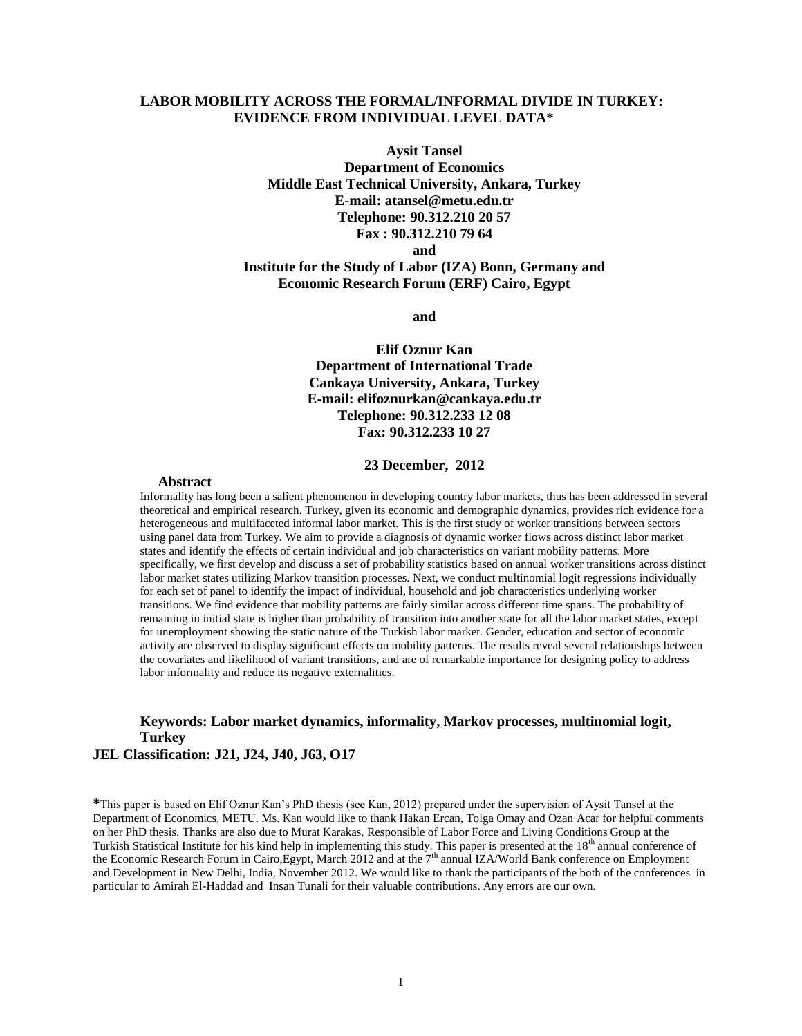## **LABOR MOBILITY ACROSS THE FORMAL/INFORMAL DIVIDE IN TURKEY: EVIDENCE FROM INDIVIDUAL LEVEL DATA\***

**Aysit Tansel Department of Economics Middle East Technical University, Ankara, Turkey E-mail: atansel@metu.edu.tr Telephone: 90.312.210 20 57 Fax : 90.312.210 79 64 and**

## **Institute for the Study of Labor (IZA) Bonn, Germany and Economic Research Forum (ERF) Cairo, Egypt**

**and**

**Elif Oznur Kan Department of International Trade Cankaya University, Ankara, Turkey E-mail: elifoznurkan@cankaya.edu.tr Telephone: 90.312.233 12 08 Fax: 90.312.233 10 27**

#### **23 December, 2012**

#### **Abstract**

Informality has long been a salient phenomenon in developing country labor markets, thus has been addressed in several theoretical and empirical research. Turkey, given its economic and demographic dynamics, provides rich evidence for a heterogeneous and multifaceted informal labor market. This is the first study of worker transitions between sectors using panel data from Turkey. We aim to provide a diagnosis of dynamic worker flows across distinct labor market states and identify the effects of certain individual and job characteristics on variant mobility patterns. More specifically, we first develop and discuss a set of probability statistics based on annual worker transitions across distinct labor market states utilizing Markov transition processes. Next, we conduct multinomial logit regressions individually for each set of panel to identify the impact of individual, household and job characteristics underlying worker transitions. We find evidence that mobility patterns are fairly similar across different time spans. The probability of remaining in initial state is higher than probability of transition into another state for all the labor market states, except for unemployment showing the static nature of the Turkish labor market. Gender, education and sector of economic activity are observed to display significant effects on mobility patterns. The results reveal several relationships between the covariates and likelihood of variant transitions, and are of remarkable importance for designing policy to address labor informality and reduce its negative externalities.

## **Keywords: Labor market dynamics, informality, Markov processes, multinomial logit, Turkey JEL Classification: J21, J24, J40, J63, O17**

**\***This paper is based on Elif Oznur Kan's PhD thesis (see Kan, 2012) prepared under the supervision of Aysit Tansel at the Department of Economics, METU. Ms. Kan would like to thank Hakan Ercan, Tolga Omay and Ozan Acar for helpful comments on her PhD thesis. Thanks are also due to Murat Karakas, Responsible of Labor Force and Living Conditions Group at the Turkish Statistical Institute for his kind help in implementing this study. This paper is presented at the  $18<sup>th</sup>$  annual conference of the Economic Research Forum in Cairo,Egypt, March 2012 and at the 7<sup>th</sup> annual IZA/World Bank conference on Employment and Development in New Delhi, India, November 2012. We would like to thank the participants of the both of the conferences in particular to Amirah El-Haddad and Insan Tunali for their valuable contributions. Any errors are our own.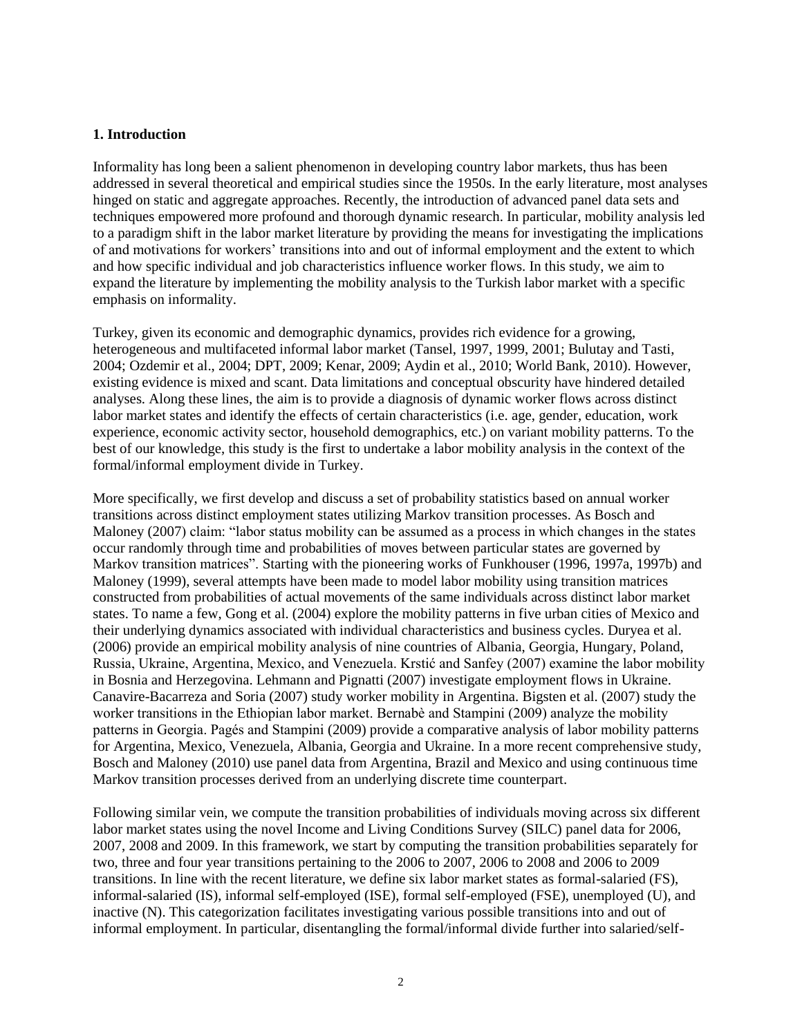## **1. Introduction**

Informality has long been a salient phenomenon in developing country labor markets, thus has been addressed in several theoretical and empirical studies since the 1950s. In the early literature, most analyses hinged on static and aggregate approaches. Recently, the introduction of advanced panel data sets and techniques empowered more profound and thorough dynamic research. In particular, mobility analysis led to a paradigm shift in the labor market literature by providing the means for investigating the implications of and motivations for workers' transitions into and out of informal employment and the extent to which and how specific individual and job characteristics influence worker flows. In this study, we aim to expand the literature by implementing the mobility analysis to the Turkish labor market with a specific emphasis on informality.

Turkey, given its economic and demographic dynamics, provides rich evidence for a growing, heterogeneous and multifaceted informal labor market (Tansel, 1997, 1999, 2001; Bulutay and Tasti, 2004; Ozdemir et al., 2004; DPT, 2009; Kenar, 2009; Aydin et al., 2010; World Bank, 2010). However, existing evidence is mixed and scant. Data limitations and conceptual obscurity have hindered detailed analyses. Along these lines, the aim is to provide a diagnosis of dynamic worker flows across distinct labor market states and identify the effects of certain characteristics (i.e. age, gender, education, work experience, economic activity sector, household demographics, etc.) on variant mobility patterns. To the best of our knowledge, this study is the first to undertake a labor mobility analysis in the context of the formal/informal employment divide in Turkey.

More specifically, we first develop and discuss a set of probability statistics based on annual worker transitions across distinct employment states utilizing Markov transition processes. As Bosch and Maloney (2007) claim: "labor status mobility can be assumed as a process in which changes in the states occur randomly through time and probabilities of moves between particular states are governed by Markov transition matrices". Starting with the pioneering works of Funkhouser (1996, 1997a, 1997b) and Maloney (1999), several attempts have been made to model labor mobility using transition matrices constructed from probabilities of actual movements of the same individuals across distinct labor market states. To name a few, Gong et al. (2004) explore the mobility patterns in five urban cities of Mexico and their underlying dynamics associated with individual characteristics and business cycles. Duryea et al. (2006) provide an empirical mobility analysis of nine countries of Albania, Georgia, Hungary, Poland, Russia, Ukraine, Argentina, Mexico, and Venezuela. Krstić and Sanfey (2007) examine the labor mobility in Bosnia and Herzegovina. Lehmann and Pignatti (2007) investigate employment flows in Ukraine. Canavire-Bacarreza and Soria (2007) study worker mobility in Argentina. Bigsten et al. (2007) study the worker transitions in the Ethiopian labor market. Bernabè and Stampini (2009) analyze the mobility patterns in Georgia. Pagés and Stampini (2009) provide a comparative analysis of labor mobility patterns for Argentina, Mexico, Venezuela, Albania, Georgia and Ukraine. In a more recent comprehensive study, Bosch and Maloney (2010) use panel data from Argentina, Brazil and Mexico and using continuous time Markov transition processes derived from an underlying discrete time counterpart.

Following similar vein, we compute the transition probabilities of individuals moving across six different labor market states using the novel Income and Living Conditions Survey (SILC) panel data for 2006, 2007, 2008 and 2009. In this framework, we start by computing the transition probabilities separately for two, three and four year transitions pertaining to the 2006 to 2007, 2006 to 2008 and 2006 to 2009 transitions. In line with the recent literature, we define six labor market states as formal-salaried (FS), informal-salaried (IS), informal self-employed (ISE), formal self-employed (FSE), unemployed (U), and inactive (N). This categorization facilitates investigating various possible transitions into and out of informal employment. In particular, disentangling the formal/informal divide further into salaried/self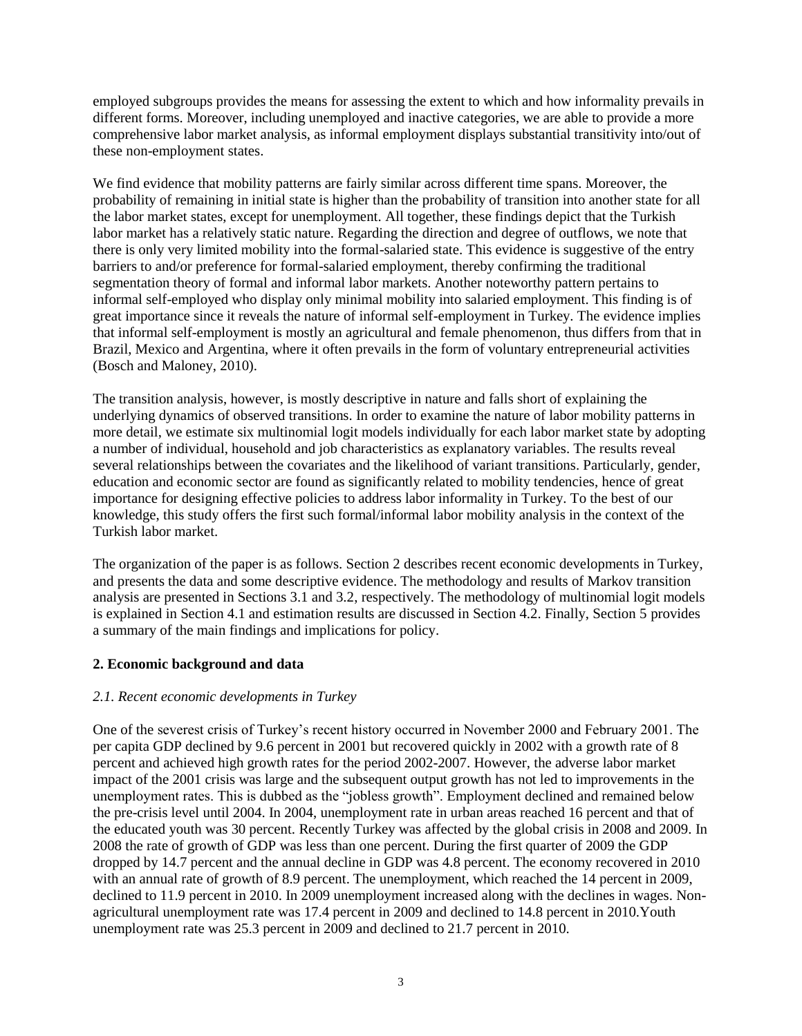employed subgroups provides the means for assessing the extent to which and how informality prevails in different forms. Moreover, including unemployed and inactive categories, we are able to provide a more comprehensive labor market analysis, as informal employment displays substantial transitivity into/out of these non-employment states.

We find evidence that mobility patterns are fairly similar across different time spans. Moreover, the probability of remaining in initial state is higher than the probability of transition into another state for all the labor market states, except for unemployment. All together, these findings depict that the Turkish labor market has a relatively static nature. Regarding the direction and degree of outflows, we note that there is only very limited mobility into the formal-salaried state. This evidence is suggestive of the entry barriers to and/or preference for formal-salaried employment, thereby confirming the traditional segmentation theory of formal and informal labor markets. Another noteworthy pattern pertains to informal self-employed who display only minimal mobility into salaried employment. This finding is of great importance since it reveals the nature of informal self-employment in Turkey. The evidence implies that informal self-employment is mostly an agricultural and female phenomenon, thus differs from that in Brazil, Mexico and Argentina, where it often prevails in the form of voluntary entrepreneurial activities (Bosch and Maloney, 2010).

The transition analysis, however, is mostly descriptive in nature and falls short of explaining the underlying dynamics of observed transitions. In order to examine the nature of labor mobility patterns in more detail, we estimate six multinomial logit models individually for each labor market state by adopting a number of individual, household and job characteristics as explanatory variables. The results reveal several relationships between the covariates and the likelihood of variant transitions. Particularly, gender, education and economic sector are found as significantly related to mobility tendencies, hence of great importance for designing effective policies to address labor informality in Turkey. To the best of our knowledge, this study offers the first such formal/informal labor mobility analysis in the context of the Turkish labor market.

The organization of the paper is as follows. Section 2 describes recent economic developments in Turkey, and presents the data and some descriptive evidence. The methodology and results of Markov transition analysis are presented in Sections 3.1 and 3.2, respectively. The methodology of multinomial logit models is explained in Section 4.1 and estimation results are discussed in Section 4.2. Finally, Section 5 provides a summary of the main findings and implications for policy.

## **2. Economic background and data**

## *2.1. Recent economic developments in Turkey*

One of the severest crisis of Turkey's recent history occurred in November 2000 and February 2001. The per capita GDP declined by 9.6 percent in 2001 but recovered quickly in 2002 with a growth rate of 8 percent and achieved high growth rates for the period 2002-2007. However, the adverse labor market impact of the 2001 crisis was large and the subsequent output growth has not led to improvements in the unemployment rates. This is dubbed as the "jobless growth". Employment declined and remained below the pre-crisis level until 2004. In 2004, unemployment rate in urban areas reached 16 percent and that of the educated youth was 30 percent. Recently Turkey was affected by the global crisis in 2008 and 2009. In 2008 the rate of growth of GDP was less than one percent. During the first quarter of 2009 the GDP dropped by 14.7 percent and the annual decline in GDP was 4.8 percent. The economy recovered in 2010 with an annual rate of growth of 8.9 percent. The unemployment, which reached the 14 percent in 2009, declined to 11.9 percent in 2010. In 2009 unemployment increased along with the declines in wages. Nonagricultural unemployment rate was 17.4 percent in 2009 and declined to 14.8 percent in 2010.Youth unemployment rate was 25.3 percent in 2009 and declined to 21.7 percent in 2010.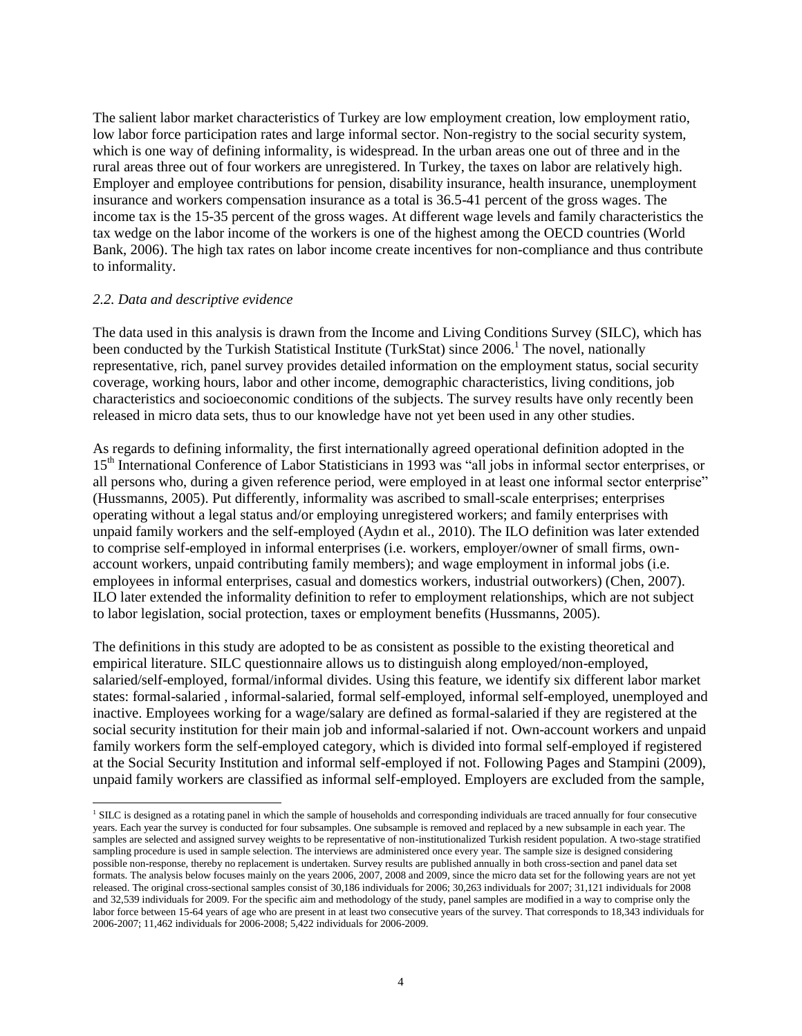The salient labor market characteristics of Turkey are low employment creation, low employment ratio, low labor force participation rates and large informal sector. Non-registry to the social security system, which is one way of defining informality, is widespread. In the urban areas one out of three and in the rural areas three out of four workers are unregistered. In Turkey, the taxes on labor are relatively high. Employer and employee contributions for pension, disability insurance, health insurance, unemployment insurance and workers compensation insurance as a total is 36.5-41 percent of the gross wages. The income tax is the 15-35 percent of the gross wages. At different wage levels and family characteristics the tax wedge on the labor income of the workers is one of the highest among the OECD countries (World Bank, 2006). The high tax rates on labor income create incentives for non-compliance and thus contribute to informality.

#### *2.2. Data and descriptive evidence*

l

The data used in this analysis is drawn from the Income and Living Conditions Survey (SILC), which has been conducted by the Turkish Statistical Institute (TurkStat) since  $2006<sup>1</sup>$  The novel, nationally representative, rich, panel survey provides detailed information on the employment status, social security coverage, working hours, labor and other income, demographic characteristics, living conditions, job characteristics and socioeconomic conditions of the subjects. The survey results have only recently been released in micro data sets, thus to our knowledge have not yet been used in any other studies.

As regards to defining informality, the first internationally agreed operational definition adopted in the 15th International Conference of Labor Statisticians in 1993 was "all jobs in informal sector enterprises, or all persons who, during a given reference period, were employed in at least one informal sector enterprise" (Hussmanns, 2005). Put differently, informality was ascribed to small-scale enterprises; enterprises operating without a legal status and/or employing unregistered workers; and family enterprises with unpaid family workers and the self-employed (Aydın et al., 2010). The ILO definition was later extended to comprise self-employed in informal enterprises (i.e. workers, employer/owner of small firms, ownaccount workers, unpaid contributing family members); and wage employment in informal jobs (i.e. employees in informal enterprises, casual and domestics workers, industrial outworkers) (Chen, 2007). ILO later extended the informality definition to refer to employment relationships, which are not subject to labor legislation, social protection, taxes or employment benefits (Hussmanns, 2005).

The definitions in this study are adopted to be as consistent as possible to the existing theoretical and empirical literature. SILC questionnaire allows us to distinguish along employed/non-employed, salaried/self-employed, formal/informal divides. Using this feature, we identify six different labor market states: formal-salaried , informal-salaried, formal self-employed, informal self-employed, unemployed and inactive. Employees working for a wage/salary are defined as formal-salaried if they are registered at the social security institution for their main job and informal-salaried if not. Own-account workers and unpaid family workers form the self-employed category, which is divided into formal self-employed if registered at the Social Security Institution and informal self-employed if not. Following Pages and Stampini (2009), unpaid family workers are classified as informal self-employed. Employers are excluded from the sample,

<sup>&</sup>lt;sup>1</sup> SILC is designed as a rotating panel in which the sample of households and corresponding individuals are traced annually for four consecutive years. Each year the survey is conducted for four subsamples. One subsample is removed and replaced by a new subsample in each year. The samples are selected and assigned survey weights to be representative of non-institutionalized Turkish resident population. A two-stage stratified sampling procedure is used in sample selection. The interviews are administered once every year. The sample size is designed considering possible non-response, thereby no replacement is undertaken. Survey results are published annually in both cross-section and panel data set formats. The analysis below focuses mainly on the years 2006, 2007, 2008 and 2009, since the micro data set for the following years are not yet released. The original cross-sectional samples consist of 30,186 individuals for 2006; 30,263 individuals for 2007; 31,121 individuals for 2008 and 32,539 individuals for 2009. For the specific aim and methodology of the study, panel samples are modified in a way to comprise only the labor force between 15-64 years of age who are present in at least two consecutive years of the survey. That corresponds to 18,343 individuals for 2006-2007; 11,462 individuals for 2006-2008; 5,422 individuals for 2006-2009.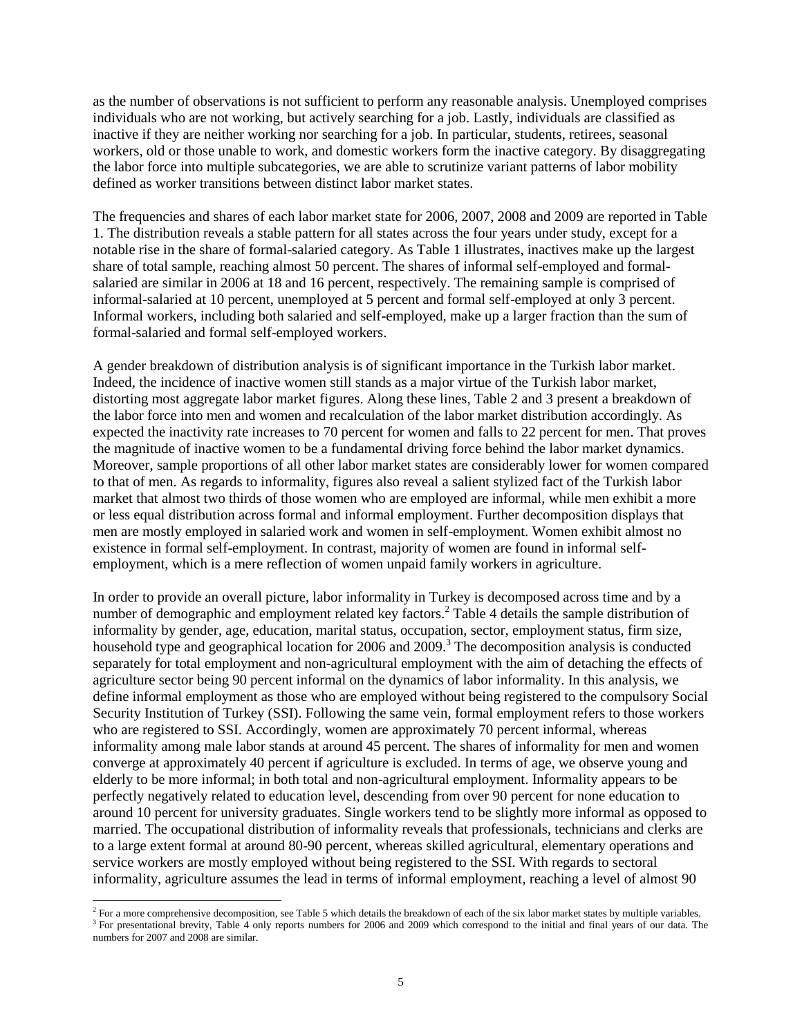as the number of observations is not sufficient to perform any reasonable analysis. Unemployed comprises individuals who are not working, but actively searching for a job. Lastly, individuals are classified as inactive if they are neither working nor searching for a job. In particular, students, retirees, seasonal workers, old or those unable to work, and domestic workers form the inactive category. By disaggregating the labor force into multiple subcategories, we are able to scrutinize variant patterns of labor mobility defined as worker transitions between distinct labor market states.

The frequencies and shares of each labor market state for 2006, 2007, 2008 and 2009 are reported in Table 1. The distribution reveals a stable pattern for all states across the four years under study, except for a notable rise in the share of formal-salaried category. As Table 1 illustrates, inactives make up the largest share of total sample, reaching almost 50 percent. The shares of informal self-employed and formalsalaried are similar in 2006 at 18 and 16 percent, respectively. The remaining sample is comprised of informal-salaried at 10 percent, unemployed at 5 percent and formal self-employed at only 3 percent. Informal workers, including both salaried and self-employed, make up a larger fraction than the sum of formal-salaried and formal self-employed workers.

A gender breakdown of distribution analysis is of significant importance in the Turkish labor market. Indeed, the incidence of inactive women still stands as a major virtue of the Turkish labor market, distorting most aggregate labor market figures. Along these lines, Table 2 and 3 present a breakdown of the labor force into men and women and recalculation of the labor market distribution accordingly. As expected the inactivity rate increases to 70 percent for women and falls to 22 percent for men. That proves the magnitude of inactive women to be a fundamental driving force behind the labor market dynamics. Moreover, sample proportions of all other labor market states are considerably lower for women compared to that of men. As regards to informality, figures also reveal a salient stylized fact of the Turkish labor market that almost two thirds of those women who are employed are informal, while men exhibit a more or less equal distribution across formal and informal employment. Further decomposition displays that men are mostly employed in salaried work and women in self-employment. Women exhibit almost no existence in formal self-employment. In contrast, majority of women are found in informal selfemployment, which is a mere reflection of women unpaid family workers in agriculture.

In order to provide an overall picture, labor informality in Turkey is decomposed across time and by a number of demographic and employment related key factors.<sup>2</sup> Table 4 details the sample distribution of informality by gender, age, education, marital status, occupation, sector, employment status, firm size, household type and geographical location for  $2006$  and  $2009$ .<sup>3</sup> The decomposition analysis is conducted separately for total employment and non-agricultural employment with the aim of detaching the effects of agriculture sector being 90 percent informal on the dynamics of labor informality. In this analysis, we define informal employment as those who are employed without being registered to the compulsory Social Security Institution of Turkey (SSI). Following the same vein, formal employment refers to those workers who are registered to SSI. Accordingly, women are approximately 70 percent informal, whereas informality among male labor stands at around 45 percent. The shares of informality for men and women converge at approximately 40 percent if agriculture is excluded. In terms of age, we observe young and elderly to be more informal; in both total and non-agricultural employment. Informality appears to be perfectly negatively related to education level, descending from over 90 percent for none education to around 10 percent for university graduates. Single workers tend to be slightly more informal as opposed to married. The occupational distribution of informality reveals that professionals, technicians and clerks are to a large extent formal at around 80-90 percent, whereas skilled agricultural, elementary operations and service workers are mostly employed without being registered to the SSI. With regards to sectoral informality, agriculture assumes the lead in terms of informal employment, reaching a level of almost 90

<sup>&</sup>lt;sup>2</sup> For a more comprehensive decomposition, see Table 5 which details the breakdown of each of the six labor market states by multiple variables. <sup>3</sup> For presentational brevity, Table 4 only reports numbers for 2006 and 2009 which correspond to the initial and final years of our data. The numbers for 2007 and 2008 are similar.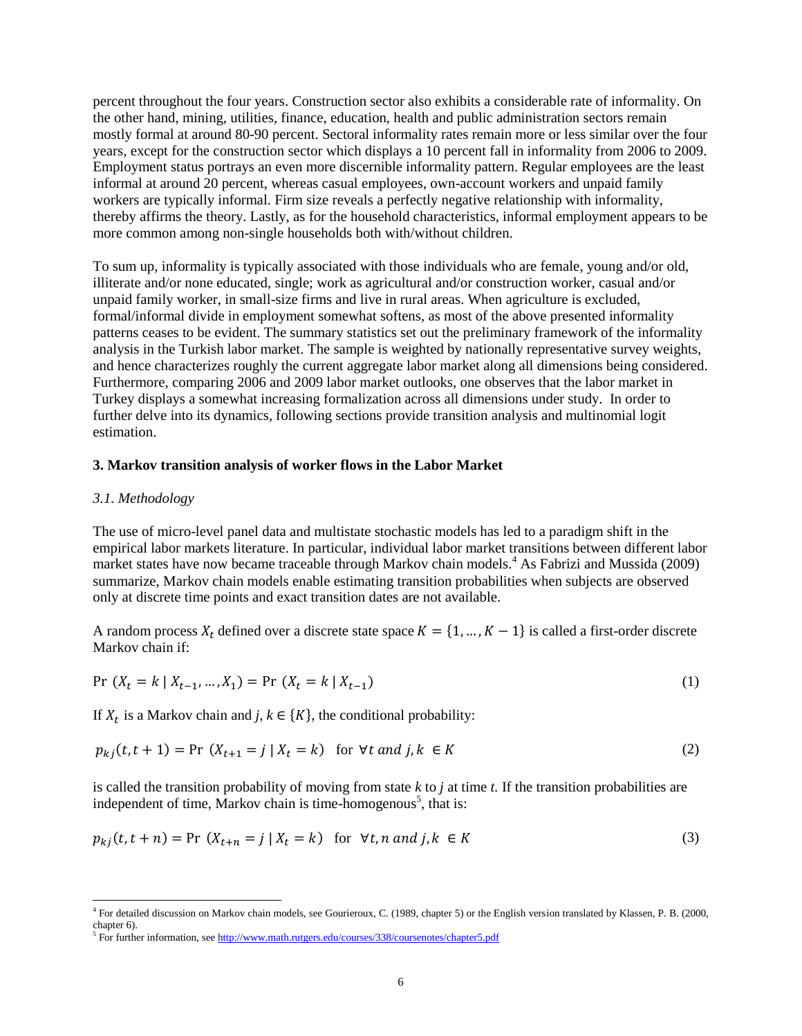percent throughout the four years. Construction sector also exhibits a considerable rate of informality. On the other hand, mining, utilities, finance, education, health and public administration sectors remain mostly formal at around 80-90 percent. Sectoral informality rates remain more or less similar over the four years, except for the construction sector which displays a 10 percent fall in informality from 2006 to 2009. Employment status portrays an even more discernible informality pattern. Regular employees are the least informal at around 20 percent, whereas casual employees, own-account workers and unpaid family workers are typically informal. Firm size reveals a perfectly negative relationship with informality, thereby affirms the theory. Lastly, as for the household characteristics, informal employment appears to be more common among non-single households both with/without children.

To sum up, informality is typically associated with those individuals who are female, young and/or old, illiterate and/or none educated, single; work as agricultural and/or construction worker, casual and/or unpaid family worker, in small-size firms and live in rural areas. When agriculture is excluded, formal/informal divide in employment somewhat softens, as most of the above presented informality patterns ceases to be evident. The summary statistics set out the preliminary framework of the informality analysis in the Turkish labor market. The sample is weighted by nationally representative survey weights, and hence characterizes roughly the current aggregate labor market along all dimensions being considered. Furthermore, comparing 2006 and 2009 labor market outlooks, one observes that the labor market in Turkey displays a somewhat increasing formalization across all dimensions under study. In order to further delve into its dynamics, following sections provide transition analysis and multinomial logit estimation.

## **3. Markov transition analysis of worker flows in the Labor Market**

#### *3.1. Methodology*

The use of micro-level panel data and multistate stochastic models has led to a paradigm shift in the empirical labor markets literature. In particular, individual labor market transitions between different labor market states have now became traceable through Markov chain models.<sup>4</sup> As Fabrizi and Mussida (2009) summarize, Markov chain models enable estimating transition probabilities when subjects are observed only at discrete time points and exact transition dates are not available.

A random process  $X_t$  defined over a discrete state space  $K = \{1, ..., K-1\}$  is called a first-order discrete Markov chain if:

$$
Pr(X_t = k | X_{t-1}, ..., X_1) = Pr(X_t = k | X_{t-1})
$$
\n(1)

If  $X_t$  is a Markov chain and *j*,  $k \in \{K\}$ , the conditional probability:

$$
p_{ki}(t, t+1) = \Pr(X_{t+1} = j \mid X_t = k) \text{ for } \forall t \text{ and } j, k \in K
$$
 (2)

is called the transition probability of moving from state *k* to *j* at time *t.* If the transition probabilities are independent of time, Markov chain is time-homogenous<sup>5</sup>, that is:

$$
p_{kj}(t, t+n) = \Pr(X_{t+n} = j \mid X_t = k) \text{ for } \forall t, n \text{ and } j, k \in K
$$
 (3)

 4 For detailed discussion on Markov chain models, see Gourieroux, C. (1989, chapter 5) or the English version translated by Klassen, P. B. (2000, chapter 6).

<sup>&</sup>lt;sup>5</sup> For further information, se[e http://www.math.rutgers.edu/courses/338/coursenotes/chapter5.pdf](http://www.math.rutgers.edu/courses/338/coursenotes/chapter5.pdf)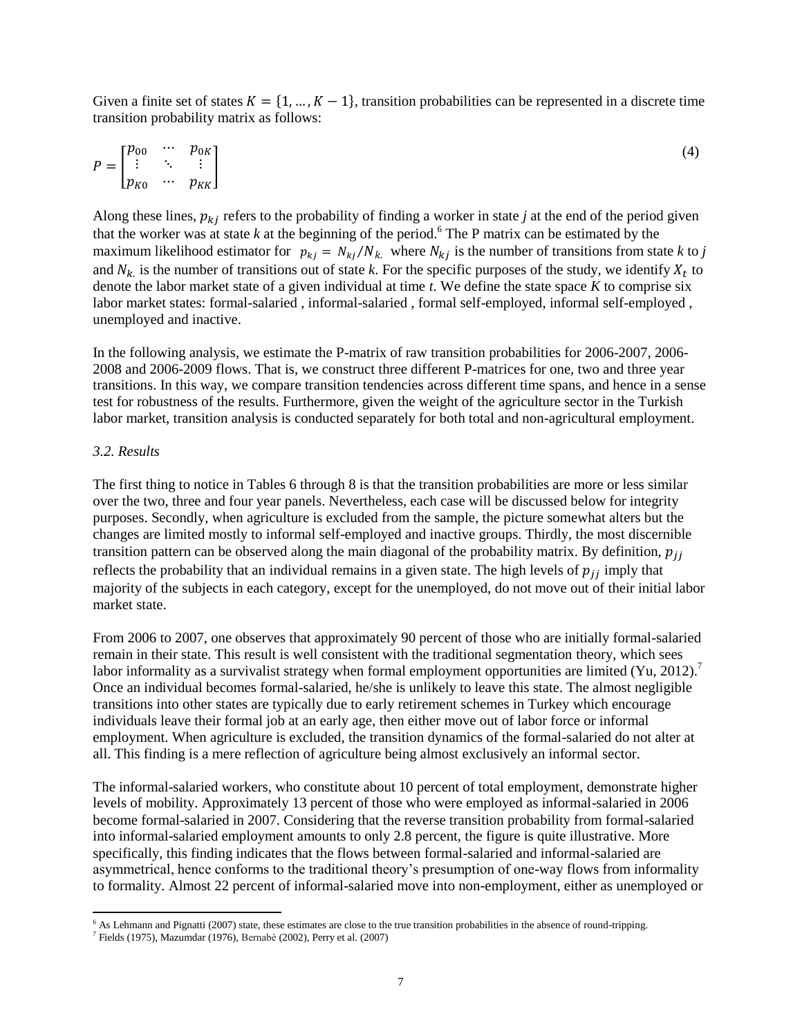Given a finite set of states  $K = \{1, ..., K-1\}$ , transition probabilities can be represented in a discrete time transition probability matrix as follows:

$$
P = \begin{bmatrix} p_{00} & \cdots & p_{0K} \\ \vdots & \ddots & \vdots \\ p_{K0} & \cdots & p_{KK} \end{bmatrix} \tag{4}
$$

Along these lines,  $p_{ki}$  refers to the probability of finding a worker in state *j* at the end of the period given that the worker was at state  $k$  at the beginning of the period.<sup>6</sup> The P matrix can be estimated by the maximum likelihood estimator for  $p_{ki} = N_{ki}/N_k$ , where  $N_{ki}$  is the number of transitions from state k to *j* and  $N_{k}$  is the number of transitions out of state k. For the specific purposes of the study, we identify  $X_t$  to denote the labor market state of a given individual at time *t*. We define the state space *K* to comprise six labor market states: formal-salaried , informal-salaried , formal self-employed, informal self-employed , unemployed and inactive.

In the following analysis, we estimate the P-matrix of raw transition probabilities for 2006-2007, 2006- 2008 and 2006-2009 flows. That is, we construct three different P-matrices for one, two and three year transitions. In this way, we compare transition tendencies across different time spans, and hence in a sense test for robustness of the results. Furthermore, given the weight of the agriculture sector in the Turkish labor market, transition analysis is conducted separately for both total and non-agricultural employment.

#### *3.2. Results*

l

The first thing to notice in Tables 6 through 8 is that the transition probabilities are more or less similar over the two, three and four year panels. Nevertheless, each case will be discussed below for integrity purposes. Secondly, when agriculture is excluded from the sample, the picture somewhat alters but the changes are limited mostly to informal self-employed and inactive groups. Thirdly, the most discernible transition pattern can be observed along the main diagonal of the probability matrix. By definition,  $p_{ij}$ reflects the probability that an individual remains in a given state. The high levels of  $p_{ij}$  imply that majority of the subjects in each category, except for the unemployed, do not move out of their initial labor market state.

From 2006 to 2007, one observes that approximately 90 percent of those who are initially formal-salaried remain in their state. This result is well consistent with the traditional segmentation theory, which sees labor informality as a survivalist strategy when formal employment opportunities are limited  $(Yu, 2012)$ . Once an individual becomes formal-salaried, he/she is unlikely to leave this state. The almost negligible transitions into other states are typically due to early retirement schemes in Turkey which encourage individuals leave their formal job at an early age, then either move out of labor force or informal employment. When agriculture is excluded, the transition dynamics of the formal-salaried do not alter at all. This finding is a mere reflection of agriculture being almost exclusively an informal sector.

The informal-salaried workers, who constitute about 10 percent of total employment, demonstrate higher levels of mobility. Approximately 13 percent of those who were employed as informal-salaried in 2006 become formal-salaried in 2007. Considering that the reverse transition probability from formal-salaried into informal-salaried employment amounts to only 2.8 percent, the figure is quite illustrative. More specifically, this finding indicates that the flows between formal-salaried and informal-salaried are asymmetrical, hence conforms to the traditional theory's presumption of one-way flows from informality to formality. Almost 22 percent of informal-salaried move into non-employment, either as unemployed or

 $6$  As Lehmann and Pignatti (2007) state, these estimates are close to the true transition probabilities in the absence of round-tripping.

<sup>7</sup> Fields (1975), Mazumdar (1976), Bernabè (2002), Perry et al. (2007)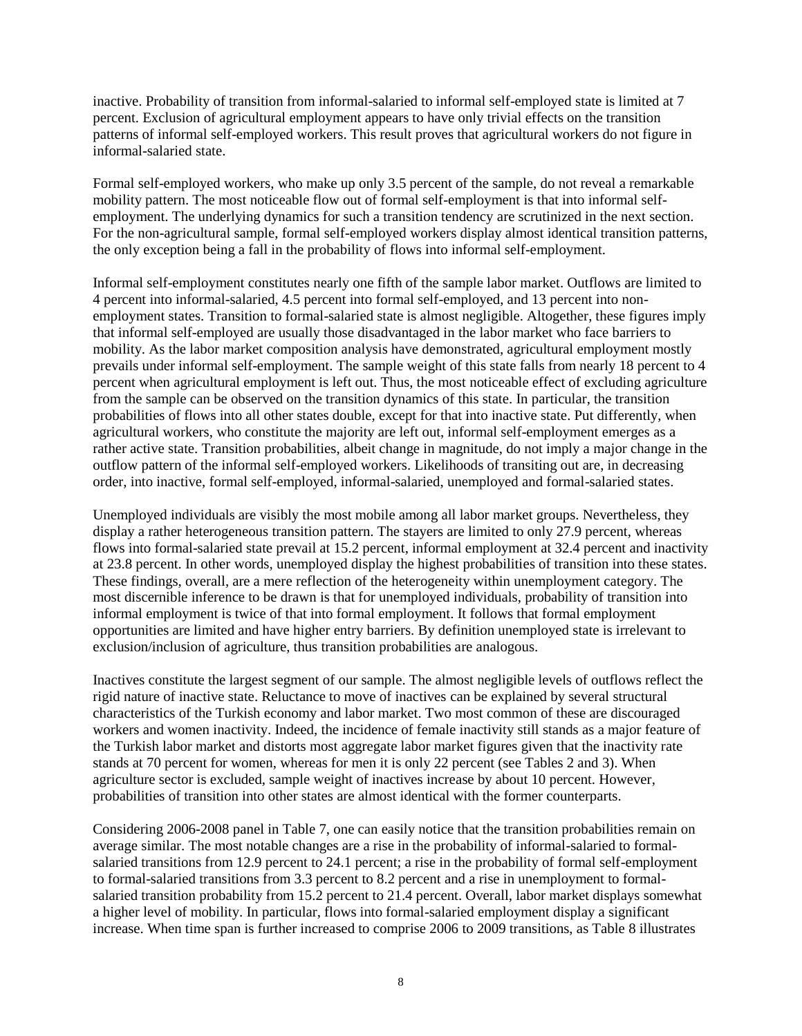inactive. Probability of transition from informal-salaried to informal self-employed state is limited at 7 percent. Exclusion of agricultural employment appears to have only trivial effects on the transition patterns of informal self-employed workers. This result proves that agricultural workers do not figure in informal-salaried state.

Formal self-employed workers, who make up only 3.5 percent of the sample, do not reveal a remarkable mobility pattern. The most noticeable flow out of formal self-employment is that into informal selfemployment. The underlying dynamics for such a transition tendency are scrutinized in the next section. For the non-agricultural sample, formal self-employed workers display almost identical transition patterns, the only exception being a fall in the probability of flows into informal self-employment.

Informal self-employment constitutes nearly one fifth of the sample labor market. Outflows are limited to 4 percent into informal-salaried, 4.5 percent into formal self-employed, and 13 percent into nonemployment states. Transition to formal-salaried state is almost negligible. Altogether, these figures imply that informal self-employed are usually those disadvantaged in the labor market who face barriers to mobility. As the labor market composition analysis have demonstrated, agricultural employment mostly prevails under informal self-employment. The sample weight of this state falls from nearly 18 percent to 4 percent when agricultural employment is left out. Thus, the most noticeable effect of excluding agriculture from the sample can be observed on the transition dynamics of this state. In particular, the transition probabilities of flows into all other states double, except for that into inactive state. Put differently, when agricultural workers, who constitute the majority are left out, informal self-employment emerges as a rather active state. Transition probabilities, albeit change in magnitude, do not imply a major change in the outflow pattern of the informal self-employed workers. Likelihoods of transiting out are, in decreasing order, into inactive, formal self-employed, informal-salaried, unemployed and formal-salaried states.

Unemployed individuals are visibly the most mobile among all labor market groups. Nevertheless, they display a rather heterogeneous transition pattern. The stayers are limited to only 27.9 percent, whereas flows into formal-salaried state prevail at 15.2 percent, informal employment at 32.4 percent and inactivity at 23.8 percent. In other words, unemployed display the highest probabilities of transition into these states. These findings, overall, are a mere reflection of the heterogeneity within unemployment category. The most discernible inference to be drawn is that for unemployed individuals, probability of transition into informal employment is twice of that into formal employment. It follows that formal employment opportunities are limited and have higher entry barriers. By definition unemployed state is irrelevant to exclusion/inclusion of agriculture, thus transition probabilities are analogous.

Inactives constitute the largest segment of our sample. The almost negligible levels of outflows reflect the rigid nature of inactive state. Reluctance to move of inactives can be explained by several structural characteristics of the Turkish economy and labor market. Two most common of these are discouraged workers and women inactivity. Indeed, the incidence of female inactivity still stands as a major feature of the Turkish labor market and distorts most aggregate labor market figures given that the inactivity rate stands at 70 percent for women, whereas for men it is only 22 percent (see Tables 2 and 3). When agriculture sector is excluded, sample weight of inactives increase by about 10 percent. However, probabilities of transition into other states are almost identical with the former counterparts.

Considering 2006-2008 panel in Table 7, one can easily notice that the transition probabilities remain on average similar. The most notable changes are a rise in the probability of informal-salaried to formalsalaried transitions from 12.9 percent to 24.1 percent; a rise in the probability of formal self-employment to formal-salaried transitions from 3.3 percent to 8.2 percent and a rise in unemployment to formalsalaried transition probability from 15.2 percent to 21.4 percent. Overall, labor market displays somewhat a higher level of mobility. In particular, flows into formal-salaried employment display a significant increase. When time span is further increased to comprise 2006 to 2009 transitions, as Table 8 illustrates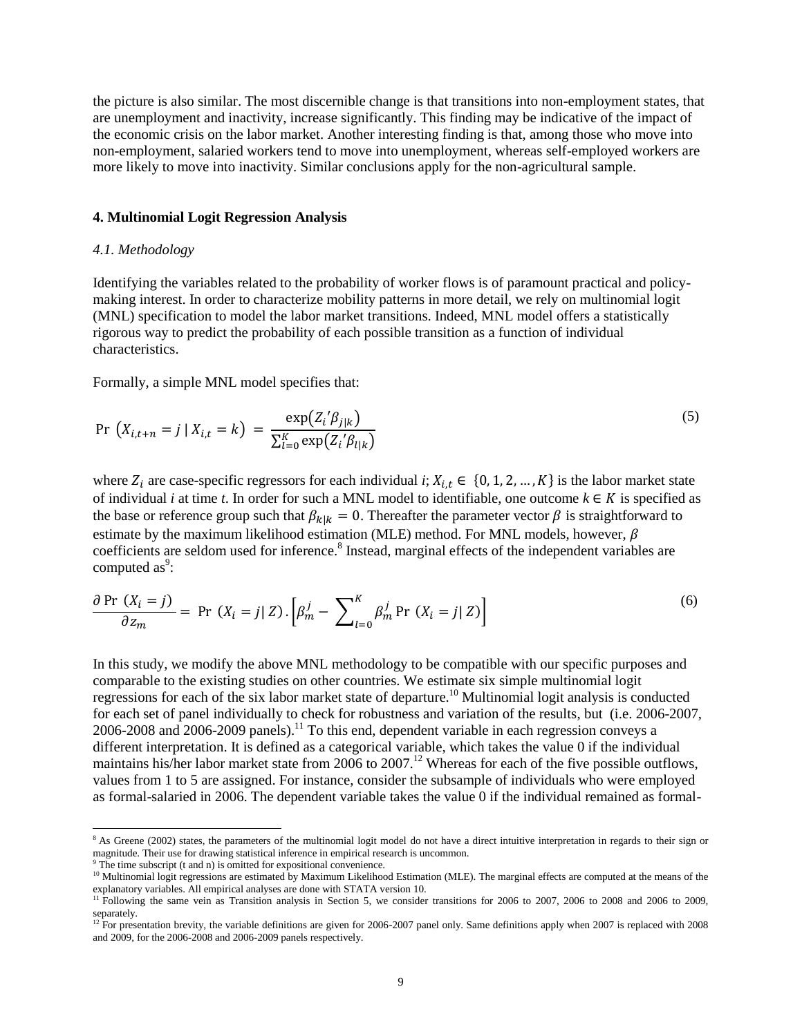the picture is also similar. The most discernible change is that transitions into non-employment states, that are unemployment and inactivity, increase significantly. This finding may be indicative of the impact of the economic crisis on the labor market. Another interesting finding is that, among those who move into non-employment, salaried workers tend to move into unemployment, whereas self-employed workers are more likely to move into inactivity. Similar conclusions apply for the non-agricultural sample.

#### **4. Multinomial Logit Regression Analysis**

#### *4.1. Methodology*

Identifying the variables related to the probability of worker flows is of paramount practical and policymaking interest. In order to characterize mobility patterns in more detail, we rely on multinomial logit (MNL) specification to model the labor market transitions. Indeed, MNL model offers a statistically rigorous way to predict the probability of each possible transition as a function of individual characteristics.

Formally, a simple MNL model specifies that:

$$
\Pr\left(X_{i,t+n} = j \mid X_{i,t} = k\right) = \frac{\exp(Z_i'\beta_{j|k})}{\sum_{l=0}^{K} \exp(Z_i'\beta_{l|k})}
$$
\n(5)

where  $Z_i$  are case-specific regressors for each individual *i*;  $X_{i,t} \in \{0, 1, 2, ..., K\}$  is the labor market state of individual *i* at time *t*. In order for such a MNL model to identifiable, one outcome  $k \in K$  is specified as the base or reference group such that  $\beta_{k|k} = 0$ . Thereafter the parameter vector  $\beta$  is straightforward to estimate by the maximum likelihood estimation (MLE) method. For MNL models, however,  $\beta$ coefficients are seldom used for inference.<sup>8</sup> Instead, marginal effects of the independent variables are computed as<sup>9</sup>:

$$
\frac{\partial \Pr(X_i = j)}{\partial z_m} = \Pr(X_i = j | Z) \cdot \left[ \beta_m^j - \sum_{l=0}^K \beta_m^j \Pr(X_i = j | Z) \right] \tag{6}
$$

In this study, we modify the above MNL methodology to be compatible with our specific purposes and comparable to the existing studies on other countries. We estimate six simple multinomial logit regressions for each of the six labor market state of departure.<sup>10</sup> Multinomial logit analysis is conducted for each set of panel individually to check for robustness and variation of the results, but (i.e. 2006-2007, 2006-2008 and 2006-2009 panels).<sup>11</sup> To this end, dependent variable in each regression conveys a different interpretation. It is defined as a categorical variable, which takes the value 0 if the individual maintains his/her labor market state from 2006 to 2007.<sup>12</sup> Whereas for each of the five possible outflows, values from 1 to 5 are assigned. For instance, consider the subsample of individuals who were employed as formal-salaried in 2006. The dependent variable takes the value 0 if the individual remained as formal-

 $\overline{a}$ 

<sup>&</sup>lt;sup>8</sup> As Greene (2002) states, the parameters of the multinomial logit model do not have a direct intuitive interpretation in regards to their sign or magnitude. Their use for drawing statistical inference in empirical research is uncommon.

 $9$ <sup>9</sup> The time subscript (t and n) is omitted for expositional convenience.

<sup>&</sup>lt;sup>10</sup> Multinomial logit regressions are estimated by Maximum Likelihood Estimation (MLE). The marginal effects are computed at the means of the explanatory variables. All empirical analyses are done with STATA version 10.

<sup>&</sup>lt;sup>11</sup> Following the same vein as Transition analysis in Section 5, we consider transitions for 2006 to 2007, 2006 to 2008 and 2006 to 2009, separately.

<sup>&</sup>lt;sup>12</sup> For presentation brevity, the variable definitions are given for 2006-2007 panel only. Same definitions apply when 2007 is replaced with 2008 and 2009, for the 2006-2008 and 2006-2009 panels respectively.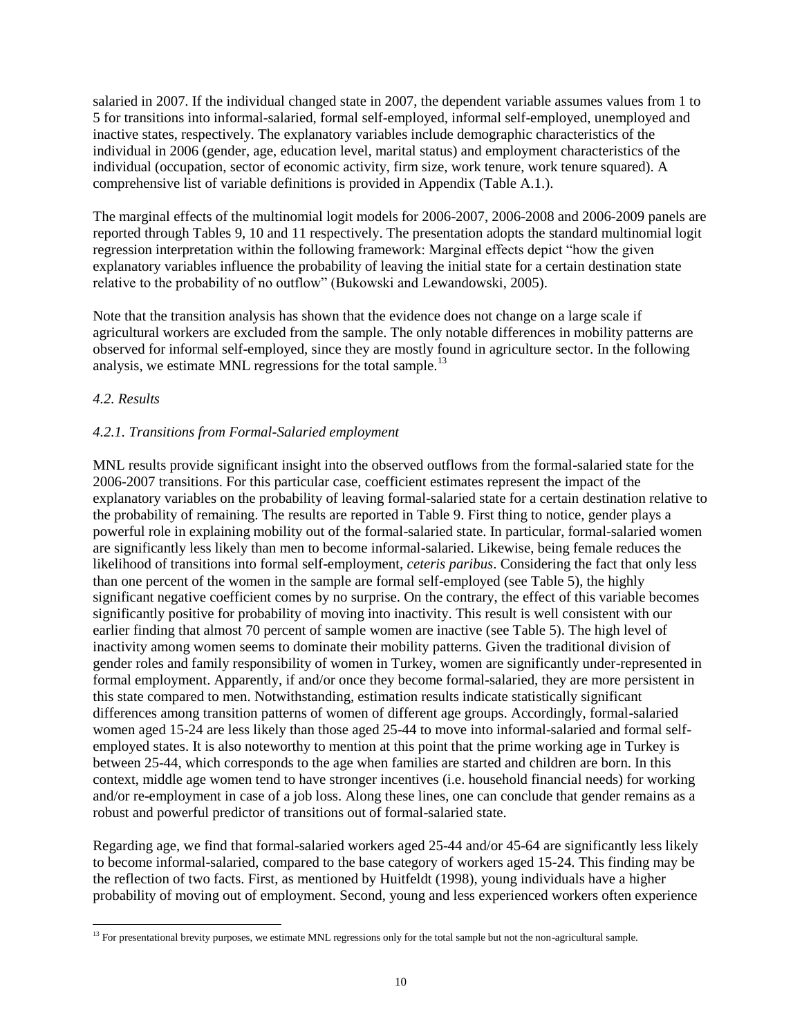salaried in 2007. If the individual changed state in 2007, the dependent variable assumes values from 1 to 5 for transitions into informal-salaried, formal self-employed, informal self-employed, unemployed and inactive states, respectively. The explanatory variables include demographic characteristics of the individual in 2006 (gender, age, education level, marital status) and employment characteristics of the individual (occupation, sector of economic activity, firm size, work tenure, work tenure squared). A comprehensive list of variable definitions is provided in Appendix (Table A.1.).

The marginal effects of the multinomial logit models for 2006-2007, 2006-2008 and 2006-2009 panels are reported through Tables 9, 10 and 11 respectively. The presentation adopts the standard multinomial logit regression interpretation within the following framework: Marginal effects depict "how the given explanatory variables influence the probability of leaving the initial state for a certain destination state relative to the probability of no outflow" (Bukowski and Lewandowski, 2005).

Note that the transition analysis has shown that the evidence does not change on a large scale if agricultural workers are excluded from the sample. The only notable differences in mobility patterns are observed for informal self-employed, since they are mostly found in agriculture sector. In the following analysis, we estimate MNL regressions for the total sample.<sup>13</sup>

## *4.2. Results*

 $\overline{a}$ 

## *4.2.1. Transitions from Formal-Salaried employment*

MNL results provide significant insight into the observed outflows from the formal-salaried state for the 2006-2007 transitions. For this particular case, coefficient estimates represent the impact of the explanatory variables on the probability of leaving formal-salaried state for a certain destination relative to the probability of remaining. The results are reported in Table 9. First thing to notice, gender plays a powerful role in explaining mobility out of the formal-salaried state. In particular, formal-salaried women are significantly less likely than men to become informal-salaried. Likewise, being female reduces the likelihood of transitions into formal self-employment, *ceteris paribus*. Considering the fact that only less than one percent of the women in the sample are formal self-employed (see Table 5), the highly significant negative coefficient comes by no surprise. On the contrary, the effect of this variable becomes significantly positive for probability of moving into inactivity. This result is well consistent with our earlier finding that almost 70 percent of sample women are inactive (see Table 5). The high level of inactivity among women seems to dominate their mobility patterns. Given the traditional division of gender roles and family responsibility of women in Turkey, women are significantly under-represented in formal employment. Apparently, if and/or once they become formal-salaried, they are more persistent in this state compared to men. Notwithstanding, estimation results indicate statistically significant differences among transition patterns of women of different age groups. Accordingly, formal-salaried women aged 15-24 are less likely than those aged 25-44 to move into informal-salaried and formal selfemployed states. It is also noteworthy to mention at this point that the prime working age in Turkey is between 25-44, which corresponds to the age when families are started and children are born. In this context, middle age women tend to have stronger incentives (i.e. household financial needs) for working and/or re-employment in case of a job loss. Along these lines, one can conclude that gender remains as a robust and powerful predictor of transitions out of formal-salaried state.

Regarding age, we find that formal-salaried workers aged 25-44 and/or 45-64 are significantly less likely to become informal-salaried, compared to the base category of workers aged 15-24. This finding may be the reflection of two facts. First, as mentioned by Huitfeldt (1998), young individuals have a higher probability of moving out of employment. Second, young and less experienced workers often experience

<sup>&</sup>lt;sup>13</sup> For presentational brevity purposes, we estimate MNL regressions only for the total sample but not the non-agricultural sample.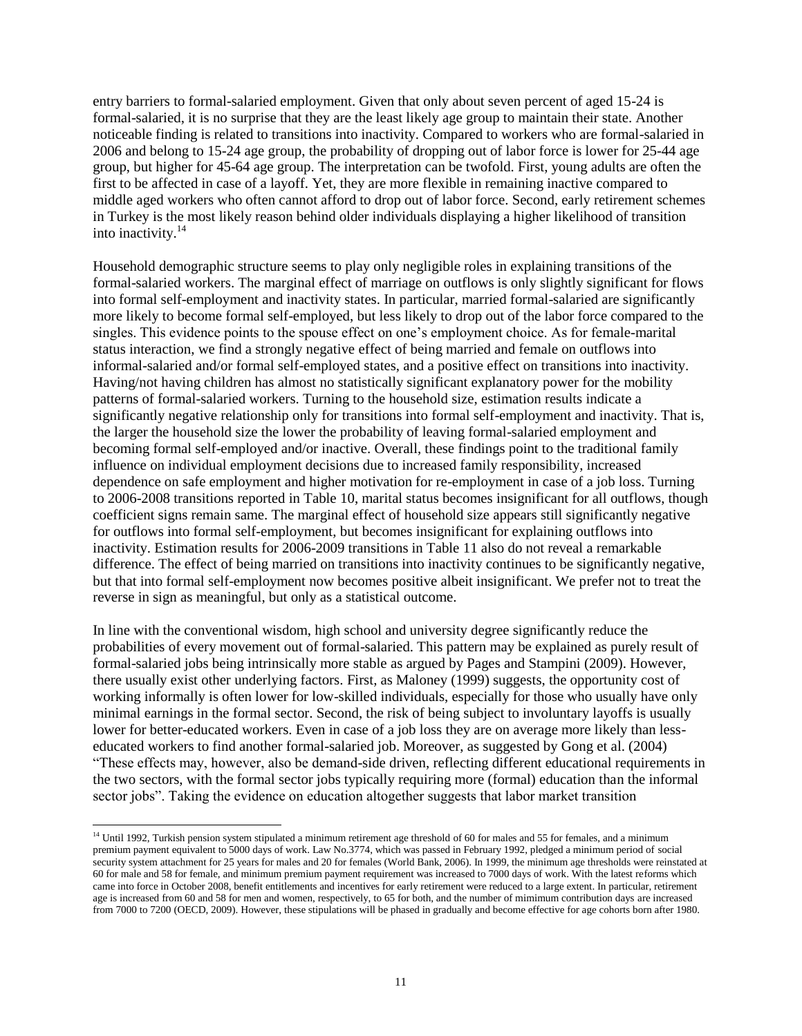entry barriers to formal-salaried employment. Given that only about seven percent of aged 15-24 is formal-salaried, it is no surprise that they are the least likely age group to maintain their state. Another noticeable finding is related to transitions into inactivity. Compared to workers who are formal-salaried in 2006 and belong to 15-24 age group, the probability of dropping out of labor force is lower for 25-44 age group, but higher for 45-64 age group. The interpretation can be twofold. First, young adults are often the first to be affected in case of a layoff. Yet, they are more flexible in remaining inactive compared to middle aged workers who often cannot afford to drop out of labor force. Second, early retirement schemes in Turkey is the most likely reason behind older individuals displaying a higher likelihood of transition into inactivity.<sup>14</sup>

Household demographic structure seems to play only negligible roles in explaining transitions of the formal-salaried workers. The marginal effect of marriage on outflows is only slightly significant for flows into formal self-employment and inactivity states. In particular, married formal-salaried are significantly more likely to become formal self-employed, but less likely to drop out of the labor force compared to the singles. This evidence points to the spouse effect on one's employment choice. As for female-marital status interaction, we find a strongly negative effect of being married and female on outflows into informal-salaried and/or formal self-employed states, and a positive effect on transitions into inactivity. Having/not having children has almost no statistically significant explanatory power for the mobility patterns of formal-salaried workers. Turning to the household size, estimation results indicate a significantly negative relationship only for transitions into formal self-employment and inactivity. That is, the larger the household size the lower the probability of leaving formal-salaried employment and becoming formal self-employed and/or inactive. Overall, these findings point to the traditional family influence on individual employment decisions due to increased family responsibility, increased dependence on safe employment and higher motivation for re-employment in case of a job loss. Turning to 2006-2008 transitions reported in Table 10, marital status becomes insignificant for all outflows, though coefficient signs remain same. The marginal effect of household size appears still significantly negative for outflows into formal self-employment, but becomes insignificant for explaining outflows into inactivity. Estimation results for 2006-2009 transitions in Table 11 also do not reveal a remarkable difference. The effect of being married on transitions into inactivity continues to be significantly negative, but that into formal self-employment now becomes positive albeit insignificant. We prefer not to treat the reverse in sign as meaningful, but only as a statistical outcome.

In line with the conventional wisdom, high school and university degree significantly reduce the probabilities of every movement out of formal-salaried. This pattern may be explained as purely result of formal-salaried jobs being intrinsically more stable as argued by Pages and Stampini (2009). However, there usually exist other underlying factors. First, as Maloney (1999) suggests, the opportunity cost of working informally is often lower for low-skilled individuals, especially for those who usually have only minimal earnings in the formal sector. Second, the risk of being subject to involuntary layoffs is usually lower for better-educated workers. Even in case of a job loss they are on average more likely than lesseducated workers to find another formal-salaried job. Moreover, as suggested by Gong et al. (2004) "These effects may, however, also be demand-side driven, reflecting different educational requirements in the two sectors, with the formal sector jobs typically requiring more (formal) education than the informal sector jobs". Taking the evidence on education altogether suggests that labor market transition

l

<sup>&</sup>lt;sup>14</sup> Until 1992, Turkish pension system stipulated a minimum retirement age threshold of 60 for males and 55 for females, and a minimum premium payment equivalent to 5000 days of work. Law No.3774, which was passed in February 1992, pledged a minimum period of social security system attachment for 25 years for males and 20 for females (World Bank, 2006). In 1999, the minimum age thresholds were reinstated at 60 for male and 58 for female, and minimum premium payment requirement was increased to 7000 days of work. With the latest reforms which came into force in October 2008, benefit entitlements and incentives for early retirement were reduced to a large extent. In particular, retirement age is increased from 60 and 58 for men and women, respectively, to 65 for both, and the number of mimimum contribution days are increased from 7000 to 7200 (OECD, 2009). However, these stipulations will be phased in gradually and become effective for age cohorts born after 1980.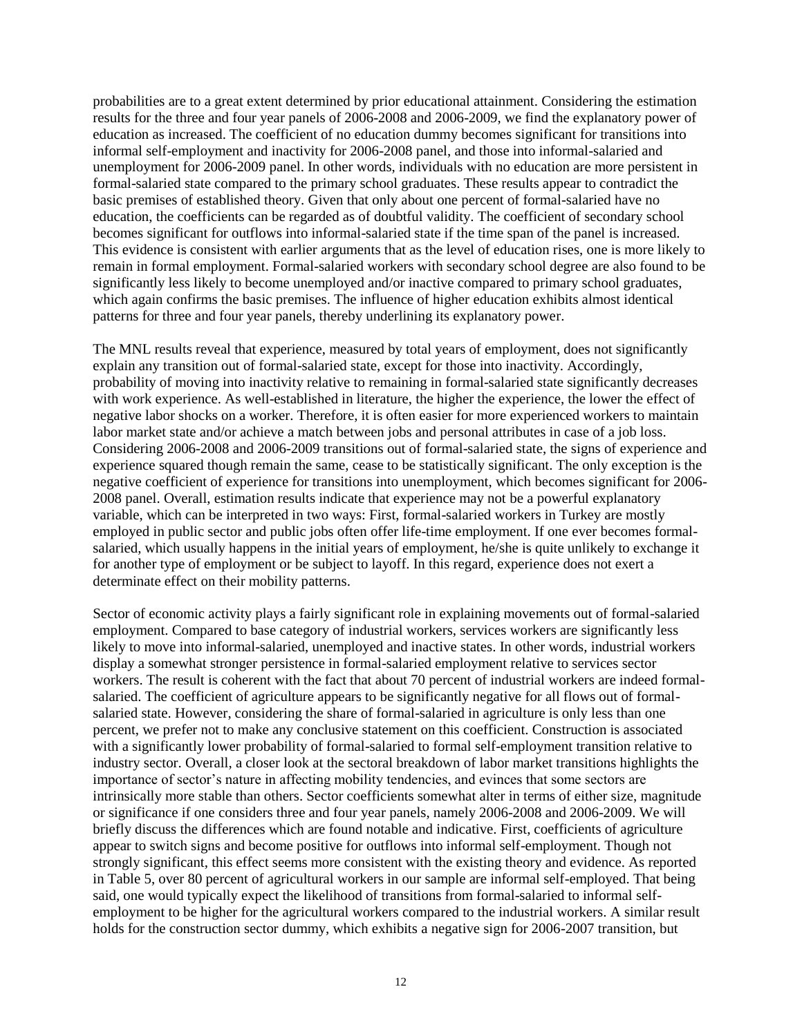probabilities are to a great extent determined by prior educational attainment. Considering the estimation results for the three and four year panels of 2006-2008 and 2006-2009, we find the explanatory power of education as increased. The coefficient of no education dummy becomes significant for transitions into informal self-employment and inactivity for 2006-2008 panel, and those into informal-salaried and unemployment for 2006-2009 panel. In other words, individuals with no education are more persistent in formal-salaried state compared to the primary school graduates. These results appear to contradict the basic premises of established theory. Given that only about one percent of formal-salaried have no education, the coefficients can be regarded as of doubtful validity. The coefficient of secondary school becomes significant for outflows into informal-salaried state if the time span of the panel is increased. This evidence is consistent with earlier arguments that as the level of education rises, one is more likely to remain in formal employment. Formal-salaried workers with secondary school degree are also found to be significantly less likely to become unemployed and/or inactive compared to primary school graduates, which again confirms the basic premises. The influence of higher education exhibits almost identical patterns for three and four year panels, thereby underlining its explanatory power.

The MNL results reveal that experience, measured by total years of employment, does not significantly explain any transition out of formal-salaried state, except for those into inactivity. Accordingly, probability of moving into inactivity relative to remaining in formal-salaried state significantly decreases with work experience. As well-established in literature, the higher the experience, the lower the effect of negative labor shocks on a worker. Therefore, it is often easier for more experienced workers to maintain labor market state and/or achieve a match between jobs and personal attributes in case of a job loss. Considering 2006-2008 and 2006-2009 transitions out of formal-salaried state, the signs of experience and experience squared though remain the same, cease to be statistically significant. The only exception is the negative coefficient of experience for transitions into unemployment, which becomes significant for 2006- 2008 panel. Overall, estimation results indicate that experience may not be a powerful explanatory variable, which can be interpreted in two ways: First, formal-salaried workers in Turkey are mostly employed in public sector and public jobs often offer life-time employment. If one ever becomes formalsalaried, which usually happens in the initial years of employment, he/she is quite unlikely to exchange it for another type of employment or be subject to layoff. In this regard, experience does not exert a determinate effect on their mobility patterns.

Sector of economic activity plays a fairly significant role in explaining movements out of formal-salaried employment. Compared to base category of industrial workers, services workers are significantly less likely to move into informal-salaried, unemployed and inactive states. In other words, industrial workers display a somewhat stronger persistence in formal-salaried employment relative to services sector workers. The result is coherent with the fact that about 70 percent of industrial workers are indeed formalsalaried. The coefficient of agriculture appears to be significantly negative for all flows out of formalsalaried state. However, considering the share of formal-salaried in agriculture is only less than one percent, we prefer not to make any conclusive statement on this coefficient. Construction is associated with a significantly lower probability of formal-salaried to formal self-employment transition relative to industry sector. Overall, a closer look at the sectoral breakdown of labor market transitions highlights the importance of sector's nature in affecting mobility tendencies, and evinces that some sectors are intrinsically more stable than others. Sector coefficients somewhat alter in terms of either size, magnitude or significance if one considers three and four year panels, namely 2006-2008 and 2006-2009. We will briefly discuss the differences which are found notable and indicative. First, coefficients of agriculture appear to switch signs and become positive for outflows into informal self-employment. Though not strongly significant, this effect seems more consistent with the existing theory and evidence. As reported in Table 5, over 80 percent of agricultural workers in our sample are informal self-employed. That being said, one would typically expect the likelihood of transitions from formal-salaried to informal selfemployment to be higher for the agricultural workers compared to the industrial workers. A similar result holds for the construction sector dummy, which exhibits a negative sign for 2006-2007 transition, but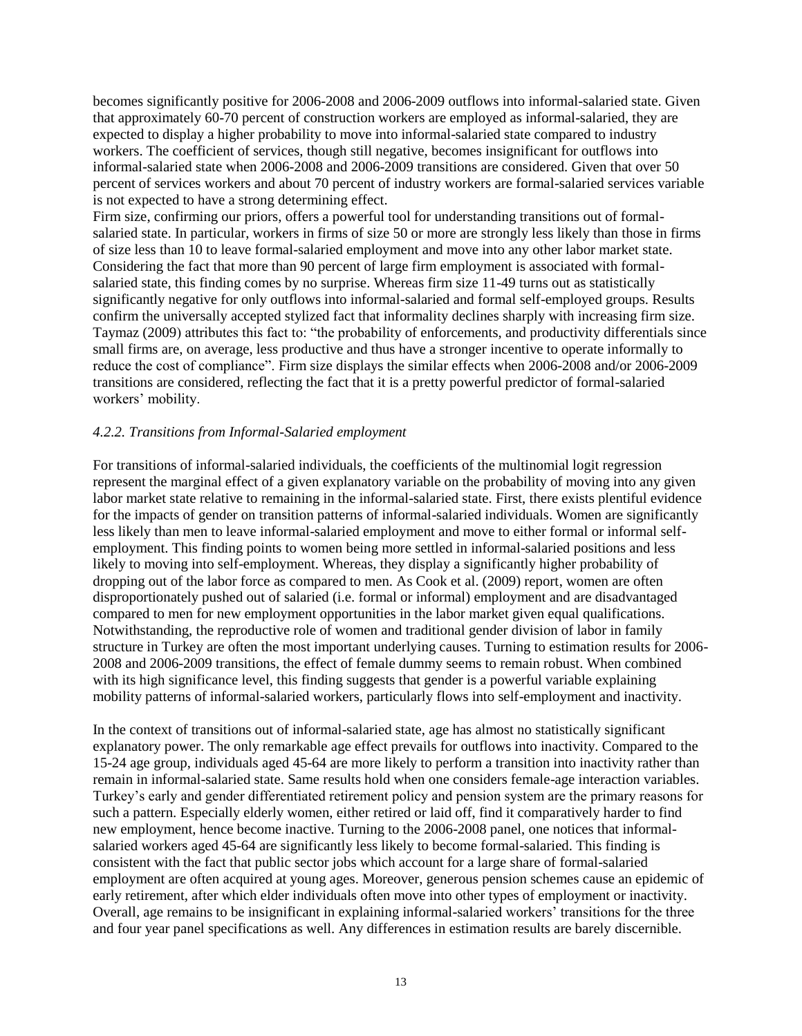becomes significantly positive for 2006-2008 and 2006-2009 outflows into informal-salaried state. Given that approximately 60-70 percent of construction workers are employed as informal-salaried, they are expected to display a higher probability to move into informal-salaried state compared to industry workers. The coefficient of services, though still negative, becomes insignificant for outflows into informal-salaried state when 2006-2008 and 2006-2009 transitions are considered. Given that over 50 percent of services workers and about 70 percent of industry workers are formal-salaried services variable is not expected to have a strong determining effect.

Firm size, confirming our priors, offers a powerful tool for understanding transitions out of formalsalaried state. In particular, workers in firms of size 50 or more are strongly less likely than those in firms of size less than 10 to leave formal-salaried employment and move into any other labor market state. Considering the fact that more than 90 percent of large firm employment is associated with formalsalaried state, this finding comes by no surprise. Whereas firm size 11-49 turns out as statistically significantly negative for only outflows into informal-salaried and formal self-employed groups. Results confirm the universally accepted stylized fact that informality declines sharply with increasing firm size. Taymaz (2009) attributes this fact to: "the probability of enforcements, and productivity differentials since small firms are, on average, less productive and thus have a stronger incentive to operate informally to reduce the cost of compliance". Firm size displays the similar effects when 2006-2008 and/or 2006-2009 transitions are considered, reflecting the fact that it is a pretty powerful predictor of formal-salaried workers' mobility.

# *4.2.2. Transitions from Informal-Salaried employment*

For transitions of informal-salaried individuals, the coefficients of the multinomial logit regression represent the marginal effect of a given explanatory variable on the probability of moving into any given labor market state relative to remaining in the informal-salaried state. First, there exists plentiful evidence for the impacts of gender on transition patterns of informal-salaried individuals. Women are significantly less likely than men to leave informal-salaried employment and move to either formal or informal selfemployment. This finding points to women being more settled in informal-salaried positions and less likely to moving into self-employment. Whereas, they display a significantly higher probability of dropping out of the labor force as compared to men. As Cook et al. (2009) report, women are often disproportionately pushed out of salaried (i.e. formal or informal) employment and are disadvantaged compared to men for new employment opportunities in the labor market given equal qualifications. Notwithstanding, the reproductive role of women and traditional gender division of labor in family structure in Turkey are often the most important underlying causes. Turning to estimation results for 2006- 2008 and 2006-2009 transitions, the effect of female dummy seems to remain robust. When combined with its high significance level, this finding suggests that gender is a powerful variable explaining mobility patterns of informal-salaried workers, particularly flows into self-employment and inactivity.

In the context of transitions out of informal-salaried state, age has almost no statistically significant explanatory power. The only remarkable age effect prevails for outflows into inactivity. Compared to the 15-24 age group, individuals aged 45-64 are more likely to perform a transition into inactivity rather than remain in informal-salaried state. Same results hold when one considers female-age interaction variables. Turkey's early and gender differentiated retirement policy and pension system are the primary reasons for such a pattern. Especially elderly women, either retired or laid off, find it comparatively harder to find new employment, hence become inactive. Turning to the 2006-2008 panel, one notices that informalsalaried workers aged 45-64 are significantly less likely to become formal-salaried. This finding is consistent with the fact that public sector jobs which account for a large share of formal-salaried employment are often acquired at young ages. Moreover, generous pension schemes cause an epidemic of early retirement, after which elder individuals often move into other types of employment or inactivity. Overall, age remains to be insignificant in explaining informal-salaried workers' transitions for the three and four year panel specifications as well. Any differences in estimation results are barely discernible.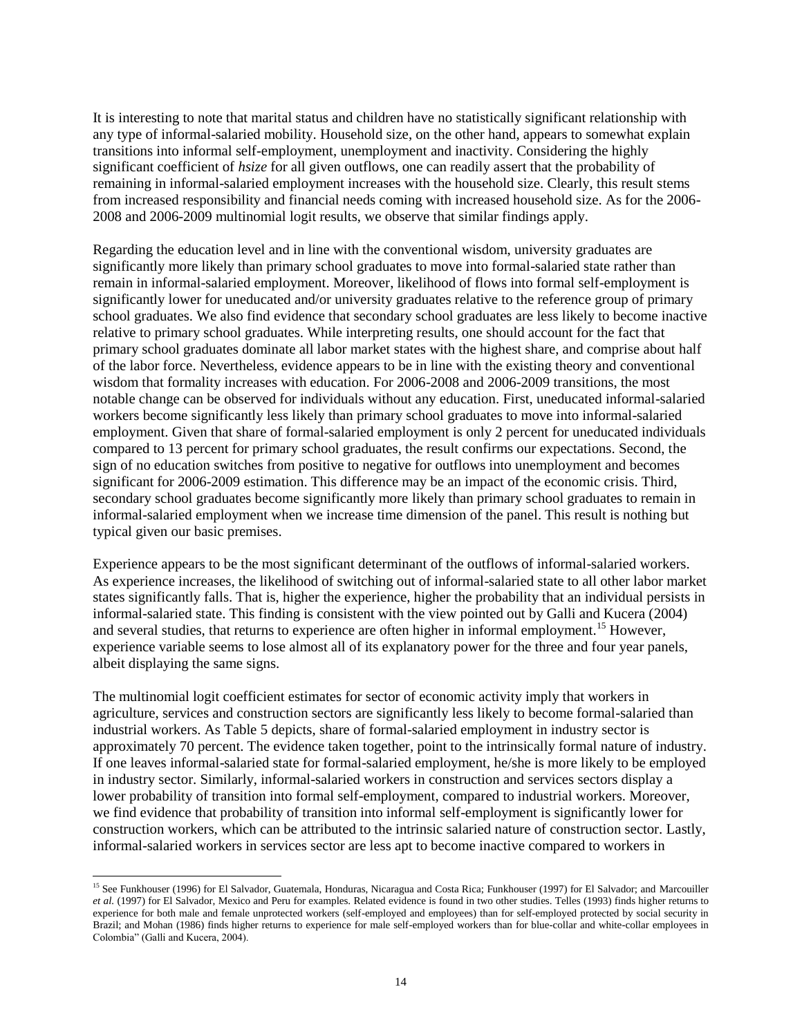It is interesting to note that marital status and children have no statistically significant relationship with any type of informal-salaried mobility. Household size, on the other hand, appears to somewhat explain transitions into informal self-employment, unemployment and inactivity. Considering the highly significant coefficient of *hsize* for all given outflows, one can readily assert that the probability of remaining in informal-salaried employment increases with the household size. Clearly, this result stems from increased responsibility and financial needs coming with increased household size. As for the 2006- 2008 and 2006-2009 multinomial logit results, we observe that similar findings apply.

Regarding the education level and in line with the conventional wisdom, university graduates are significantly more likely than primary school graduates to move into formal-salaried state rather than remain in informal-salaried employment. Moreover, likelihood of flows into formal self-employment is significantly lower for uneducated and/or university graduates relative to the reference group of primary school graduates. We also find evidence that secondary school graduates are less likely to become inactive relative to primary school graduates. While interpreting results, one should account for the fact that primary school graduates dominate all labor market states with the highest share, and comprise about half of the labor force. Nevertheless, evidence appears to be in line with the existing theory and conventional wisdom that formality increases with education. For 2006-2008 and 2006-2009 transitions, the most notable change can be observed for individuals without any education. First, uneducated informal-salaried workers become significantly less likely than primary school graduates to move into informal-salaried employment. Given that share of formal-salaried employment is only 2 percent for uneducated individuals compared to 13 percent for primary school graduates, the result confirms our expectations. Second, the sign of no education switches from positive to negative for outflows into unemployment and becomes significant for 2006-2009 estimation. This difference may be an impact of the economic crisis. Third, secondary school graduates become significantly more likely than primary school graduates to remain in informal-salaried employment when we increase time dimension of the panel. This result is nothing but typical given our basic premises.

Experience appears to be the most significant determinant of the outflows of informal-salaried workers. As experience increases, the likelihood of switching out of informal-salaried state to all other labor market states significantly falls. That is, higher the experience, higher the probability that an individual persists in informal-salaried state. This finding is consistent with the view pointed out by Galli and Kucera (2004) and several studies, that returns to experience are often higher in informal employment.<sup>15</sup> However, experience variable seems to lose almost all of its explanatory power for the three and four year panels, albeit displaying the same signs.

The multinomial logit coefficient estimates for sector of economic activity imply that workers in agriculture, services and construction sectors are significantly less likely to become formal-salaried than industrial workers. As Table 5 depicts, share of formal-salaried employment in industry sector is approximately 70 percent. The evidence taken together, point to the intrinsically formal nature of industry. If one leaves informal-salaried state for formal-salaried employment, he/she is more likely to be employed in industry sector. Similarly, informal-salaried workers in construction and services sectors display a lower probability of transition into formal self-employment, compared to industrial workers. Moreover, we find evidence that probability of transition into informal self-employment is significantly lower for construction workers, which can be attributed to the intrinsic salaried nature of construction sector. Lastly, informal-salaried workers in services sector are less apt to become inactive compared to workers in

l

<sup>&</sup>lt;sup>15</sup> See Funkhouser (1996) for El Salvador, Guatemala, Honduras, Nicaragua and Costa Rica; Funkhouser (1997) for El Salvador; and Marcouiller *et al.* (1997) for El Salvador, Mexico and Peru for examples. Related evidence is found in two other studies. Telles (1993) finds higher returns to experience for both male and female unprotected workers (self-employed and employees) than for self-employed protected by social security in Brazil; and Mohan (1986) finds higher returns to experience for male self-employed workers than for blue-collar and white-collar employees in Colombia" (Galli and Kucera, 2004).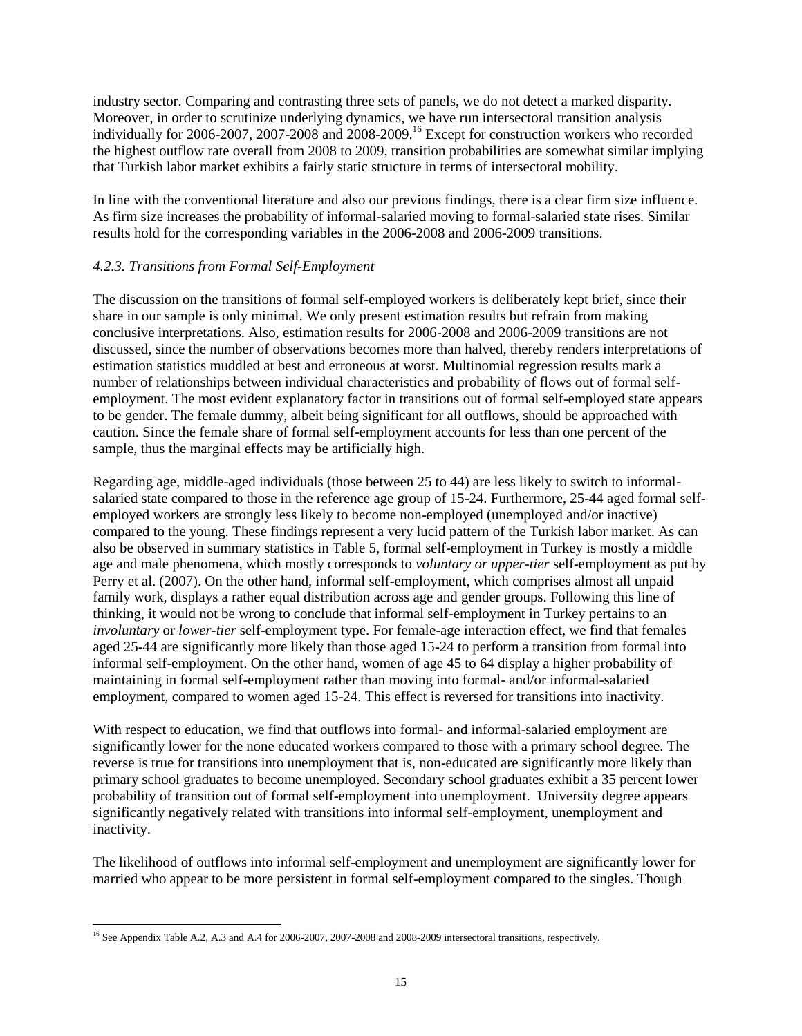industry sector. Comparing and contrasting three sets of panels, we do not detect a marked disparity. Moreover, in order to scrutinize underlying dynamics, we have run intersectoral transition analysis individually for 2006-2007, 2007-2008 and 2008-2009.<sup>16</sup> Except for construction workers who recorded the highest outflow rate overall from 2008 to 2009, transition probabilities are somewhat similar implying that Turkish labor market exhibits a fairly static structure in terms of intersectoral mobility.

In line with the conventional literature and also our previous findings, there is a clear firm size influence. As firm size increases the probability of informal-salaried moving to formal-salaried state rises. Similar results hold for the corresponding variables in the 2006-2008 and 2006-2009 transitions.

## *4.2.3. Transitions from Formal Self-Employment*

The discussion on the transitions of formal self-employed workers is deliberately kept brief, since their share in our sample is only minimal. We only present estimation results but refrain from making conclusive interpretations. Also, estimation results for 2006-2008 and 2006-2009 transitions are not discussed, since the number of observations becomes more than halved, thereby renders interpretations of estimation statistics muddled at best and erroneous at worst. Multinomial regression results mark a number of relationships between individual characteristics and probability of flows out of formal selfemployment. The most evident explanatory factor in transitions out of formal self-employed state appears to be gender. The female dummy, albeit being significant for all outflows, should be approached with caution. Since the female share of formal self-employment accounts for less than one percent of the sample, thus the marginal effects may be artificially high.

Regarding age, middle-aged individuals (those between 25 to 44) are less likely to switch to informalsalaried state compared to those in the reference age group of 15-24. Furthermore, 25-44 aged formal selfemployed workers are strongly less likely to become non-employed (unemployed and/or inactive) compared to the young. These findings represent a very lucid pattern of the Turkish labor market. As can also be observed in summary statistics in Table 5, formal self-employment in Turkey is mostly a middle age and male phenomena, which mostly corresponds to *voluntary or upper-tier* self-employment as put by Perry et al. (2007). On the other hand, informal self-employment, which comprises almost all unpaid family work, displays a rather equal distribution across age and gender groups. Following this line of thinking, it would not be wrong to conclude that informal self-employment in Turkey pertains to an *involuntary* or *lower-tier* self-employment type. For female-age interaction effect, we find that females aged 25-44 are significantly more likely than those aged 15-24 to perform a transition from formal into informal self-employment. On the other hand, women of age 45 to 64 display a higher probability of maintaining in formal self-employment rather than moving into formal- and/or informal-salaried employment, compared to women aged 15-24. This effect is reversed for transitions into inactivity.

With respect to education, we find that outflows into formal- and informal-salaried employment are significantly lower for the none educated workers compared to those with a primary school degree. The reverse is true for transitions into unemployment that is, non-educated are significantly more likely than primary school graduates to become unemployed. Secondary school graduates exhibit a 35 percent lower probability of transition out of formal self-employment into unemployment. University degree appears significantly negatively related with transitions into informal self-employment, unemployment and inactivity.

The likelihood of outflows into informal self-employment and unemployment are significantly lower for married who appear to be more persistent in formal self-employment compared to the singles. Though

 $\overline{a}$ <sup>16</sup> See Appendix Table A.2, A.3 and A.4 for 2006-2007, 2007-2008 and 2008-2009 intersectoral transitions, respectively.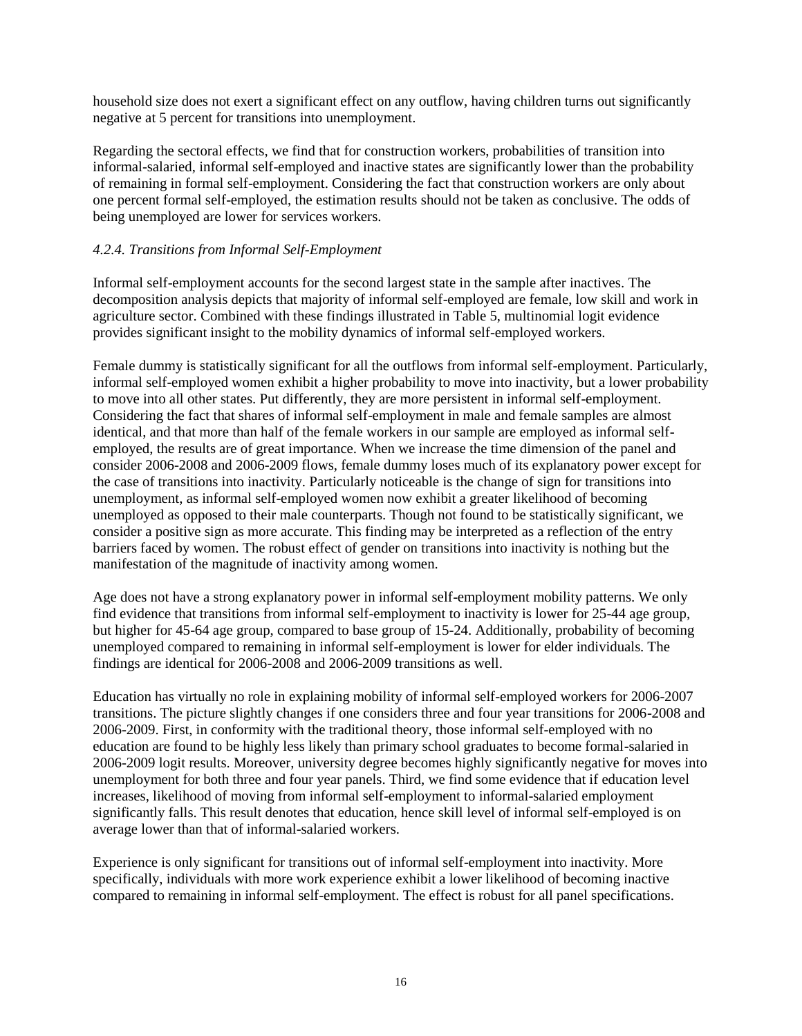household size does not exert a significant effect on any outflow, having children turns out significantly negative at 5 percent for transitions into unemployment.

Regarding the sectoral effects, we find that for construction workers, probabilities of transition into informal-salaried, informal self-employed and inactive states are significantly lower than the probability of remaining in formal self-employment. Considering the fact that construction workers are only about one percent formal self-employed, the estimation results should not be taken as conclusive. The odds of being unemployed are lower for services workers.

## *4.2.4. Transitions from Informal Self-Employment*

Informal self-employment accounts for the second largest state in the sample after inactives. The decomposition analysis depicts that majority of informal self-employed are female, low skill and work in agriculture sector. Combined with these findings illustrated in Table 5, multinomial logit evidence provides significant insight to the mobility dynamics of informal self-employed workers.

Female dummy is statistically significant for all the outflows from informal self-employment. Particularly, informal self-employed women exhibit a higher probability to move into inactivity, but a lower probability to move into all other states. Put differently, they are more persistent in informal self-employment. Considering the fact that shares of informal self-employment in male and female samples are almost identical, and that more than half of the female workers in our sample are employed as informal selfemployed, the results are of great importance. When we increase the time dimension of the panel and consider 2006-2008 and 2006-2009 flows, female dummy loses much of its explanatory power except for the case of transitions into inactivity. Particularly noticeable is the change of sign for transitions into unemployment, as informal self-employed women now exhibit a greater likelihood of becoming unemployed as opposed to their male counterparts. Though not found to be statistically significant, we consider a positive sign as more accurate. This finding may be interpreted as a reflection of the entry barriers faced by women. The robust effect of gender on transitions into inactivity is nothing but the manifestation of the magnitude of inactivity among women.

Age does not have a strong explanatory power in informal self-employment mobility patterns. We only find evidence that transitions from informal self-employment to inactivity is lower for 25-44 age group, but higher for 45-64 age group, compared to base group of 15-24. Additionally, probability of becoming unemployed compared to remaining in informal self-employment is lower for elder individuals. The findings are identical for 2006-2008 and 2006-2009 transitions as well.

Education has virtually no role in explaining mobility of informal self-employed workers for 2006-2007 transitions. The picture slightly changes if one considers three and four year transitions for 2006-2008 and 2006-2009. First, in conformity with the traditional theory, those informal self-employed with no education are found to be highly less likely than primary school graduates to become formal-salaried in 2006-2009 logit results. Moreover, university degree becomes highly significantly negative for moves into unemployment for both three and four year panels. Third, we find some evidence that if education level increases, likelihood of moving from informal self-employment to informal-salaried employment significantly falls. This result denotes that education, hence skill level of informal self-employed is on average lower than that of informal-salaried workers.

Experience is only significant for transitions out of informal self-employment into inactivity. More specifically, individuals with more work experience exhibit a lower likelihood of becoming inactive compared to remaining in informal self-employment. The effect is robust for all panel specifications.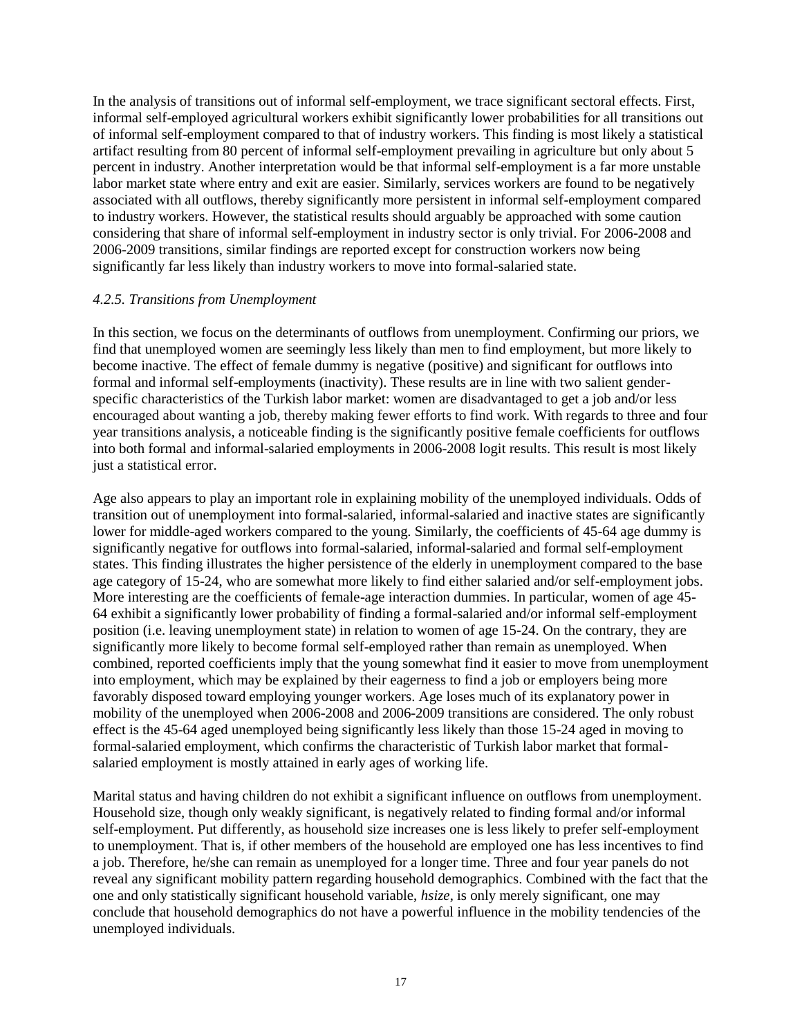In the analysis of transitions out of informal self-employment, we trace significant sectoral effects. First, informal self-employed agricultural workers exhibit significantly lower probabilities for all transitions out of informal self-employment compared to that of industry workers. This finding is most likely a statistical artifact resulting from 80 percent of informal self-employment prevailing in agriculture but only about 5 percent in industry. Another interpretation would be that informal self-employment is a far more unstable labor market state where entry and exit are easier. Similarly, services workers are found to be negatively associated with all outflows, thereby significantly more persistent in informal self-employment compared to industry workers. However, the statistical results should arguably be approached with some caution considering that share of informal self-employment in industry sector is only trivial. For 2006-2008 and 2006-2009 transitions, similar findings are reported except for construction workers now being significantly far less likely than industry workers to move into formal-salaried state.

## *4.2.5. Transitions from Unemployment*

In this section, we focus on the determinants of outflows from unemployment. Confirming our priors, we find that unemployed women are seemingly less likely than men to find employment, but more likely to become inactive. The effect of female dummy is negative (positive) and significant for outflows into formal and informal self-employments (inactivity). These results are in line with two salient genderspecific characteristics of the Turkish labor market: women are disadvantaged to get a job and/or less encouraged about wanting a job, thereby making fewer efforts to find work. With regards to three and four year transitions analysis, a noticeable finding is the significantly positive female coefficients for outflows into both formal and informal-salaried employments in 2006-2008 logit results. This result is most likely just a statistical error.

Age also appears to play an important role in explaining mobility of the unemployed individuals. Odds of transition out of unemployment into formal-salaried, informal-salaried and inactive states are significantly lower for middle-aged workers compared to the young. Similarly, the coefficients of 45-64 age dummy is significantly negative for outflows into formal-salaried, informal-salaried and formal self-employment states. This finding illustrates the higher persistence of the elderly in unemployment compared to the base age category of 15-24, who are somewhat more likely to find either salaried and/or self-employment jobs. More interesting are the coefficients of female-age interaction dummies. In particular, women of age 45- 64 exhibit a significantly lower probability of finding a formal-salaried and/or informal self-employment position (i.e. leaving unemployment state) in relation to women of age 15-24. On the contrary, they are significantly more likely to become formal self-employed rather than remain as unemployed. When combined, reported coefficients imply that the young somewhat find it easier to move from unemployment into employment, which may be explained by their eagerness to find a job or employers being more favorably disposed toward employing younger workers. Age loses much of its explanatory power in mobility of the unemployed when 2006-2008 and 2006-2009 transitions are considered. The only robust effect is the 45-64 aged unemployed being significantly less likely than those 15-24 aged in moving to formal-salaried employment, which confirms the characteristic of Turkish labor market that formalsalaried employment is mostly attained in early ages of working life.

Marital status and having children do not exhibit a significant influence on outflows from unemployment. Household size, though only weakly significant, is negatively related to finding formal and/or informal self-employment. Put differently, as household size increases one is less likely to prefer self-employment to unemployment. That is, if other members of the household are employed one has less incentives to find a job. Therefore, he/she can remain as unemployed for a longer time. Three and four year panels do not reveal any significant mobility pattern regarding household demographics. Combined with the fact that the one and only statistically significant household variable, *hsize*, is only merely significant, one may conclude that household demographics do not have a powerful influence in the mobility tendencies of the unemployed individuals.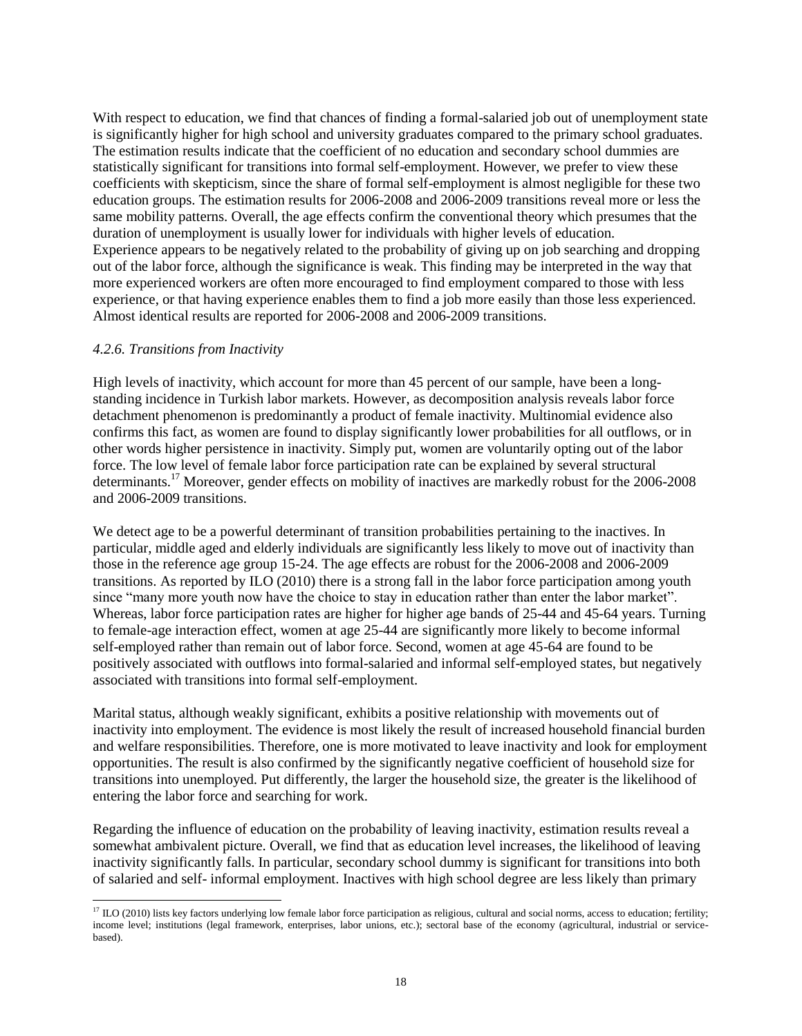With respect to education, we find that chances of finding a formal-salaried job out of unemployment state is significantly higher for high school and university graduates compared to the primary school graduates. The estimation results indicate that the coefficient of no education and secondary school dummies are statistically significant for transitions into formal self-employment. However, we prefer to view these coefficients with skepticism, since the share of formal self-employment is almost negligible for these two education groups. The estimation results for 2006-2008 and 2006-2009 transitions reveal more or less the same mobility patterns. Overall, the age effects confirm the conventional theory which presumes that the duration of unemployment is usually lower for individuals with higher levels of education. Experience appears to be negatively related to the probability of giving up on job searching and dropping out of the labor force, although the significance is weak. This finding may be interpreted in the way that more experienced workers are often more encouraged to find employment compared to those with less experience, or that having experience enables them to find a job more easily than those less experienced. Almost identical results are reported for 2006-2008 and 2006-2009 transitions.

#### *4.2.6. Transitions from Inactivity*

High levels of inactivity, which account for more than 45 percent of our sample, have been a longstanding incidence in Turkish labor markets. However, as decomposition analysis reveals labor force detachment phenomenon is predominantly a product of female inactivity. Multinomial evidence also confirms this fact, as women are found to display significantly lower probabilities for all outflows, or in other words higher persistence in inactivity. Simply put, women are voluntarily opting out of the labor force. The low level of female labor force participation rate can be explained by several structural determinants.<sup>17</sup> Moreover, gender effects on mobility of inactives are markedly robust for the 2006-2008 and 2006-2009 transitions.

We detect age to be a powerful determinant of transition probabilities pertaining to the inactives. In particular, middle aged and elderly individuals are significantly less likely to move out of inactivity than those in the reference age group 15-24. The age effects are robust for the 2006-2008 and 2006-2009 transitions. As reported by ILO (2010) there is a strong fall in the labor force participation among youth since "many more youth now have the choice to stay in education rather than enter the labor market". Whereas, labor force participation rates are higher for higher age bands of 25-44 and 45-64 years. Turning to female-age interaction effect, women at age 25-44 are significantly more likely to become informal self-employed rather than remain out of labor force. Second, women at age 45-64 are found to be positively associated with outflows into formal-salaried and informal self-employed states, but negatively associated with transitions into formal self-employment.

Marital status, although weakly significant, exhibits a positive relationship with movements out of inactivity into employment. The evidence is most likely the result of increased household financial burden and welfare responsibilities. Therefore, one is more motivated to leave inactivity and look for employment opportunities. The result is also confirmed by the significantly negative coefficient of household size for transitions into unemployed. Put differently, the larger the household size, the greater is the likelihood of entering the labor force and searching for work.

Regarding the influence of education on the probability of leaving inactivity, estimation results reveal a somewhat ambivalent picture. Overall, we find that as education level increases, the likelihood of leaving inactivity significantly falls. In particular, secondary school dummy is significant for transitions into both of salaried and self- informal employment. Inactives with high school degree are less likely than primary

 $\overline{a}$  $^{17}$  ILO (2010) lists key factors underlying low female labor force participation as religious, cultural and social norms, access to education; fertility; income level; institutions (legal framework, enterprises, labor unions, etc.); sectoral base of the economy (agricultural, industrial or servicebased).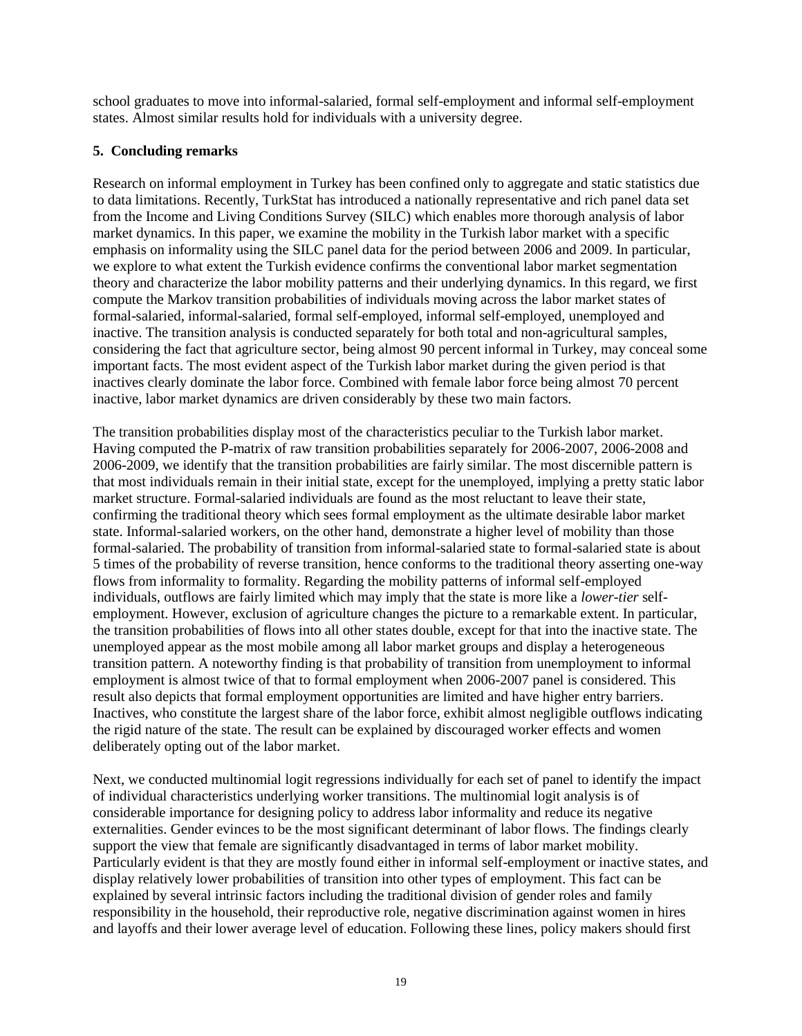school graduates to move into informal-salaried, formal self-employment and informal self-employment states. Almost similar results hold for individuals with a university degree.

# **5. Concluding remarks**

Research on informal employment in Turkey has been confined only to aggregate and static statistics due to data limitations. Recently, TurkStat has introduced a nationally representative and rich panel data set from the Income and Living Conditions Survey (SILC) which enables more thorough analysis of labor market dynamics. In this paper, we examine the mobility in the Turkish labor market with a specific emphasis on informality using the SILC panel data for the period between 2006 and 2009. In particular, we explore to what extent the Turkish evidence confirms the conventional labor market segmentation theory and characterize the labor mobility patterns and their underlying dynamics. In this regard, we first compute the Markov transition probabilities of individuals moving across the labor market states of formal-salaried, informal-salaried, formal self-employed, informal self-employed, unemployed and inactive. The transition analysis is conducted separately for both total and non-agricultural samples, considering the fact that agriculture sector, being almost 90 percent informal in Turkey, may conceal some important facts. The most evident aspect of the Turkish labor market during the given period is that inactives clearly dominate the labor force. Combined with female labor force being almost 70 percent inactive, labor market dynamics are driven considerably by these two main factors.

The transition probabilities display most of the characteristics peculiar to the Turkish labor market. Having computed the P-matrix of raw transition probabilities separately for 2006-2007, 2006-2008 and 2006-2009, we identify that the transition probabilities are fairly similar. The most discernible pattern is that most individuals remain in their initial state, except for the unemployed, implying a pretty static labor market structure. Formal-salaried individuals are found as the most reluctant to leave their state, confirming the traditional theory which sees formal employment as the ultimate desirable labor market state. Informal-salaried workers, on the other hand, demonstrate a higher level of mobility than those formal-salaried. The probability of transition from informal-salaried state to formal-salaried state is about 5 times of the probability of reverse transition, hence conforms to the traditional theory asserting one-way flows from informality to formality. Regarding the mobility patterns of informal self-employed individuals, outflows are fairly limited which may imply that the state is more like a *lower-tier* selfemployment. However, exclusion of agriculture changes the picture to a remarkable extent. In particular, the transition probabilities of flows into all other states double, except for that into the inactive state. The unemployed appear as the most mobile among all labor market groups and display a heterogeneous transition pattern. A noteworthy finding is that probability of transition from unemployment to informal employment is almost twice of that to formal employment when 2006-2007 panel is considered. This result also depicts that formal employment opportunities are limited and have higher entry barriers. Inactives, who constitute the largest share of the labor force, exhibit almost negligible outflows indicating the rigid nature of the state. The result can be explained by discouraged worker effects and women deliberately opting out of the labor market.

Next, we conducted multinomial logit regressions individually for each set of panel to identify the impact of individual characteristics underlying worker transitions. The multinomial logit analysis is of considerable importance for designing policy to address labor informality and reduce its negative externalities. Gender evinces to be the most significant determinant of labor flows. The findings clearly support the view that female are significantly disadvantaged in terms of labor market mobility. Particularly evident is that they are mostly found either in informal self-employment or inactive states, and display relatively lower probabilities of transition into other types of employment. This fact can be explained by several intrinsic factors including the traditional division of gender roles and family responsibility in the household, their reproductive role, negative discrimination against women in hires and layoffs and their lower average level of education. Following these lines, policy makers should first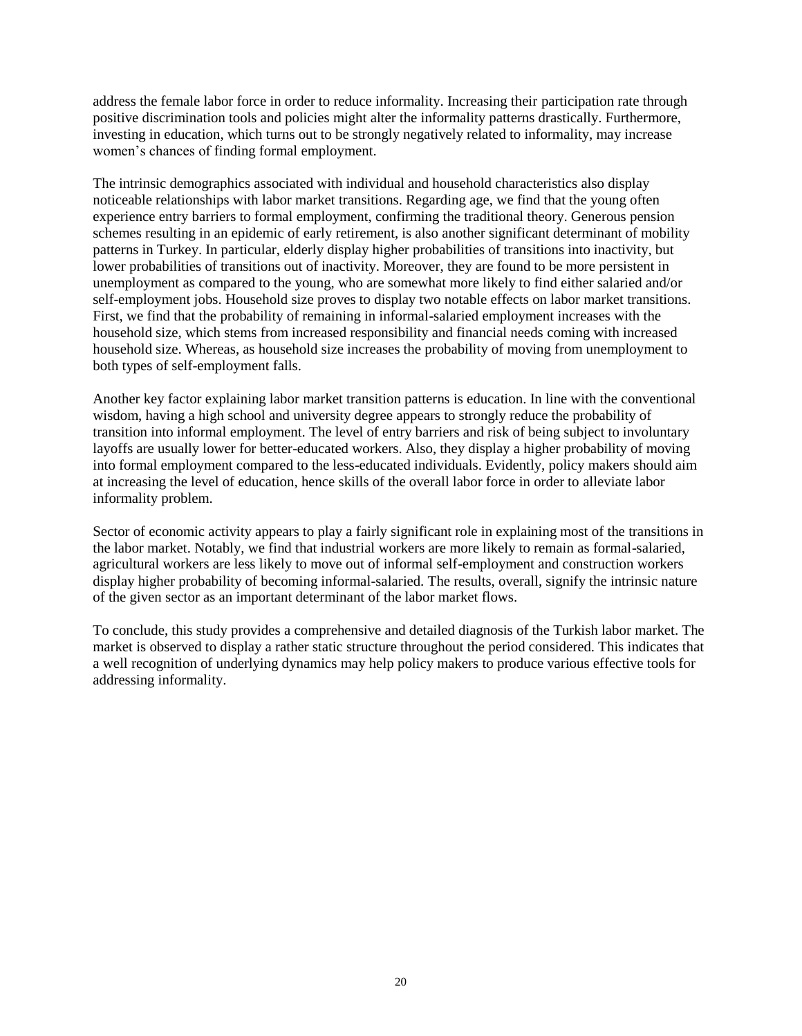address the female labor force in order to reduce informality. Increasing their participation rate through positive discrimination tools and policies might alter the informality patterns drastically. Furthermore, investing in education, which turns out to be strongly negatively related to informality, may increase women's chances of finding formal employment.

The intrinsic demographics associated with individual and household characteristics also display noticeable relationships with labor market transitions. Regarding age, we find that the young often experience entry barriers to formal employment, confirming the traditional theory. Generous pension schemes resulting in an epidemic of early retirement, is also another significant determinant of mobility patterns in Turkey. In particular, elderly display higher probabilities of transitions into inactivity, but lower probabilities of transitions out of inactivity. Moreover, they are found to be more persistent in unemployment as compared to the young, who are somewhat more likely to find either salaried and/or self-employment jobs. Household size proves to display two notable effects on labor market transitions. First, we find that the probability of remaining in informal-salaried employment increases with the household size, which stems from increased responsibility and financial needs coming with increased household size. Whereas, as household size increases the probability of moving from unemployment to both types of self-employment falls.

Another key factor explaining labor market transition patterns is education. In line with the conventional wisdom, having a high school and university degree appears to strongly reduce the probability of transition into informal employment. The level of entry barriers and risk of being subject to involuntary layoffs are usually lower for better-educated workers. Also, they display a higher probability of moving into formal employment compared to the less-educated individuals. Evidently, policy makers should aim at increasing the level of education, hence skills of the overall labor force in order to alleviate labor informality problem.

Sector of economic activity appears to play a fairly significant role in explaining most of the transitions in the labor market. Notably, we find that industrial workers are more likely to remain as formal-salaried, agricultural workers are less likely to move out of informal self-employment and construction workers display higher probability of becoming informal-salaried. The results, overall, signify the intrinsic nature of the given sector as an important determinant of the labor market flows.

To conclude, this study provides a comprehensive and detailed diagnosis of the Turkish labor market. The market is observed to display a rather static structure throughout the period considered. This indicates that a well recognition of underlying dynamics may help policy makers to produce various effective tools for addressing informality.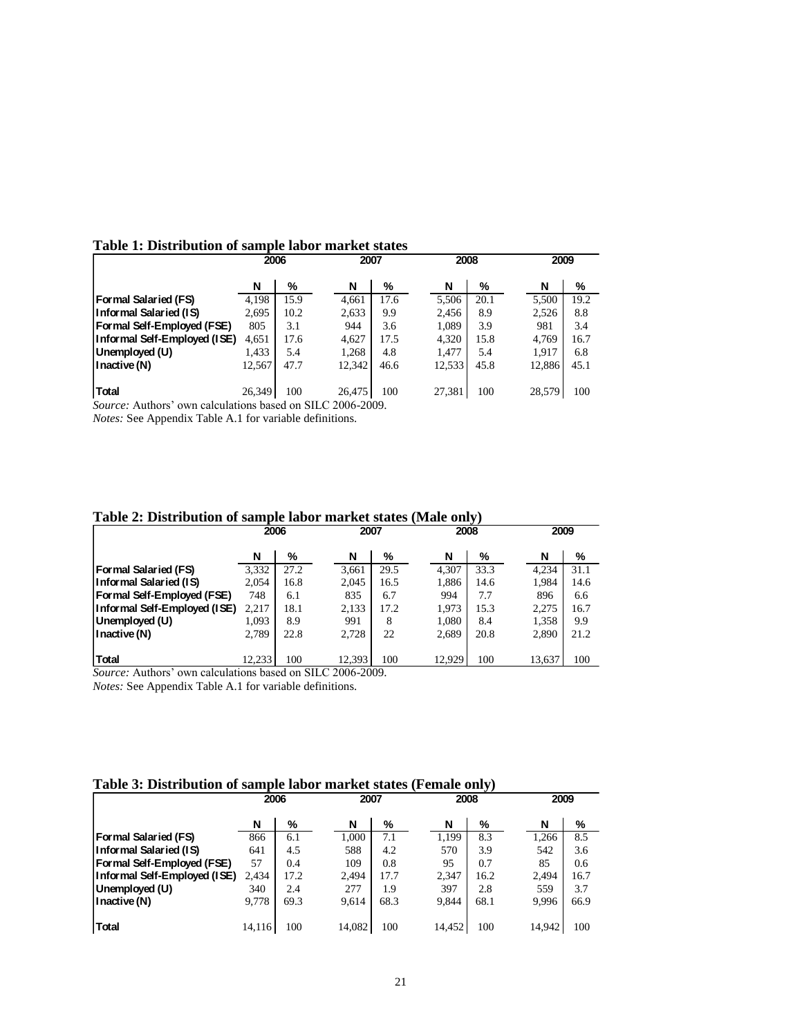|                              | 2006   |      | 2007   |      | 2008   |      | 2009   |      |
|------------------------------|--------|------|--------|------|--------|------|--------|------|
|                              | N      | %    | N      | %    | N      | %    | N      | %    |
| Formal Salaried (FS)         | 4,198  | 15.9 | 4,661  | 17.6 | 5,506  | 20.1 | 5,500  | 19.2 |
| Informal Salaried (IS)       | 2,695  | 10.2 | 2,633  | 9.9  | 2,456  | 8.9  | 2,526  | 8.8  |
| Formal Self-Employed (FSE)   | 805    | 3.1  | 944    | 3.6  | 1,089  | 3.9  | 981    | 3.4  |
| Informal Self-Employed (ISE) | 4,651  | 17.6 | 4,627  | 17.5 | 4,320  | 15.8 | 4,769  | 16.7 |
| Unemployed (U)               | 1,433  | 5.4  | 1,268  | 4.8  | 1,477  | 5.4  | 1,917  | 6.8  |
| I nactive (N)                | 12,567 | 47.7 | 12,342 | 46.6 | 12,533 | 45.8 | 12,886 | 45.1 |
|                              |        |      |        |      |        |      |        |      |
| Total                        | 26.349 | 100  | 26.475 | 100  | 27,381 | 100  | 28,579 | 100  |

## **Table 1: Distribution of sample labor market states**

*Source:* Authors' own calculations based on SILC 2006-2009.

*Notes:* See Appendix Table A.1 for variable definitions.

|                                   | 2006   |      | 2007   |      | 2008   |      | 2009   |      |
|-----------------------------------|--------|------|--------|------|--------|------|--------|------|
|                                   | N      | %    | N      | %    | N      | %    | N      | %    |
| <b>Formal Salaried (FS)</b>       | 3,332  | 27.2 | 3,661  | 29.5 | 4,307  | 33.3 | 4,234  | 31.1 |
| Informal Salaried (IS)            | 2,054  | 16.8 | 2,045  | 16.5 | 1,886  | 14.6 | 1,984  | 14.6 |
| <b>Formal Self-Employed (FSE)</b> | 748    | 6.1  | 835    | 6.7  | 994    | 7.7  | 896    | 6.6  |
| Informal Self-Employed (ISE)      | 2,217  | 18.1 | 2,133  | 17.2 | 1,973  | 15.3 | 2,275  | 16.7 |
| Unemployed (U)                    | 1,093  | 8.9  | 991    | 8    | 1,080  | 8.4  | 1,358  | 9.9  |
| l Inactive (N)                    | 2.789  | 22.8 | 2.728  | 22   | 2,689  | 20.8 | 2.890  | 21.2 |
|                                   |        |      |        |      |        |      |        |      |
| Total                             | 12,233 | 100  | 12,393 | 100  | 12,929 | 100  | 13,637 | 100  |

# **Table 2: Distribution of sample labor market states (Male only)**

*Source:* Authors' own calculations based on SILC 2006-2009.

*Notes:* See Appendix Table A.1 for variable definitions.

## **Table 3: Distribution of sample labor market states (Female only)**

|                              | 2006   |      |     | 2007   |      | 2008   |      |        | 2009 |
|------------------------------|--------|------|-----|--------|------|--------|------|--------|------|
|                              | N      | %    | N   |        | %    | N      | %    | N      | %    |
| <b>Formal Salaried (FS)</b>  | 866    | 6.1  |     | 1.000  | 7.1  | 1,199  | 8.3  | 1,266  | 8.5  |
| Informal Salaried (IS)       | 641    | 4.5  |     | 588    | 4.2  | 570    | 3.9  | 542    | 3.6  |
| Formal Self-Employed (FSE)   | 57     | 0.4  |     | 109    | 0.8  | 95     | 0.7  | 85     | 0.6  |
| Informal Self-Employed (ISE) | 2,434  | 17.2 |     | 2,494  | 17.7 | 2,347  | 16.2 | 2.494  | 16.7 |
| Unemployed (U)               | 340    | 2.4  | 277 |        | 1.9  | 397    | 2.8  | 559    | 3.7  |
| l Inactive (N)               | 9.778  | 69.3 |     | 9.614  | 68.3 | 9.844  | 68.1 | 9,996  | 66.9 |
|                              |        |      |     |        |      |        |      |        |      |
| <b>Total</b>                 | 14,116 | 100  |     | 14,082 | 100  | 14.452 | 100  | 14,942 | 100  |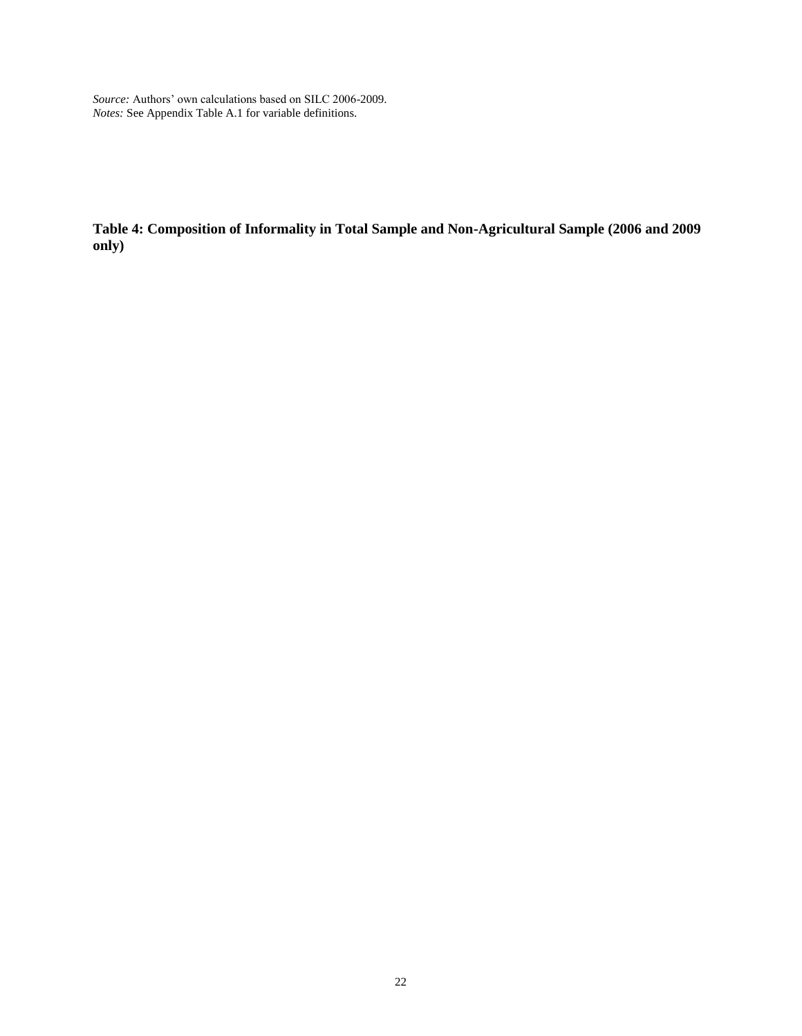*Source:* Authors' own calculations based on SILC 2006-2009. *Notes:* See Appendix Table A.1 for variable definitions.

**Table 4: Composition of Informality in Total Sample and Non-Agricultural Sample (2006 and 2009 only)**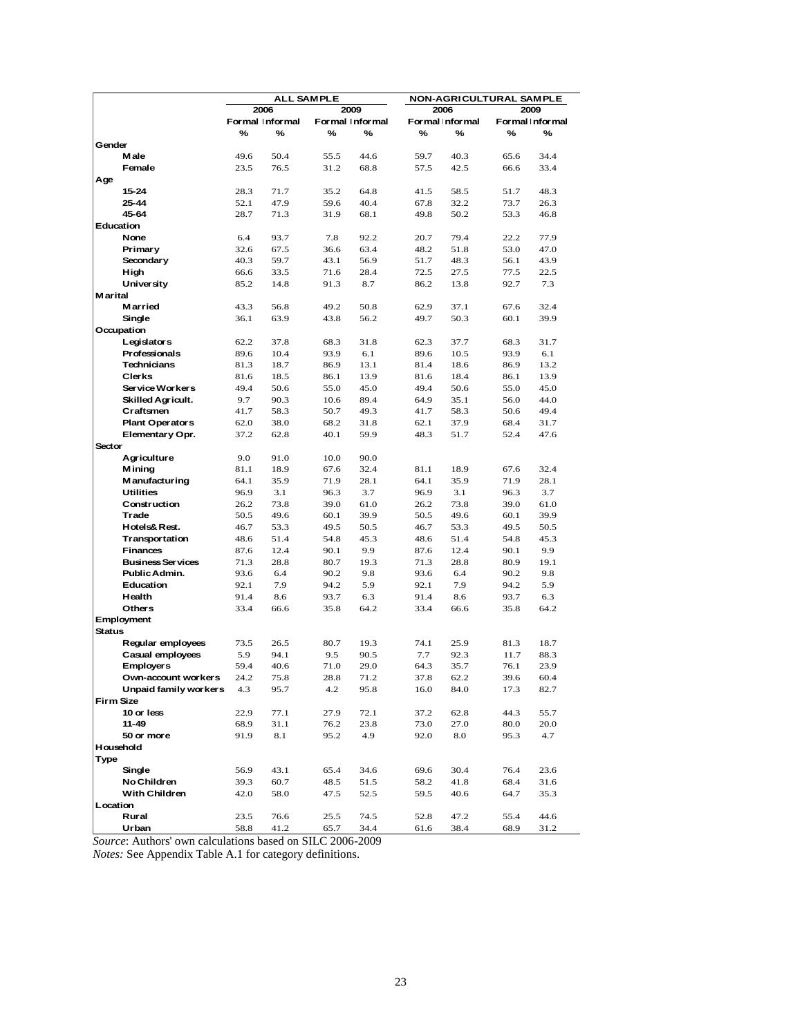|                |                                  |              |                 | <b>ALL SAMPLE</b> |                 |              | NON-AGRICULTURAL SAMPLE |              |                 |
|----------------|----------------------------------|--------------|-----------------|-------------------|-----------------|--------------|-------------------------|--------------|-----------------|
|                |                                  |              | 2006            |                   | 2009            |              | 2006                    |              | 2009            |
|                |                                  |              | Formal Informal |                   | Formal Informal |              | Formal Informal         |              | Formal Informal |
|                |                                  | %            | %               | ℅                 | %               | ℅            | %                       | %            | %               |
| Gender         |                                  |              |                 |                   |                 |              |                         |              |                 |
|                | Male<br>Female                   | 49.6<br>23.5 | 50.4<br>76.5    | 55.5              | 44.6            | 59.7         | 40.3                    | 65.6         | 34.4            |
| Age            |                                  |              |                 | 31.2              | 68.8            | 57.5         | 42.5                    | 66.6         | 33.4            |
|                | 15-24                            | 28.3         | 71.7            | 35.2              | 64.8            | 41.5         | 58.5                    | 51.7         | 48.3            |
|                | 25-44                            | 52.1         | 47.9            | 59.6              | 40.4            | 67.8         | 32.2                    | 73.7         | 26.3            |
|                | 45-64                            | 28.7         | 71.3            | 31.9              | 68.1            | 49.8         | 50.2                    | 53.3         | 46.8            |
|                | Education                        |              |                 |                   |                 |              |                         |              |                 |
|                | None                             | 6.4          | 93.7            | 7.8               | 92.2            | 20.7         | 79.4                    | 22.2         | 77.9            |
|                | Primary                          | 32.6         | 67.5            | 36.6              | 63.4            | 48.2         | 51.8                    | 53.0         | 47.0            |
|                | Secondary                        | 40.3         | 59.7            | 43.1              | 56.9            | 51.7         | 48.3                    | 56.1         | 43.9            |
|                | High                             | 66.6         | 33.5            | 71.6              | 28.4            | 72.5         | 27.5                    | 77.5         | 22.5            |
|                | <b>University</b>                | 85.2         | 14.8            | 91.3              | 8.7             | 86.2         | 13.8                    | 92.7         | 7.3             |
| <b>Marital</b> |                                  |              |                 |                   |                 |              |                         |              |                 |
|                | Married                          | 43.3         | 56.8            | 49.2              | 50.8            | 62.9         | 37.1                    | 67.6         | 32.4            |
|                | Single<br>Occupation             | 36.1         | 63.9            | 43.8              | 56.2            | 49.7         | 50.3                    | 60.1         | 39.9            |
|                | Legislators                      | 62.2         | 37.8            | 68.3              | 31.8            | 62.3         | 37.7                    | 68.3         | 31.7            |
|                | Professionals                    | 89.6         | 10.4            | 93.9              | 6.1             | 89.6         | 10.5                    | 93.9         | 6.1             |
|                | <b>Technicians</b>               | 81.3         | 18.7            | 86.9              | 13.1            | 81.4         | 18.6                    | 86.9         | 13.2            |
|                | <b>Clerks</b>                    | 81.6         | 18.5            | 86.1              | 13.9            | 81.6         | 18.4                    | 86.1         | 13.9            |
|                | Service Workers                  | 49.4         | 50.6            | 55.0              | 45.0            | 49.4         | 50.6                    | 55.0         | 45.0            |
|                | <b>Skilled Agricult.</b>         | 9.7          | 90.3            | 10.6              | 89.4            | 64.9         | 35.1                    | 56.0         | 44.0            |
|                | Craftsmen                        | 41.7         | 58.3            | 50.7              | 49.3            | 41.7         | 58.3                    | 50.6         | 49.4            |
|                | <b>Plant Operators</b>           | 62.0         | 38.0            | 68.2              | 31.8            | 62.1         | 37.9                    | 68.4         | 31.7            |
|                | Elementary Opr.                  | 37.2         | 62.8            | 40.1              | 59.9            | 48.3         | 51.7                    | 52.4         | 47.6            |
| Sector         |                                  |              |                 |                   |                 |              |                         |              |                 |
|                | Agriculture                      | 9.0          | 91.0            | 10.0              | 90.0            |              |                         |              |                 |
|                | <b>Mining</b>                    | 81.1         | 18.9            | 67.6              | 32.4            | 81.1         | 18.9                    | 67.6         | 32.4            |
|                | <b>Manufacturing</b>             | 64.1         | 35.9            | 71.9              | 28.1            | 64.1         | 35.9                    | 71.9         | 28.1            |
|                | <b>Utilities</b><br>Construction | 96.9         | 3.1             | 96.3              | 3.7             | 96.9         | 3.1                     | 96.3         | 3.7<br>61.0     |
|                | Trade                            | 26.2<br>50.5 | 73.8<br>49.6    | 39.0<br>60.1      | 61.0<br>39.9    | 26.2<br>50.5 | 73.8<br>49.6            | 39.0<br>60.1 | 39.9            |
|                | Hotels& Rest.                    | 46.7         | 53.3            | 49.5              | 50.5            | 46.7         | 53.3                    | 49.5         | 50.5            |
|                | Transportation                   | 48.6         | 51.4            | 54.8              | 45.3            | 48.6         | 51.4                    | 54.8         | 45.3            |
|                | <b>Finances</b>                  | 87.6         | 12.4            | 90.1              | 9.9             | 87.6         | 12.4                    | 90.1         | 9.9             |
|                | <b>Business Services</b>         | 71.3         | 28.8            | 80.7              | 19.3            | 71.3         | 28.8                    | 80.9         | 19.1            |
|                | Public Admin.                    | 93.6         | 6.4             | 90.2              | 9.8             | 93.6         | 6.4                     | 90.2         | 9.8             |
|                | Education                        | 92.1         | 7.9             | 94.2              | 5.9             | 92.1         | 7.9                     | 94.2         | 5.9             |
|                | Health                           | 91.4         | 8.6             | 93.7              | 6.3             | 91.4         | 8.6                     | 93.7         | 6.3             |
|                | <b>Others</b>                    | 33.4         | 66.6            | 35.8              | 64.2            | 33.4         | 66.6                    | 35.8         | 64.2            |
|                | Employment                       |              |                 |                   |                 |              |                         |              |                 |
| <b>Status</b>  | Regular employees                |              |                 |                   |                 |              |                         |              |                 |
|                | Casual employees                 | 73.5<br>5.9  | 26.5<br>94.1    | 80.7<br>9.5       | 19.3<br>90.5    | 74.1<br>7.7  | 25.9<br>92.3            | 81.3<br>11.7 | 18.7<br>88.3    |
|                | <b>Employers</b>                 | 59.4         | 40.6            | 71.0              | 29.0            | 64.3         | 35.7                    | 76.1         | 23.9            |
|                | Own-account workers              | 24.2         | 75.8            | 28.8              | 71.2            | 37.8         | 62.2                    | 39.6         | 60.4            |
|                | Unpaid family workers            | 4.3          | 95.7            | 4.2               | 95.8            | 16.0         | 84.0                    | 17.3         | 82.7            |
|                | <b>Firm Size</b>                 |              |                 |                   |                 |              |                         |              |                 |
|                | 10 or less                       | 22.9         | 77.1            | 27.9              | 72.1            | 37.2         | 62.8                    | 44.3         | 55.7            |
|                | $11 - 49$                        | 68.9         | 31.1            | 76.2              | 23.8            | 73.0         | 27.0                    | 80.0         | 20.0            |
|                | 50 or more                       | 91.9         | 8.1             | 95.2              | 4.9             | 92.0         | 8.0                     | 95.3         | 4.7             |
|                | Household                        |              |                 |                   |                 |              |                         |              |                 |
| Type           |                                  |              |                 |                   |                 |              |                         |              |                 |
|                | Single                           | 56.9         | 43.1            | 65.4              | 34.6            | 69.6         | 30.4                    | 76.4         | 23.6            |
|                | No Children                      | 39.3         | 60.7            | 48.5              | 51.5            | 58.2         | 41.8                    | 68.4         | 31.6            |
|                | With Children                    | 42.0         | 58.0            | 47.5              | 52.5            | 59.5         | 40.6                    | 64.7         | 35.3            |
| Location       | Rural                            |              |                 |                   | 74.5            |              |                         | 55.4         |                 |
|                | Urban                            | 23.5<br>58.8 | 76.6<br>41.2    | 25.5<br>65.7      | 34.4            | 52.8<br>61.6 | 47.2<br>38.4            | 68.9         | 44.6<br>31.2    |
|                |                                  |              |                 |                   |                 |              |                         |              |                 |

*Source*: Authors' own calculations based on SILC 2006-2009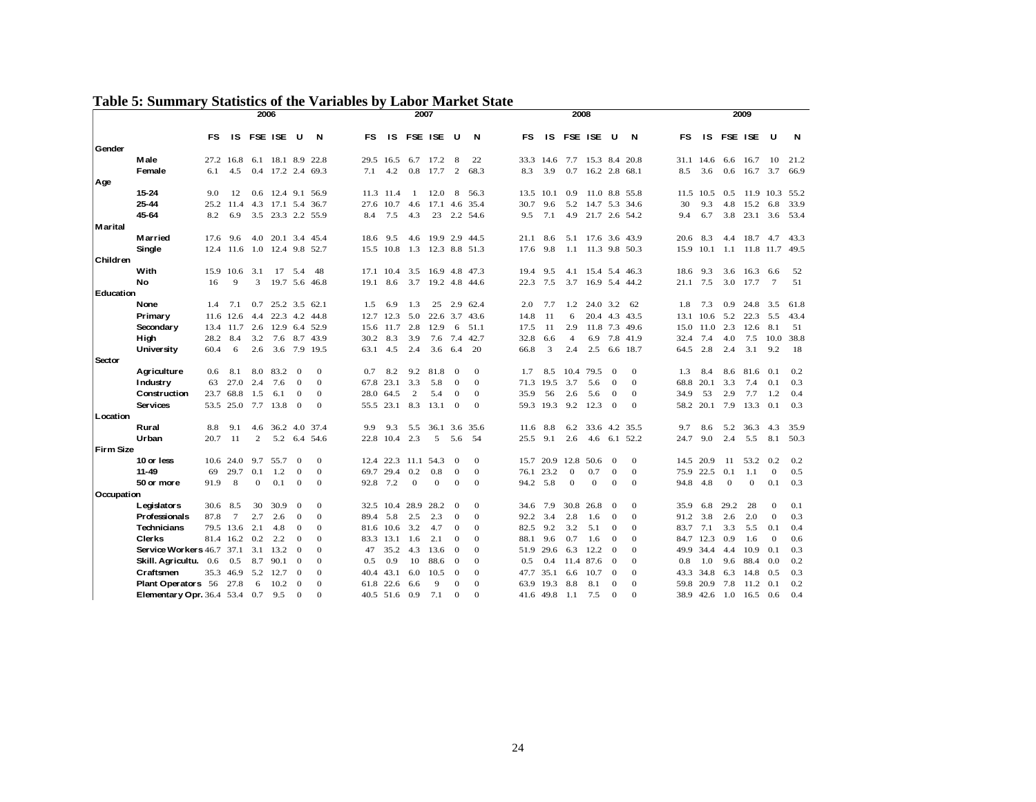# **Table 5: Summary Statistics of the Variables by Labor Market State**

|                  | <b>Table 5: Summary Statistics of the Variables by Labor Market State</b> |      |                 |                |                   |                |               |      |           |              |          |                |               |           |           |                |               |                  |               |      |      |              |              |                 |      |
|------------------|---------------------------------------------------------------------------|------|-----------------|----------------|-------------------|----------------|---------------|------|-----------|--------------|----------|----------------|---------------|-----------|-----------|----------------|---------------|------------------|---------------|------|------|--------------|--------------|-----------------|------|
|                  |                                                                           |      |                 |                | 2006              |                |               |      |           |              | 2007     |                |               |           |           | 2008           |               |                  |               |      |      |              | 2009         |                 |      |
|                  |                                                                           | FS   | 1S              |                | <b>FSE ISE</b>    | U              | N             | FS   | 1S        |              | FSE ISE  | υ              | N             | <b>FS</b> | <b>IS</b> |                | FSE ISE       | U                | N             | FS   | IS   | FSE ISE      |              | U               | N    |
| Gender           |                                                                           |      |                 |                |                   |                |               |      |           |              |          |                |               |           |           |                |               |                  |               |      |      |              |              |                 |      |
|                  | Male                                                                      |      | 27.2 16.8       |                | 6.1 18.1 8.9      |                | 22.8          | 29.5 | 16.5      | 6.7          | 17.2     | 8              | 22            | 33.3      | 14.6      | 7.7            | 15.3 8.4 20.8 |                  |               | 31.1 | 14.6 | 6.6          | 16.7         | 10              | 21.2 |
|                  | Female                                                                    | 6.1  | 4.5             |                | 0.4 17.2 2.4 69.3 |                |               | 7.1  | 4.2       | 0.8          | 17.7     | $\overline{c}$ | 68.3          | 8.3       | 3.9       | 0.7            | 16.2 2.8 68.1 |                  |               | 8.5  | 3.6  | 0.6          | 16.7         | 3.7             | 66.9 |
| Age              |                                                                           |      |                 |                |                   |                |               |      |           |              |          |                |               |           |           |                |               |                  |               |      |      |              |              |                 |      |
|                  | $15 - 24$                                                                 | 9.0  | 12              | 0.6            | 12.4              | 9.1            | 56.9          | 11.3 | 11.4      | -1           | 12.0     | 8              | 56.3          | 13.5      | 10.1      | 0.9            |               |                  | 11.0 8.8 55.8 | 11.5 | 10.5 | 0.5          | 11.9         | 10.3            | 55.2 |
|                  | 25-44                                                                     |      | 25.2 11.4       | 4.3            | 17.1 5.4          |                | 36.7          | 27.6 | 10.7      | 4.6          |          |                | 17.1 4.6 35.4 | 30.7      | 9.6       | 5.2            | 14.7 5.3 34.6 |                  |               | 30   | 9.3  | 4.8          | 15.2         | 6.8             | 33.9 |
|                  | 45-64                                                                     | 8.2  | 6.9             |                | 3.5 23.3 2.2 55.9 |                |               | 8.4  | 7.5       | 4.3          | 23       |                | 2.2 54.6      | 9.5       | 7.1       | 4.9            | 21.7 2.6 54.2 |                  |               | 9.4  | 6.7  | 3.8          | 23.1         | 3.6             | 53.4 |
| <b>Marital</b>   |                                                                           |      |                 |                |                   |                |               |      |           |              |          |                |               |           |           |                |               |                  |               |      |      |              |              |                 |      |
|                  | Married                                                                   | 17.6 | 9.6             | 4.0            | 20.1 3.4          |                | 45.4          | 18.6 | 9.5       | 4.6          | 19.9     | 2.9            | 44.5          | 21.1      | 8.6       | 5.1            | 17.6 3.6 43.9 |                  |               | 20.6 | 8.3  | 4.4          | 18.7         | 4.7             | 43.3 |
| Children         | Single                                                                    |      | 12.4 11.6       | 1.0            |                   |                | 12.4 9.8 52.7 |      | 15.5 10.8 | 1.3          |          |                | 12.3 8.8 51.3 | 17.6      | 9.8       | 1.1            |               |                  | 11.3 9.8 50.3 | 15.9 | 10.1 | 1.1          |              | 11.8 11.7       | 49.5 |
|                  | With                                                                      | 15.9 | 10.6            | 3.1            | 17                | 5.4            | 48            |      | 17.1 10.4 | 3.5          |          |                | 16.9 4.8 47.3 | 19.4      | 9.5       | 4.1            |               |                  | 15.4 5.4 46.3 | 18.6 | 9.3  | 3.6          | 16.3         | 6.6             | 52   |
|                  | No                                                                        | 16   | 9               | 3              | 19.7              | 5.6            | 46.8          | 19.1 | 8.6       | 3.7          |          |                | 19.2 4.8 44.6 | 22.3      | 7.5       | 3.7            |               |                  | 16.9 5.4 44.2 | 21.1 | 7.5  | 3.0          | 17.7         | $7\phantom{.0}$ | 51   |
| Education        |                                                                           |      |                 |                |                   |                |               |      |           |              |          |                |               |           |           |                |               |                  |               |      |      |              |              |                 |      |
|                  | None                                                                      | 1.4  | 7.1             | 0.7            |                   |                | 25.2 3.5 62.1 | 1.5  | 6.9       | 1.3          | 25       | 2.9            | 62.4          | 2.0       | 7.7       | 1.2            | 24.0 3.2      |                  | 62            | 1.8  | 7.3  | 0.9          | 24.8         | 3.5             | 61.8 |
|                  | Primary                                                                   | 11.6 | 12.6            | 4.4            | $22.3$ 4.2        |                | 44.8          |      | 12.7 12.3 | 5.0          | 22.6     |                | 3.7 43.6      | 14.8      | 11        | 6              |               |                  | 20.4 4.3 43.5 | 13.1 | 10.6 | 5.2          | 22.3         | 5.5             | 43.4 |
|                  | Secondary                                                                 |      | 13.4 11.7       | 2.6            | 12.9              | 6.4            | 52.9          | 15.6 | 11.7      | 2.8          | 12.9     | 6              | 51.1          | 17.5      | -11       | 2.9            | 11.8          |                  | 7.3 49.6      | 15.0 | 11.0 | 2.3          | 12.6         | 8.1             | 51   |
|                  | High                                                                      | 28.2 | 8.4             | 3.2            | 7.6               | 8.7            | 43.9          | 30.2 | 8.3       | 3.9          | 7.6      | 7.4            | 42.7          | 32.8      | 6.6       | $\overline{4}$ | 6.9           |                  | 7.8 41.9      | 32.4 | 7.4  | 4.0          | 7.5          | 10.0            | 38.8 |
|                  | <b>University</b>                                                         | 60.4 | 6               | 2.6            | 3.6               |                | 7.9 19.5      | 63.1 | 4.5       | 2.4          | 3.6      | 6.4            | 20            | 66.8      | 3         | 2.4            | 2.5           |                  | 6.6 18.7      | 64.5 | 2.8  | 2.4          | 3.1          | 9.2             | 18   |
| Sector           |                                                                           |      |                 |                |                   |                |               |      |           |              |          |                |               |           |           |                |               |                  |               |      |      |              |              |                 |      |
|                  | Agriculture                                                               | 0.6  | 8.1             | 8.0            | 83.2              | $\Omega$       | $\mathbf{0}$  | 0.7  | 8.2       | 9.2          | 81.8     | $\Omega$       | $\mathbf{0}$  | 1.7       | 8.5       | 10.4           | 79.5          | $\mathbf 0$      | $\mathbf{0}$  | 1.3  | 8.4  | 8.6          | 81.6         | 0.1             | 0.2  |
|                  | Industry                                                                  | 63   | 27.0            | 2.4            | 7.6               | $\theta$       | $\mathbf{0}$  | 67.8 | 23.1      | 3.3          | 5.8      | $\theta$       | $\mathbf{0}$  |           | 71.3 19.5 | 3.7            | 5.6           | $\mathbf{0}$     | $\mathbf{0}$  | 68.8 | 20.1 | 3.3          | 7.4          | 0.1             | 0.3  |
|                  | <b>Construction</b>                                                       |      | 23.7 68.8       | 1.5            | 6.1               | $\mathbf{0}$   | $\mathbf 0$   | 28.0 | 64.5      | $\mathbf{2}$ | 5.4      | $\mathbf{0}$   | $\bf{0}$      | 35.9      | 56        | 2.6            | 5.6           | $\mathbf 0$      | $\bf{0}$      | 34.9 | 53   | 2.9          | 7.7          | 1.2             | 0.4  |
|                  | Ser vices                                                                 |      | 53.5 25.0       | 7.7            | 13.8              | $\Omega$       | $\mathbf{0}$  |      | 55.5 23.1 | 8.3          | 13.1     | $\Omega$       | $\Omega$      |           | 59.3 19.3 | 9.2            | 12.3          | $\mathbf{0}$     | $\mathbf{0}$  | 58.2 | 20.1 | 7.9          | 13.3         | 0.1             | 0.3  |
| Location         |                                                                           |      |                 |                |                   |                |               |      |           |              |          |                |               |           |           |                |               |                  |               |      |      |              |              |                 |      |
|                  | Rural                                                                     | 8.8  | 9.1             | 4.6            |                   |                | 36.2 4.0 37.4 | 9.9  | 9.3       | 5.5          |          |                | 36.1 3.6 35.6 | 11.6      | 8.8       | 6.2            | 33.6 4.2 35.5 |                  |               | 9.7  | 8.6  | 5.2          | 36.3         | 4.3             | 35.9 |
|                  | Urban                                                                     | 20.7 | 11              | $\mathfrak{2}$ | 5.2               | 6.4            | 54.6          | 22.8 | 10.4      | 2.3          | 5        | 5.6            | 54            | 25.5      | 9.1       | 2.6            | 4.6           |                  | 6.1 52.2      | 24.7 | 9.0  | 2.4          | 5.5          | 8.1             | 50.3 |
| <b>Firm Size</b> |                                                                           |      |                 |                |                   |                |               |      |           |              |          |                |               |           |           |                |               |                  |               |      |      |              |              |                 |      |
|                  | 10 or less                                                                |      | 10.6 24.0       | 9.7            | 55.7              | $\Omega$       | $\mathbf{0}$  | 12.4 |           | 22.3 11.1    | 54.3     | $\Omega$       | $\mathbf{0}$  | 15.7      | 20.9      | 12.8           | 50.6          | $\mathbf 0$      | $\mathbf{0}$  | 14.5 | 20.9 | 11           | 53.2         | 0.2             | 0.2  |
|                  | $11 - 49$                                                                 | 69   | 29.7            | 0.1            | 1.2               | $\mathbf{O}$   | $\mathbf 0$   | 69.7 | 29.4      | 0.2          | 0.8      | $\overline{0}$ | $\mathbf{0}$  | 76.1      | 23.2      | $\mathbf{0}$   | 0.7           | $\boldsymbol{0}$ | $\mathbf{0}$  | 75.9 | 22.5 | 0.1          | 1.1          | $\mathbf 0$     | 0.5  |
|                  | 50 or more                                                                | 91.9 | 8               | $\mathbf{O}$   | 0.1               | $\mathbf{0}$   | $\mathbf{0}$  | 92.8 | 7.2       | $\mathbf{0}$ | $\theta$ | $\overline{0}$ | $\mathbf{0}$  | 94.2 5.8  |           | $\mathbf{O}$   | $\mathbf{0}$  | $\mathbf{0}$     | $\mathbf{0}$  | 94.8 | 4.8  | $\mathbf{0}$ | $\mathbf{0}$ | 0.1             | 0.3  |
| Occupation       |                                                                           |      |                 |                |                   |                |               |      |           |              |          |                |               |           |           |                |               |                  |               |      |      |              |              |                 |      |
|                  | Legislators                                                               | 30.6 | 8.5             | 30             | 30.9              | $\Omega$       | $\mathbf{0}$  | 32.5 | 10.4      | 28.9         | 28.2     | $\Omega$       | $\mathbf{0}$  | 34.6      | 7.9       | 30.8           | 26.8          | $\theta$         | $\mathbf{0}$  | 35.9 | 6.8  | 29.2         | 28           | $\mathbf{0}$    | 0.1  |
|                  | Professionals                                                             | 87.8 | $7\phantom{.0}$ | 2.7            | 2.6               | $\overline{0}$ | $\mathbf{0}$  | 89.4 | 5.8       | 2.5          | 2.3      | $\overline{0}$ | $\mathbf{0}$  | 92.2      | 3.4       | 2.8            | 1.6           | $\mathbf 0$      | $\mathbf{0}$  | 91.2 | 3.8  | 2.6          | 2.0          | $\mathbf 0$     | 0.3  |
|                  | <b>Technicians</b>                                                        |      | 79.5 13.6       | 2.1            | 4.8               | $\Omega$       | $\mathbf{0}$  | 81.6 | 10.6      | 3.2          | 4.7      | $\Omega$       | $\mathbf{0}$  | 82.5      | 9.2       | 3.2            | 5.1           | $\theta$         | $\mathbf{0}$  | 83.7 | 7.1  | 3.3          | 5.5          | 0.1             | 0.4  |
|                  | <b>Clerks</b>                                                             |      | 81.4 16.2       | 0.2            | 2.2               | $\Omega$       | $\mathbf{0}$  | 83.3 | 13.1      | 1.6          | 2.1      | $\theta$       | $\Omega$      | 88.1      | 9.6       | 0.7            | 1.6           | $\,0\,$          | $\mathbf{0}$  | 84.7 | 12.3 | 0.9          | 1.6          | $\mathbf{0}$    | 0.6  |
|                  | <b>Service Workers 46.7 37.1</b>                                          |      |                 | 3.1            | 13.2              | $\Omega$       | $\mathbf{0}$  | 47   | 35.2      | 4.3          | 13.6     | $\theta$       | $\mathbf{0}$  | 51.9      | 29.6      | 6.3            | 12.2          | $\theta$         | $\mathbf{0}$  | 49.9 | 34.4 | 4.4          | 10.9         | 0.1             | 0.3  |
|                  | Skill. Agricultu.                                                         | 0.6  | 0.5             | 8.7            | 90.1              | $\overline{0}$ | $\mathbf{0}$  | 0.5  | 0.9       | 10           | 88.6     | $\theta$       | $\mathbf{0}$  | 0.5       | 0.4       | 11.4           | 87.6          | $\mathbf 0$      | $\mathbf{0}$  | 0.8  | 1.0  | 9.6          | 88.4         | 0.0             | 0.2  |
|                  | Craftsmen                                                                 | 35.3 | 46.9            | 5.2            | 12.7              | $\Omega$       | $\Omega$      | 40.4 | 43.1      | 6.0          | 10.5     | $\Omega$       | $\Omega$      | 47.7      | 35.1      | 6.6            | 10.7          | $\theta$         | $\Omega$      | 43.3 | 34.8 | 6.3          | 14.8         | 0.5             | 0.3  |
|                  | <b>Plant Operators 56</b>                                                 |      | 27.8            | 6              | 10.2              | $\Omega$       | $\Omega$      | 61.8 | 22.6      | 6.6          | 9        | $\Omega$       | $\Omega$      | 63.9      | 19.3      | 8.8            | 8.1           | $\theta$         | $\Omega$      | 59.8 | 20.9 | 7.8          | 11.2         | 0.1             | 0.2  |
|                  | Elementary Opr. 36.4 53.4                                                 |      |                 | 0.7            | 9.5               | $\Omega$       | $\Omega$      |      | 40.5 51.6 | 0.9          | 7.1      | $\Omega$       | $\Omega$      |           | 41.6 49.8 | 1.1            | 7.5           | $\mathbf{0}$     | $\Omega$      | 38.9 | 42.6 | 1.0          | 16.5         | 0.6             | 0.4  |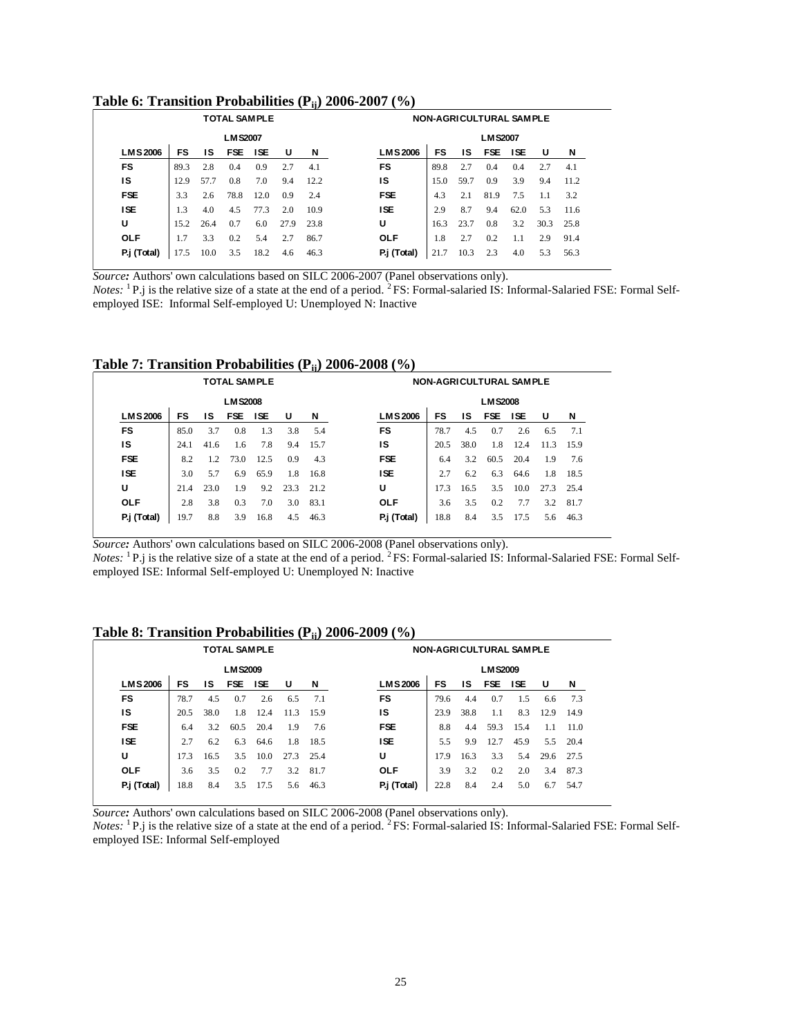## **Table 6: Transition Probabilities (Pij) 2006-2007 (%)**

| able 6: Transition Probabilities ( $P_{ii}$ ) 2006-2007 (%)<br><b>TOTAL SAMPLE</b><br><b>NON-AGRICULTURAL SAMPLE</b> |      |      |                |            |      |      |                |      |      |                |            |      |      |
|----------------------------------------------------------------------------------------------------------------------|------|------|----------------|------------|------|------|----------------|------|------|----------------|------------|------|------|
|                                                                                                                      |      |      | <b>LMS2007</b> |            |      |      |                |      |      | <b>LMS2007</b> |            |      |      |
| <b>LMS2006</b>                                                                                                       | FS   | IS   | <b>FSE</b>     | <b>ISE</b> | U    | N    | <b>LMS2006</b> | FS   | ١S   | <b>FSE</b>     | <b>ISE</b> | U    | N    |
| <b>FS</b>                                                                                                            | 89.3 | 2.8  | 0.4            | 0.9        | 2.7  | 4.1  | <b>FS</b>      | 89.8 | 2.7  | 0.4            | 0.4        | 2.7  | 4.1  |
| IS                                                                                                                   | 12.9 | 57.7 | 0.8            | 7.0        | 9.4  | 12.2 | IS             | 15.0 | 59.7 | 0.9            | 3.9        | 9.4  | 11.2 |
| <b>FSE</b>                                                                                                           | 3.3  | 2.6  | 78.8           | 12.0       | 0.9  | 2.4  | <b>FSE</b>     | 4.3  | 2.1  | 81.9           | 7.5        | 1.1  | 3.2  |
| <b>ISE</b>                                                                                                           | 1.3  | 4.0  | 4.5            | 77.3       | 2.0  | 10.9 | <b>ISE</b>     | 2.9  | 8.7  | 9.4            | 62.0       | 5.3  | 11.6 |
| U                                                                                                                    | 15.2 | 26.4 | 0.7            | 6.0        | 27.9 | 23.8 | U              | 16.3 | 23.7 | 0.8            | 3.2        | 30.3 | 25.8 |
| <b>OLF</b>                                                                                                           | 1.7  | 3.3  | 0.2            | 5.4        | 2.7  | 86.7 | <b>OLF</b>     | 1.8  | 2.7  | 0.2            | 1.1        | 2.9  | 91.4 |
| P.j (Total)                                                                                                          | 17.5 | 10.0 | 3.5            | 18.2       | 4.6  | 46.3 | P.j (Total)    | 21.7 | 10.3 | 2.3            | 4.0        | 5.3  | 56.3 |

*Source:* Authors' own calculations based on SILC 2006-2007 (Panel observations only).

*Notes*: <sup>1</sup>P.j is the relative size of a state at the end of a period. <sup>2</sup>FS: Formal-salaried IS: Informal-Salaried FSE: Formal Selfemployed ISE: Informal Self-employed U: Unemployed N: Inactive

| Table 7: Transition Probabilities $(P_{ii})$ 2006-2008 $(\%)$ |  |  |
|---------------------------------------------------------------|--|--|
|---------------------------------------------------------------|--|--|

|                |      |      |                     |            |      |      | Table 7: Transition Probabilities (P <sub>ii</sub> ) 2006-2008 (%) |                                |      |                |            |      |      |
|----------------|------|------|---------------------|------------|------|------|--------------------------------------------------------------------|--------------------------------|------|----------------|------------|------|------|
|                |      |      | <b>TOTAL SAMPLE</b> |            |      |      |                                                                    | <b>NON-AGRICULTURAL SAMPLE</b> |      |                |            |      |      |
|                |      |      | <b>LMS2008</b>      |            |      |      |                                                                    |                                |      | <b>LMS2008</b> |            |      |      |
| <b>LMS2006</b> | FS   | IS   | <b>FSE</b>          | <b>ISE</b> | U    | N    | <b>LMS2006</b>                                                     | FS                             | IS   | <b>FSE</b>     | <b>ISE</b> | U    | N    |
| <b>FS</b>      | 85.0 | 3.7  | 0.8                 | 1.3        | 3.8  | 5.4  | <b>FS</b>                                                          | 78.7                           | 4.5  | 0.7            | 2.6        | 6.5  | 7.1  |
| IS             | 24.1 | 41.6 | 1.6                 | 7.8        | 9.4  | 15.7 | IS                                                                 | 20.5                           | 38.0 | 1.8            | 12.4       | 11.3 | 15.9 |
| <b>FSE</b>     | 8.2  | 1.2  | 73.0                | 12.5       | 0.9  | 4.3  | <b>FSE</b>                                                         | 6.4                            | 3.2  | 60.5           | 20.4       | 1.9  | 7.6  |
| <b>ISE</b>     | 3.0  | 5.7  | 6.9                 | 65.9       | 1.8  | 16.8 | <b>ISE</b>                                                         | 2.7                            | 6.2  | 6.3            | 64.6       | 1.8  | 18.5 |
| U              | 21.4 | 23.0 | 1.9                 | 9.2        | 23.3 | 21.2 | U                                                                  | 17.3                           | 16.5 | 3.5            | 10.0       | 27.3 | 25.4 |
| <b>OLF</b>     | 2.8  | 3.8  | 0.3                 | 7.0        | 3.0  | 83.1 | <b>OLF</b>                                                         | 3.6                            | 3.5  | 0.2            | 7.7        | 3.2  | 81.7 |
| P.j (Total)    | 19.7 | 8.8  | 3.9                 | 16.8       | 4.5  | 46.3 | P.j (Total)                                                        | 18.8                           | 8.4  | 3.5            | 17.5       | 5.6  | 46.3 |

*Source*: Authors' own calculations based on SILC 2006-2008 (Panel observations only).

*Notes*: <sup>1</sup>P.j is the relative size of a state at the end of a period. <sup>2</sup>FS: Formal-salaried IS: Informal-Salaried FSE: Formal Selfemployed ISE: Informal Self-employed U: Unemployed N: Inactive

## **Table 8: Transition Probabilities (Pij) 2006-2009 (%)**

| Table 8: Transition Probabilities ( $P_{ii}$ ) 2006-2009 (%)<br><b>TOTAL SAMPLE</b><br><b>NON-AGRICULTURAL SAMPLE</b> |      |      |                |            |      |      |                |      |      |                |      |      |      |  |
|-----------------------------------------------------------------------------------------------------------------------|------|------|----------------|------------|------|------|----------------|------|------|----------------|------|------|------|--|
|                                                                                                                       |      |      | <b>LMS2009</b> |            |      |      |                |      |      | <b>LMS2009</b> |      |      |      |  |
| <b>LMS2006</b>                                                                                                        | FS   | IS   | <b>FSE</b>     | <b>ISE</b> | U    | N    | <b>LMS2006</b> | FS   | ١S   | <b>FSE</b>     | 1SE  | U    | N    |  |
| <b>FS</b>                                                                                                             | 78.7 | 4.5  | 0.7            | 2.6        | 6.5  | 7.1  | FS             | 79.6 | 4.4  | 0.7            | 1.5  | 6.6  | 7.3  |  |
| IS                                                                                                                    | 20.5 | 38.0 | 1.8            | 12.4       | 11.3 | 15.9 | IS             | 23.9 | 38.8 | 1.1            | 8.3  | 12.9 | 14.9 |  |
| <b>FSE</b>                                                                                                            | 6.4  | 3.2  | 60.5           | 20.4       | 1.9  | 7.6  | <b>FSE</b>     | 8.8  | 4.4  | 59.3           | 15.4 | 1.1  | 11.0 |  |
| <b>ISE</b>                                                                                                            | 2.7  | 6.2  | 6.3            | 64.6       | 1.8  | 18.5 | <b>ISE</b>     | 5.5  | 9.9  | 12.7           | 45.9 | 5.5  | 20.4 |  |
| U                                                                                                                     | 17.3 | 16.5 | 3.5            | 10.0       | 27.3 | 25.4 | U              | 17.9 | 16.3 | 3.3            | 5.4  | 29.6 | 27.5 |  |
| <b>OLF</b>                                                                                                            | 3.6  | 3.5  | 0.2            | 7.7        | 3.2  | 81.7 | <b>OLF</b>     | 3.9  | 3.2  | 0.2            | 2.0  | 3.4  | 87.3 |  |
| P.j (Total)                                                                                                           | 18.8 | 8.4  | 3.5            | 17.5       | 5.6  | 46.3 | P.j (Total)    | 22.8 | 8.4  | 2.4            | 5.0  | 6.7  | 54.7 |  |

*Source:* Authors' own calculations based on SILC 2006-2008 (Panel observations only).

*Notes:* <sup>1</sup>P.j is the relative size of a state at the end of a period. <sup>2</sup>FS: Formal-salaried IS: Informal-Salaried FSE: Formal Selfemployed ISE: Informal Self-employed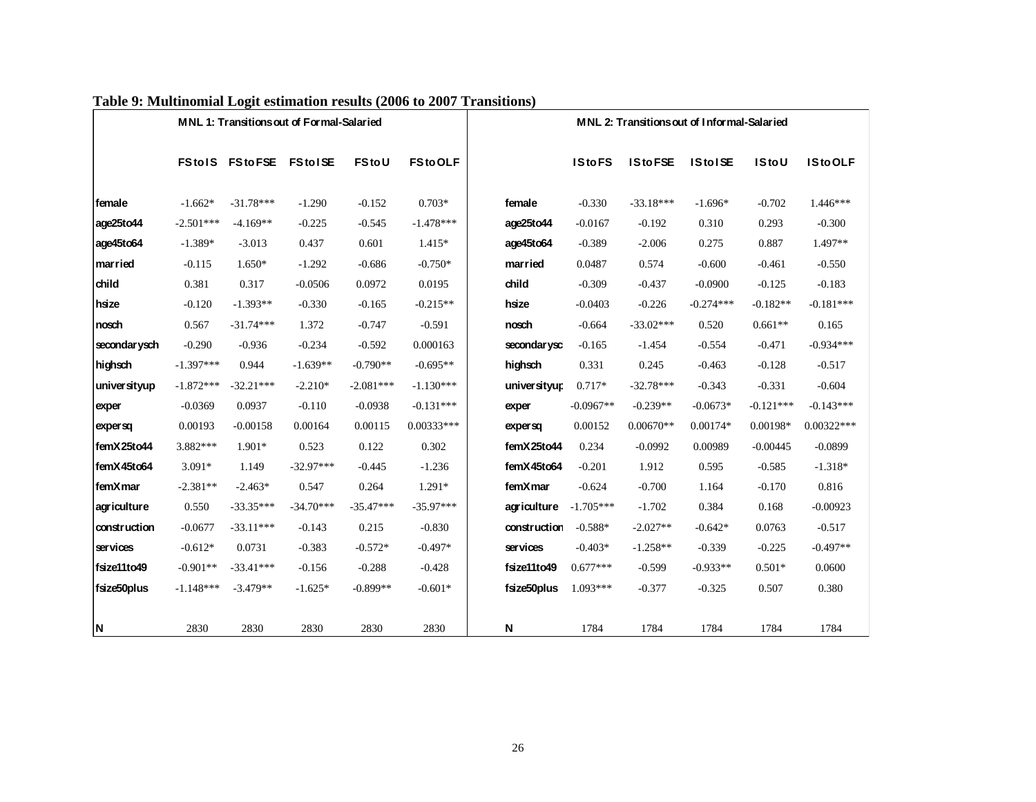| Table 9: Multinomial Logit estimation results (2006 to 2007 Transitions) |             |                                           |             |              |                |              |               |                                             |                |              |                |
|--------------------------------------------------------------------------|-------------|-------------------------------------------|-------------|--------------|----------------|--------------|---------------|---------------------------------------------|----------------|--------------|----------------|
|                                                                          |             | MNL 1: Transitions out of Formal-Salaried |             |              |                |              |               | MNL 2: Transitions out of Informal-Salaried |                |              |                |
|                                                                          |             | <b>FStolS FStoFSE FStolSE</b>             |             | <b>FStoU</b> | <b>FStoOLF</b> |              | <b>IStoFS</b> | <b>IStoFSE</b>                              | <b>IStoISE</b> | <b>IStoU</b> | <b>IStoOLF</b> |
| female                                                                   | $-1.662*$   | $-31.78***$                               | $-1.290$    | $-0.152$     | $0.703*$       | female       | $-0.330$      | $-33.18***$                                 | $-1.696*$      | $-0.702$     | $1.446***$     |
| age25to44                                                                | $-2.501***$ | $-4.169**$                                | $-0.225$    | $-0.545$     | $-1.478***$    | age25to44    | $-0.0167$     | $-0.192$                                    | 0.310          | 0.293        | $-0.300$       |
| age45to64                                                                | $-1.389*$   | $-3.013$                                  | 0.437       | 0.601        | $1.415*$       | age45to64    | $-0.389$      | $-2.006$                                    | 0.275          | 0.887        | $1.497**$      |
| married                                                                  | $-0.115$    | $1.650*$                                  | $-1.292$    | $-0.686$     | $-0.750*$      | married      | 0.0487        | 0.574                                       | $-0.600$       | $-0.461$     | $-0.550$       |
| child                                                                    | 0.381       | 0.317                                     | $-0.0506$   | 0.0972       | 0.0195         | child        | $-0.309$      | $-0.437$                                    | $-0.0900$      | $-0.125$     | $-0.183$       |
| hsize                                                                    | $-0.120$    | $-1.393**$                                | $-0.330$    | $-0.165$     | $-0.215**$     | hsize        | $-0.0403$     | $-0.226$                                    | $-0.274***$    | $-0.182**$   | $-0.181***$    |
| nosch                                                                    | 0.567       | $-31.74***$                               | 1.372       | $-0.747$     | $-0.591$       | nosch        | $-0.664$      | $-33.02***$                                 | 0.520          | $0.661**$    | 0.165          |
| secondar ysch                                                            | $-0.290$    | $-0.936$                                  | $-0.234$    | $-0.592$     | 0.000163       | secondarysc  | $-0.165$      | $-1.454$                                    | $-0.554$       | $-0.471$     | $-0.934***$    |
| highsch                                                                  | $-1.397***$ | 0.944                                     | $-1.639**$  | $-0.790**$   | $-0.695**$     | highsch      | 0.331         | 0.245                                       | $-0.463$       | $-0.128$     | $-0.517$       |
| universityup                                                             | $-1.872***$ | $-32.21***$                               | $-2.210*$   | $-2.081***$  | $-1.130***$    | universityur | $0.717*$      | $-32.78***$                                 | $-0.343$       | $-0.331$     | $-0.604$       |
| exper                                                                    | $-0.0369$   | 0.0937                                    | $-0.110$    | $-0.0938$    | $-0.131***$    | exper        | $-0.0967**$   | $-0.239**$                                  | $-0.0673*$     | $-0.121***$  | $-0.143***$    |
| expersq                                                                  | 0.00193     | $-0.00158$                                | 0.00164     | 0.00115      | $0.00333***$   | expersa      | 0.00152       | $0.00670**$                                 | $0.00174*$     | 0.00198*     | $0.00322***$   |
| femX25to44                                                               | 3.882***    | $1.901*$                                  | 0.523       | 0.122        | 0.302          | femX25to44   | 0.234         | $-0.0992$                                   | 0.00989        | $-0.00445$   | $-0.0899$      |
| femX45to64                                                               | $3.091*$    | 1.149                                     | $-32.97***$ | $-0.445$     | $-1.236$       | femX45to64   | $-0.201$      | 1.912                                       | 0.595          | $-0.585$     | $-1.318*$      |
| femXmar                                                                  | $-2.381**$  | $-2.463*$                                 | 0.547       | 0.264        | $1.291*$       | femXmar      | $-0.624$      | $-0.700$                                    | 1.164          | $-0.170$     | 0.816          |
| agriculture                                                              | 0.550       | $-33.35***$                               | $-34.70***$ | $-35.47***$  | $-35.97***$    | agriculture  | $-1.705***$   | $-1.702$                                    | 0.384          | 0.168        | $-0.00923$     |
| construction                                                             | $-0.0677$   | $-33.11***$                               | $-0.143$    | 0.215        | $-0.830$       | construction | $-0.588*$     | $-2.027**$                                  | $-0.642*$      | 0.0763       | $-0.517$       |
| services                                                                 | $-0.612*$   | 0.0731                                    | $-0.383$    | $-0.572*$    | $-0.497*$      | services     | $-0.403*$     | $-1.258**$                                  | $-0.339$       | $-0.225$     | $-0.497**$     |
| fsize11to49                                                              | $-0.901**$  | $-33.41***$                               | $-0.156$    | $-0.288$     | $-0.428$       | fsize11to49  | $0.677***$    | $-0.599$                                    | $-0.933**$     | $0.501*$     | 0.0600         |
| fsize50plus                                                              | $-1.148***$ | $-3.479**$                                | $-1.625*$   | $-0.899**$   | $-0.601*$      | fsize50plus  | $1.093***$    | $-0.377$                                    | $-0.325$       | 0.507        | 0.380          |
| N                                                                        | 2830        | 2830                                      | 2830        | 2830         | 2830           | N            | 1784          | 1784                                        | 1784           | 1784         | 1784           |

# **Table 9: Multinomial Logit estimation results (2006 to 2007 Transitions)**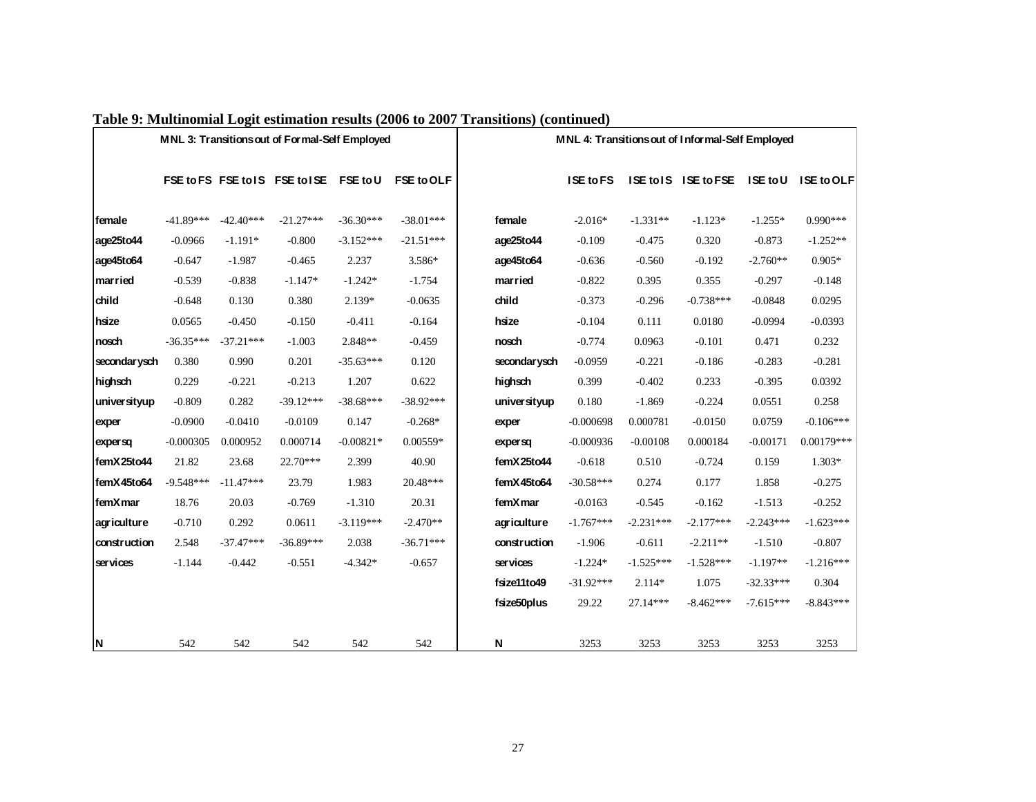|               |             |             |                                                |             |                   | Table 9: Multinomial Logit estimation results (2006 to 2007 Transitions) (continued) |                  |             |                                                  |             |                   |
|---------------|-------------|-------------|------------------------------------------------|-------------|-------------------|--------------------------------------------------------------------------------------|------------------|-------------|--------------------------------------------------|-------------|-------------------|
|               |             |             | MNL 3: Transitions out of Formal-Self Employed |             |                   |                                                                                      |                  |             | MNL 4: Transitions out of Informal-Self Employed |             |                   |
|               |             |             | FSE to FS FSE to IS FSE to ISE FSE to U        |             | <b>FSE to OLF</b> |                                                                                      | <b>ISE to FS</b> |             | ISE to IS ISE to FSE ISE to U                    |             | <b>ISE to OLF</b> |
| female        | $-41.89***$ | $-42.40***$ | $-21.27***$                                    | $-36.30***$ | $-38.01***$       | female                                                                               | $-2.016*$        | $-1.331**$  | $-1.123*$                                        | $-1.255*$   | $0.990***$        |
| age25to44     | $-0.0966$   | $-1.191*$   | $-0.800$                                       | $-3.152***$ | $-21.51***$       | age25to44                                                                            | $-0.109$         | $-0.475$    | 0.320                                            | $-0.873$    | $-1.252**$        |
| age45to64     | $-0.647$    | $-1.987$    | $-0.465$                                       | 2.237       | 3.586*            | age45to64                                                                            | $-0.636$         | $-0.560$    | $-0.192$                                         | $-2.760**$  | $0.905*$          |
| married       | $-0.539$    | $-0.838$    | $-1.147*$                                      | $-1.242*$   | $-1.754$          | married                                                                              | $-0.822$         | 0.395       | 0.355                                            | $-0.297$    | $-0.148$          |
| child         | $-0.648$    | 0.130       | 0.380                                          | $2.139*$    | $-0.0635$         | child                                                                                | $-0.373$         | $-0.296$    | $-0.738***$                                      | $-0.0848$   | 0.0295            |
| hsize         | 0.0565      | $-0.450$    | $-0.150$                                       | $-0.411$    | $-0.164$          | hsize                                                                                | $-0.104$         | 0.111       | 0.0180                                           | $-0.0994$   | $-0.0393$         |
| nosch         | $-36.35***$ | $-37.21***$ | $-1.003$                                       | 2.848**     | $-0.459$          | nosch                                                                                | $-0.774$         | 0.0963      | $-0.101$                                         | 0.471       | 0.232             |
| secondar ysch | 0.380       | 0.990       | 0.201                                          | $-35.63***$ | 0.120             | secondar ysch                                                                        | $-0.0959$        | $-0.221$    | $-0.186$                                         | $-0.283$    | $-0.281$          |
| highsch       | 0.229       | $-0.221$    | $-0.213$                                       | 1.207       | 0.622             | highsch                                                                              | 0.399            | $-0.402$    | 0.233                                            | $-0.395$    | 0.0392            |
| universityup  | $-0.809$    | 0.282       | $-39.12***$                                    | $-38.68***$ | $-38.92***$       | universityup                                                                         | 0.180            | $-1.869$    | $-0.224$                                         | 0.0551      | 0.258             |
| exper         | $-0.0900$   | $-0.0410$   | $-0.0109$                                      | 0.147       | $-0.268*$         | exper                                                                                | $-0.000698$      | 0.000781    | $-0.0150$                                        | 0.0759      | $-0.106***$       |
| expersq       | $-0.000305$ | 0.000952    | 0.000714                                       | $-0.00821*$ | $0.00559*$        | expersq                                                                              | $-0.000936$      | $-0.00108$  | 0.000184                                         | $-0.00171$  | $0.00179***$      |
| femX25to44    | 21.82       | 23.68       | 22.70***                                       | 2.399       | 40.90             | femX25to44                                                                           | $-0.618$         | 0.510       | $-0.724$                                         | 0.159       | $1.303*$          |
| femX45to64    | $-9.548***$ | $-11.47***$ | 23.79                                          | 1.983       | 20.48***          | femX45to64                                                                           | $-30.58***$      | 0.274       | 0.177                                            | 1.858       | $-0.275$          |
| femXmar       | 18.76       | 20.03       | $-0.769$                                       | $-1.310$    | 20.31             | femXmar                                                                              | $-0.0163$        | $-0.545$    | $-0.162$                                         | $-1.513$    | $-0.252$          |
| agriculture   | $-0.710$    | 0.292       | 0.0611                                         | $-3.119***$ | $-2.470**$        | agriculture                                                                          | $-1.767***$      | $-2.231***$ | $-2.177***$                                      | $-2.243***$ | $-1.623***$       |
| construction  | 2.548       | $-37.47***$ | $-36.89***$                                    | 2.038       | $-36.71***$       | construction                                                                         | $-1.906$         | $-0.611$    | $-2.211**$                                       | $-1.510$    | $-0.807$          |
| ser vices     | $-1.144$    | $-0.442$    | $-0.551$                                       | $-4.342*$   | $-0.657$          | services                                                                             | $-1.224*$        | $-1.525***$ | $-1.528***$                                      | $-1.197**$  | $-1.216***$       |
|               |             |             |                                                |             |                   | fsize11to49                                                                          | $-31.92***$      | $2.114*$    | 1.075                                            | $-32.33***$ | 0.304             |
|               |             |             |                                                |             |                   | fsize50plus                                                                          | 29.22            | 27.14***    | $-8.462***$                                      | $-7.615***$ | $-8.843***$       |
| N,            | 542         | 542         | 542                                            | 542         | 542               | N                                                                                    | 3253             | 3253        | 3253                                             | 3253        | 3253              |

# **Table 9: Multinomial Logit estimation results (2006 to 2007 Transitions) (continued)**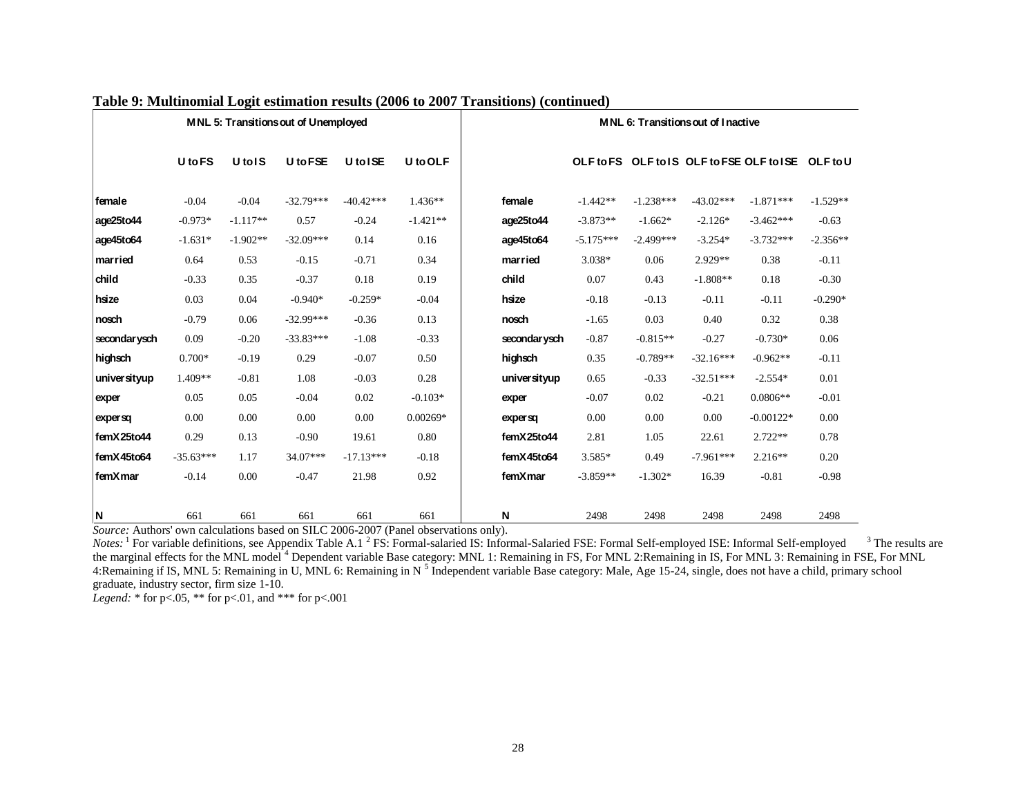|               |                |                               | MNL 5: Transitions out of Unemployed |             |            |               |             |             | <b>MNL 6: Transitions out of Inactive</b>          |             |            |
|---------------|----------------|-------------------------------|--------------------------------------|-------------|------------|---------------|-------------|-------------|----------------------------------------------------|-------------|------------|
|               | <b>U</b> to FS | U <sub>tol</sub> <sub>S</sub> | U to FSE                             | U to ISE    | U to OLF   |               |             |             | OLF to FS OLF to IS OLF to FSE OLF to ISE OLF to U |             |            |
| <b>female</b> | $-0.04$        | $-0.04$                       | $-32.79***$                          | $-40.42***$ | $1.436**$  | female        | $-1.442**$  | $-1.238***$ | $-43.02***$                                        | $-1.871***$ | $-1.529**$ |
| age25to44     | $-0.973*$      | $-1.117**$                    | 0.57                                 | $-0.24$     | $-1.421**$ | age25to44     | $-3.873**$  | $-1.662*$   | $-2.126*$                                          | $-3.462***$ | $-0.63$    |
| age45to64     | $-1.631*$      | $-1.902**$                    | $-32.09***$                          | 0.14        | 0.16       | age45to64     | $-5.175***$ | $-2.499***$ | $-3.254*$                                          | $-3.732***$ | $-2.356**$ |
| married       | 0.64           | 0.53                          | $-0.15$                              | $-0.71$     | 0.34       | married       | 3.038*      | 0.06        | 2.929**                                            | 0.38        | $-0.11$    |
| child         | $-0.33$        | 0.35                          | $-0.37$                              | 0.18        | 0.19       | child         | 0.07        | 0.43        | $-1.808**$                                         | 0.18        | $-0.30$    |
| hsize         | 0.03           | 0.04                          | $-0.940*$                            | $-0.259*$   | $-0.04$    | hsize         | $-0.18$     | $-0.13$     | $-0.11$                                            | $-0.11$     | $-0.290*$  |
| nosch         | $-0.79$        | 0.06                          | $-32.99***$                          | $-0.36$     | 0.13       | nosch         | $-1.65$     | 0.03        | 0.40                                               | 0.32        | 0.38       |
| secondar ysch | 0.09           | $-0.20$                       | $-33.83***$                          | $-1.08$     | $-0.33$    | secondar ysch | $-0.87$     | $-0.815**$  | $-0.27$                                            | $-0.730*$   | 0.06       |
| highsch       | $0.700*$       | $-0.19$                       | 0.29                                 | $-0.07$     | 0.50       | highsch       | 0.35        | $-0.789**$  | $-32.16***$                                        | $-0.962**$  | $-0.11$    |
| universityup  | 1.409**        | $-0.81$                       | 1.08                                 | $-0.03$     | 0.28       | universityup  | 0.65        | $-0.33$     | $-32.51***$                                        | $-2.554*$   | 0.01       |
| exper         | 0.05           | 0.05                          | $-0.04$                              | 0.02        | $-0.103*$  | exper         | $-0.07$     | 0.02        | $-0.21$                                            | $0.0806**$  | $-0.01$    |
| expersq       | 0.00           | 0.00                          | 0.00                                 | 0.00        | $0.00269*$ | expersq       | 0.00        | 0.00        | 0.00                                               | $-0.00122*$ | 0.00       |
| femX25to44    | 0.29           | 0.13                          | $-0.90$                              | 19.61       | 0.80       | femX25to44    | 2.81        | 1.05        | 22.61                                              | $2.722**$   | 0.78       |
| femX45to64    | $-35.63***$    | 1.17                          | 34.07***                             | $-17.13***$ | $-0.18$    | femX45to64    | 3.585*      | 0.49        | $-7.961***$                                        | $2.216**$   | 0.20       |
| femXmar       | $-0.14$        | 0.00                          | $-0.47$                              | 21.98       | 0.92       | femXmar       | $-3.859**$  | $-1.302*$   | 16.39                                              | $-0.81$     | $-0.98$    |
|               |                |                               |                                      |             |            |               |             |             |                                                    |             |            |
| ΙN            | 661            | 661                           | 661                                  | 661         | 661        | N             | 2498        | 2498        | 2498                                               | 2498        | 2498       |

## **Table 9: Multinomial Logit estimation results (2006 to 2007 Transitions) (continued)**

*Source:* Authors' own calculations based on SILC 2006-2007 (Panel observations only).

Notes: <sup>1</sup> For variable definitions, see Appendix Table A.1<sup>2</sup> FS: Formal-salaried IS: Informal-Salaried FSE: Formal Self-employed ISE: Informal Self-employed <sup>3</sup> The results are the marginal effects for the MNL model <sup>4</sup> Dependent variable Base category: MNL 1: Remaining in FS, For MNL 2:Remaining in IS, For MNL 3: Remaining in FSE, For MNL 4:Remaining if IS, MNL 5: Remaining in U, MNL 6: Remaining in N<sup>5</sup> Independent variable Base category: Male, Age 15-24, single, does not have a child, primary school graduate, industry sector, firm size 1-10.

*Legend:* \* for p<.05, \*\* for p<.01, and \*\*\* for p<.001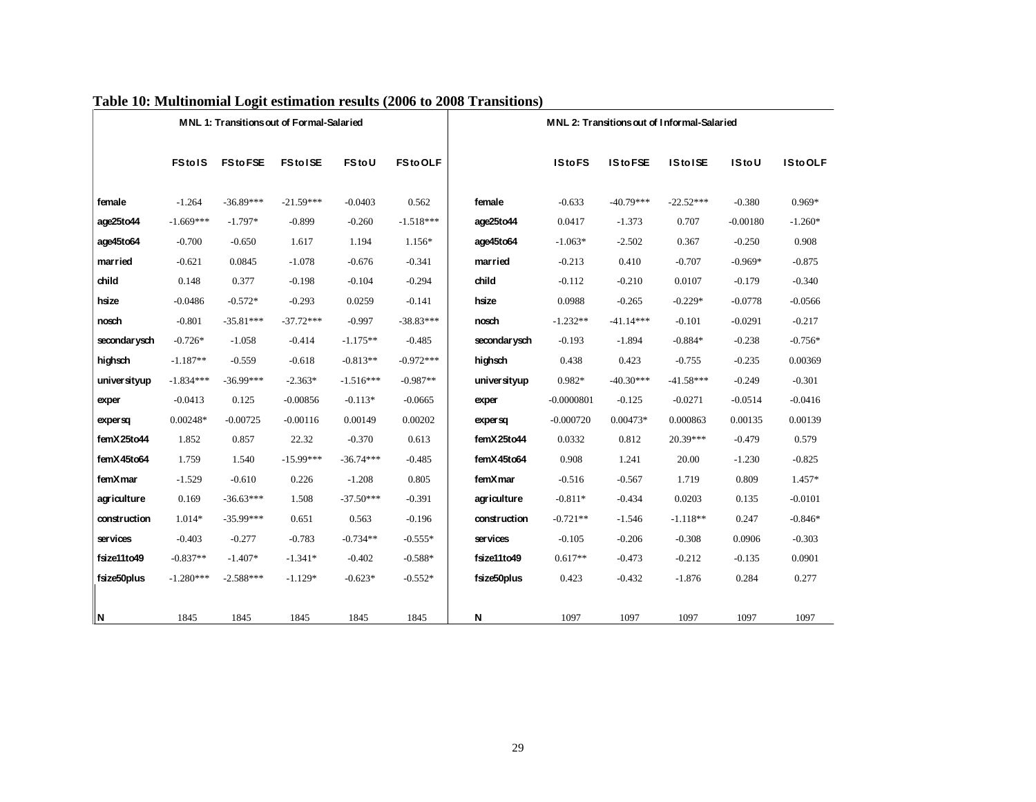|              |               |                | MNL 1: Transitions out of Formal-Salaried |             |                |              |               |                  | MNL 2: Transitions out of Informal-Salaried |              |                |
|--------------|---------------|----------------|-------------------------------------------|-------------|----------------|--------------|---------------|------------------|---------------------------------------------|--------------|----------------|
|              | <b>FStolS</b> | <b>FStoFSE</b> | <b>FStolSE</b>                            | FStoU       | <b>FStoOLF</b> |              | <b>IStoFS</b> | <b>IS to FSE</b> | <b>IStolSE</b>                              | <b>IStoU</b> | <b>IStoOLF</b> |
| female       | $-1.264$      | $-36.89***$    | $-21.59***$                               | $-0.0403$   | 0.562          | female       | $-0.633$      | $-40.79***$      | $-22.52***$                                 | $-0.380$     | $0.969*$       |
| age25to44    | $-1.669***$   | $-1.797*$      | $-0.899$                                  | $-0.260$    | $-1.518***$    | age25to44    | 0.0417        | $-1.373$         | 0.707                                       | $-0.00180$   | $-1.260*$      |
| age45to64    | $-0.700$      | $-0.650$       | 1.617                                     | 1.194       | 1.156*         | age45to64    | $-1.063*$     | $-2.502$         | 0.367                                       | $-0.250$     | 0.908          |
| married      | $-0.621$      | 0.0845         | $-1.078$                                  | $-0.676$    | $-0.341$       | married      | $-0.213$      | 0.410            | $-0.707$                                    | $-0.969*$    | $-0.875$       |
| child        | 0.148         | 0.377          | $-0.198$                                  | $-0.104$    | $-0.294$       | child        | $-0.112$      | $-0.210$         | 0.0107                                      | $-0.179$     | $-0.340$       |
| hsize        | $-0.0486$     | $-0.572*$      | $-0.293$                                  | 0.0259      | $-0.141$       | hsize        | 0.0988        | $-0.265$         | $-0.229*$                                   | $-0.0778$    | $-0.0566$      |
| nosch        | $-0.801$      | $-35.81***$    | $-37.72***$                               | $-0.997$    | $-38.83***$    | nosth        | $-1.232**$    | $-41.14***$      | $-0.101$                                    | $-0.0291$    | $-0.217$       |
| secondarysch | $-0.726*$     | $-1.058$       | $-0.414$                                  | $-1.175**$  | $-0.485$       | secondarysch | $-0.193$      | $-1.894$         | $-0.884*$                                   | $-0.238$     | $-0.756*$      |
| highsch      | $-1.187**$    | $-0.559$       | $-0.618$                                  | $-0.813**$  | $-0.972***$    | highsch      | 0.438         | 0.423            | $-0.755$                                    | $-0.235$     | 0.00369        |
| universityup | $-1.834***$   | $-36.99***$    | $-2.363*$                                 | $-1.516***$ | $-0.987**$     | universityup | $0.982*$      | $-40.30***$      | $-41.58***$                                 | $-0.249$     | $-0.301$       |
| exper        | $-0.0413$     | 0.125          | $-0.00856$                                | $-0.113*$   | $-0.0665$      | exper        | $-0.0000801$  | $-0.125$         | $-0.0271$                                   | $-0.0514$    | $-0.0416$      |
| expersq      | $0.00248*$    | $-0.00725$     | $-0.00116$                                | 0.00149     | 0.00202        | expersq      | $-0.000720$   | $0.00473*$       | 0.000863                                    | 0.00135      | 0.00139        |
| femX25to44   | 1.852         | 0.857          | 22.32                                     | $-0.370$    | 0.613          | femX25to44   | 0.0332        | 0.812            | 20.39***                                    | $-0.479$     | 0.579          |
| femX45to64   | 1.759         | 1.540          | $-15.99***$                               | $-36.74***$ | $-0.485$       | femX45to64   | 0.908         | 1.241            | 20.00                                       | $-1.230$     | $-0.825$       |
| femXmar      | $-1.529$      | $-0.610$       | 0.226                                     | $-1.208$    | 0.805          | femXmar      | $-0.516$      | $-0.567$         | 1.719                                       | 0.809        | $1.457*$       |
| agriculture  | 0.169         | $-36.63***$    | 1.508                                     | $-37.50***$ | $-0.391$       | agriculture  | $-0.811*$     | $-0.434$         | 0.0203                                      | 0.135        | $-0.0101$      |
| construction | $1.014*$      | $-35.99***$    | 0.651                                     | 0.563       | $-0.196$       | construction | $-0.721**$    | $-1.546$         | $-1.118**$                                  | 0.247        | $-0.846*$      |
| ser vices    | $-0.403$      | $-0.277$       | $-0.783$                                  | $-0.734**$  | $-0.555*$      | services     | $-0.105$      | $-0.206$         | $-0.308$                                    | 0.0906       | $-0.303$       |
| fsize11to49  | $-0.837**$    | $-1.407*$      | $-1.341*$                                 | $-0.402$    | $-0.588*$      | fsize11to49  | $0.617**$     | $-0.473$         | $-0.212$                                    | $-0.135$     | 0.0901         |
| fsize50plus  | $-1.280***$   | $-2.588***$    | $-1.129*$                                 | $-0.623*$   | $-0.552*$      | fsize50plus  | 0.423         | $-0.432$         | $-1.876$                                    | 0.284        | 0.277          |
| ∥Ν           | 1845          | 1845           | 1845                                      | 1845        | 1845           | N            | 1097          | 1097             | 1097                                        | 1097         | 1097           |

# **Table 10: Multinomial Logit estimation results (2006 to 2008 Transitions)**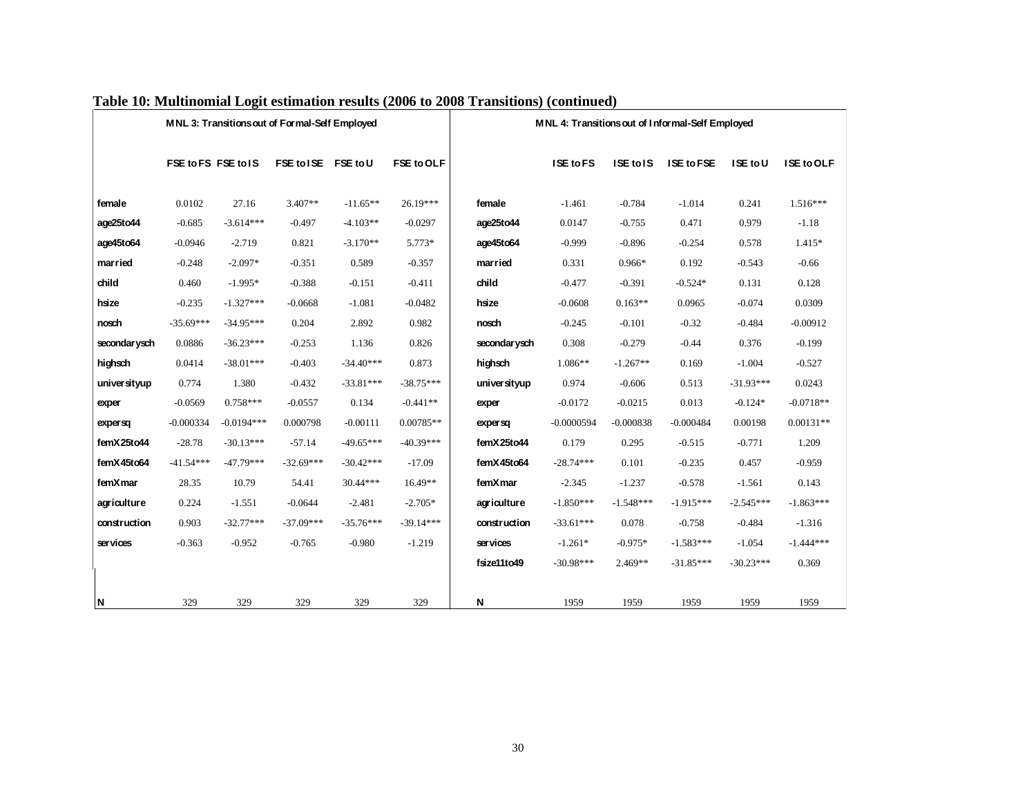|               |             |                     | MNL 3: Transitions out of Formal-Self Employed |             |             | MNL 4: Transitions out of Informal-Self Employed |              |             |                   |             |             |
|---------------|-------------|---------------------|------------------------------------------------|-------------|-------------|--------------------------------------------------|--------------|-------------|-------------------|-------------|-------------|
|               |             | FSE to FS FSE to IS | FSE to ISE FSE to U                            |             | FSE to OLF  |                                                  | ISE to FS    | ISE to IS   | <b>ISE to FSE</b> | ISE to U    | ISE to OLF  |
| female        | 0.0102      | 27.16               | $3.407**$                                      | $-11.65**$  | 26.19***    | female                                           | $-1.461$     | $-0.784$    | $-1.014$          | 0.241       | $1.516***$  |
| age25to44     | $-0.685$    | $-3.614***$         | $-0.497$                                       | $-4.103**$  | $-0.0297$   | age25to44                                        | 0.0147       | $-0.755$    | 0.471             | 0.979       | $-1.18$     |
| age45to64     | $-0.0946$   | $-2.719$            | 0.821                                          | $-3.170**$  | 5.773*      | age45to64                                        | $-0.999$     | $-0.896$    | $-0.254$          | 0.578       | 1.415*      |
| married       | $-0.248$    | $-2.097*$           | $-0.351$                                       | 0.589       | $-0.357$    | married                                          | 0.331        | $0.966*$    | 0.192             | $-0.543$    | $-0.66$     |
| child         | 0.460       | $-1.995*$           | $-0.388$                                       | $-0.151$    | $-0.411$    | child                                            | $-0.477$     | $-0.391$    | $-0.524*$         | 0.131       | 0.128       |
| hsize         | $-0.235$    | $-1.327***$         | $-0.0668$                                      | $-1.081$    | $-0.0482$   | hsize                                            | $-0.0608$    | $0.163**$   | 0.0965            | $-0.074$    | 0.0309      |
| nosch         | $-35.69***$ | $-34.95***$         | 0.204                                          | 2.892       | 0.982       | nosth                                            | $-0.245$     | $-0.101$    | $-0.32$           | $-0.484$    | $-0.00912$  |
| secondar ysch | 0.0886      | $-36.23***$         | $-0.253$                                       | 1.136       | 0.826       | secondarysch                                     | 0.308        | $-0.279$    | $-0.44$           | 0.376       | $-0.199$    |
| highsch       | 0.0414      | $-38.01***$         | $-0.403$                                       | $-34.40***$ | 0.873       | highsch                                          | 1.086**      | $-1.267**$  | 0.169             | $-1.004$    | $-0.527$    |
| universityup  | 0.774       | 1.380               | $-0.432$                                       | $-33.81***$ | $-38.75***$ | universityup                                     | 0.974        | $-0.606$    | 0.513             | $-31.93***$ | 0.0243      |
| exper         | $-0.0569$   | $0.758***$          | $-0.0557$                                      | 0.134       | $-0.441**$  | exper                                            | $-0.0172$    | $-0.0215$   | 0.013             | $-0.124*$   | $-0.0718**$ |
| expersq       | $-0.000334$ | $-0.0194***$        | 0.000798                                       | $-0.00111$  | $0.00785**$ | expersq                                          | $-0.0000594$ | $-0.000838$ | $-0.000484$       | 0.00198     | $0.00131**$ |
| femX25to44    | $-28.78$    | $-30.13***$         | $-57.14$                                       | $-49.65***$ | $-40.39***$ | femX25to44                                       | 0.179        | 0.295       | $-0.515$          | $-0.771$    | 1.209       |
| femX45to64    | $-41.54***$ | $-47.79***$         | $-32.69***$                                    | $-30.42***$ | $-17.09$    | femX45to64                                       | $-28.74***$  | 0.101       | $-0.235$          | 0.457       | $-0.959$    |
| femXmar       | 28.35       | 10.79               | 54.41                                          | 30.44***    | $16.49**$   | femXmar                                          | $-2.345$     | $-1.237$    | $-0.578$          | $-1.561$    | 0.143       |
| agriculture   | 0.224       | $-1.551$            | $-0.0644$                                      | $-2.481$    | $-2.705*$   | agriculture                                      | $-1.850***$  | $-1.548***$ | $-1.915***$       | $-2.545***$ | $-1.863***$ |
| construction  | 0.903       | $-32.77***$         | $-37.09***$                                    | $-35.76***$ | $-39.14***$ | construction                                     | $-33.61***$  | 0.078       | $-0.758$          | $-0.484$    | $-1.316$    |
| ser vices     | $-0.363$    | $-0.952$            | $-0.765$                                       | $-0.980$    | $-1.219$    | ser vices                                        | $-1.261*$    | $-0.975*$   | $-1.583***$       | $-1.054$    | $-1.444***$ |
|               |             |                     |                                                |             |             | fsize11to49                                      | $-30.98***$  | $2.469**$   | $-31.85***$       | $-30.23***$ | 0.369       |
|               |             |                     |                                                |             |             |                                                  |              |             |                   |             |             |
| ΙN.           | 329         | 329                 | 329                                            | 329         | 329         | N                                                | 1959         | 1959        | 1959              | 1959        | 1959        |

#### **Table 10: Multinomial Logit estimation results (2006 to 2008 Transitions) (continued)**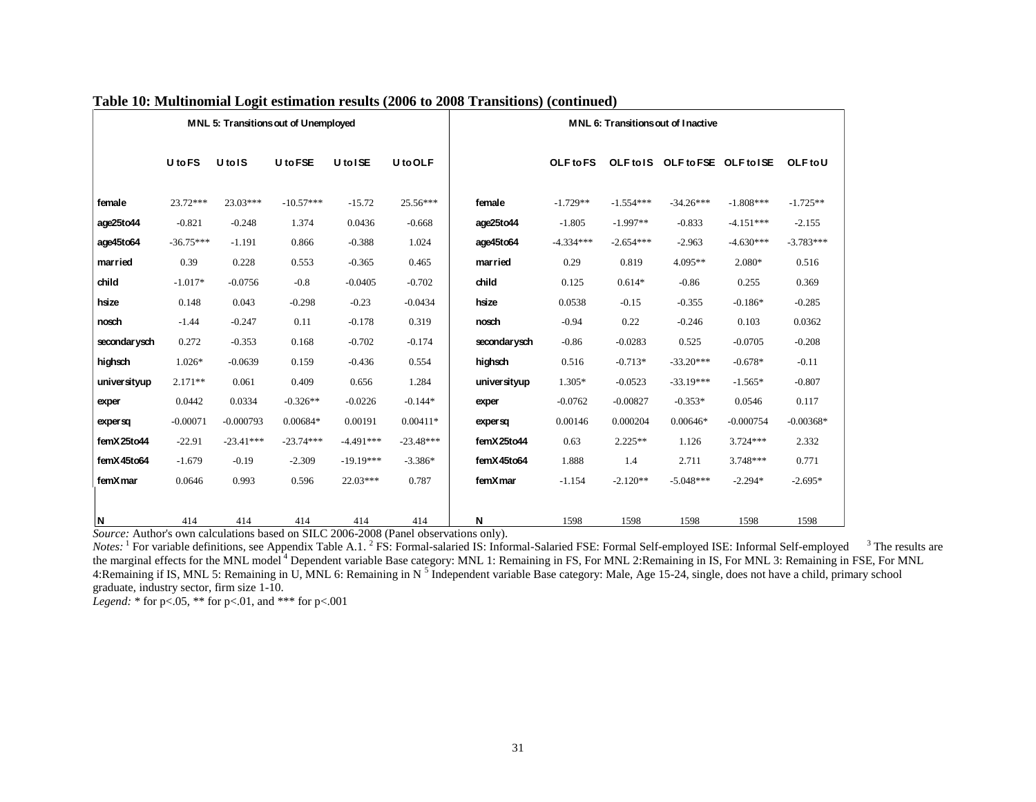|              |             |                               | MNL 5: Transitions out of Unemployed |             |             | <b>MNL 6: Transitions out of Inactive</b> |                  |             |                                 |             |             |
|--------------|-------------|-------------------------------|--------------------------------------|-------------|-------------|-------------------------------------------|------------------|-------------|---------------------------------|-------------|-------------|
|              | U to FS     | U <sub>tol</sub> <sub>S</sub> | U to FSE                             | U to ISE    | U to OLF    |                                           | <b>OLF</b> to FS |             | OLF to IS OLF to FSE OLF to ISE |             | OLF to U    |
| female       | 23.72***    | $23.03***$                    | $-10.57***$                          | $-15.72$    | 25.56***    | female                                    | $-1.729**$       | $-1.554***$ | $-34.26***$                     | $-1.808***$ | $-1.725**$  |
| age25to44    | $-0.821$    | $-0.248$                      | 1.374                                | 0.0436      | $-0.668$    | age25to44                                 | $-1.805$         | $-1.997**$  | $-0.833$                        | $-4.151***$ | $-2.155$    |
| age45to64    | $-36.75***$ | $-1.191$                      | 0.866                                | $-0.388$    | 1.024       | age45to64                                 | $-4.334***$      | $-2.654***$ | $-2.963$                        | $-4.630***$ | $-3.783***$ |
| married      | 0.39        | 0.228                         | 0.553                                | $-0.365$    | 0.465       | married                                   | 0.29             | 0.819       | $4.095**$                       | 2.080*      | 0.516       |
| child        | $-1.017*$   | $-0.0756$                     | $-0.8$                               | $-0.0405$   | $-0.702$    | child                                     | 0.125            | $0.614*$    | $-0.86$                         | 0.255       | 0.369       |
| hsize        | 0.148       | 0.043                         | $-0.298$                             | $-0.23$     | $-0.0434$   | hsize                                     | 0.0538           | $-0.15$     | $-0.355$                        | $-0.186*$   | $-0.285$    |
| nosch        | $-1.44$     | $-0.247$                      | 0.11                                 | $-0.178$    | 0.319       | nosch                                     | $-0.94$          | 0.22        | $-0.246$                        | 0.103       | 0.0362      |
| secondarysch | 0.272       | $-0.353$                      | 0.168                                | $-0.702$    | $-0.174$    | secondar ysch                             | $-0.86$          | $-0.0283$   | 0.525                           | $-0.0705$   | $-0.208$    |
| highsch      | $1.026*$    | $-0.0639$                     | 0.159                                | $-0.436$    | 0.554       | highsch                                   | 0.516            | $-0.713*$   | $-33.20***$                     | $-0.678*$   | $-0.11$     |
| universityup | $2.171**$   | 0.061                         | 0.409                                | 0.656       | 1.284       | universityup                              | $1.305*$         | $-0.0523$   | $-33.19***$                     | $-1.565*$   | $-0.807$    |
| exper        | 0.0442      | 0.0334                        | $-0.326**$                           | $-0.0226$   | $-0.144*$   | exper                                     | $-0.0762$        | $-0.00827$  | $-0.353*$                       | 0.0546      | 0.117       |
| expersq      | $-0.00071$  | $-0.000793$                   | 0.00684*                             | 0.00191     | $0.00411*$  | expersq                                   | 0.00146          | 0.000204    | $0.00646*$                      | $-0.000754$ | $-0.00368*$ |
| femX25to44   | $-22.91$    | $-23.41***$                   | $-23.74***$                          | $-4.491***$ | $-23.48***$ | femX25to44                                | 0.63             | $2.225**$   | 1.126                           | $3.724***$  | 2.332       |
| femX45to64   | $-1.679$    | $-0.19$                       | $-2.309$                             | $-19.19***$ | $-3.386*$   | femX45to64                                | 1.888            | 1.4         | 2.711                           | 3.748***    | 0.771       |
| femX mar     | 0.0646      | 0.993                         | 0.596                                | $22.03***$  | 0.787       | femX mar                                  | $-1.154$         | $-2.120**$  | $-5.048***$                     | $-2.294*$   | $-2.695*$   |
|              |             |                               |                                      |             |             |                                           |                  |             |                                 |             |             |
| ١N           | 414         | 414                           | 414                                  | 414         | 414         | N                                         | 1598             | 1598        | 1598                            | 1598        | 1598        |

## **Table 10: Multinomial Logit estimation results (2006 to 2008 Transitions) (continued)**

*Source:* Author's own calculations based on SILC 2006-2008 (Panel observations only).

Notes: <sup>1</sup> For variable definitions, see Appendix Table A.1. <sup>2</sup> FS: Formal-salaried IS: Informal-Salaried FSE: Formal Self-employed ISE: Informal Self-employed <sup>3</sup> The results are the marginal effects for the MNL model<sup>4</sup> Dependent variable Base category: MNL 1: Remaining in FS, For MNL 2:Remaining in IS, For MNL 3: Remaining in FSE, For MNL 4:Remaining if IS, MNL 5: Remaining in U, MNL 6: Remaining in N<sup>5</sup> Independent variable Base category: Male, Age 15-24, single, does not have a child, primary school graduate, industry sector, firm size 1-10.

*Legend:* \* for p<.05, \*\* for p<.01, and \*\*\* for p<.001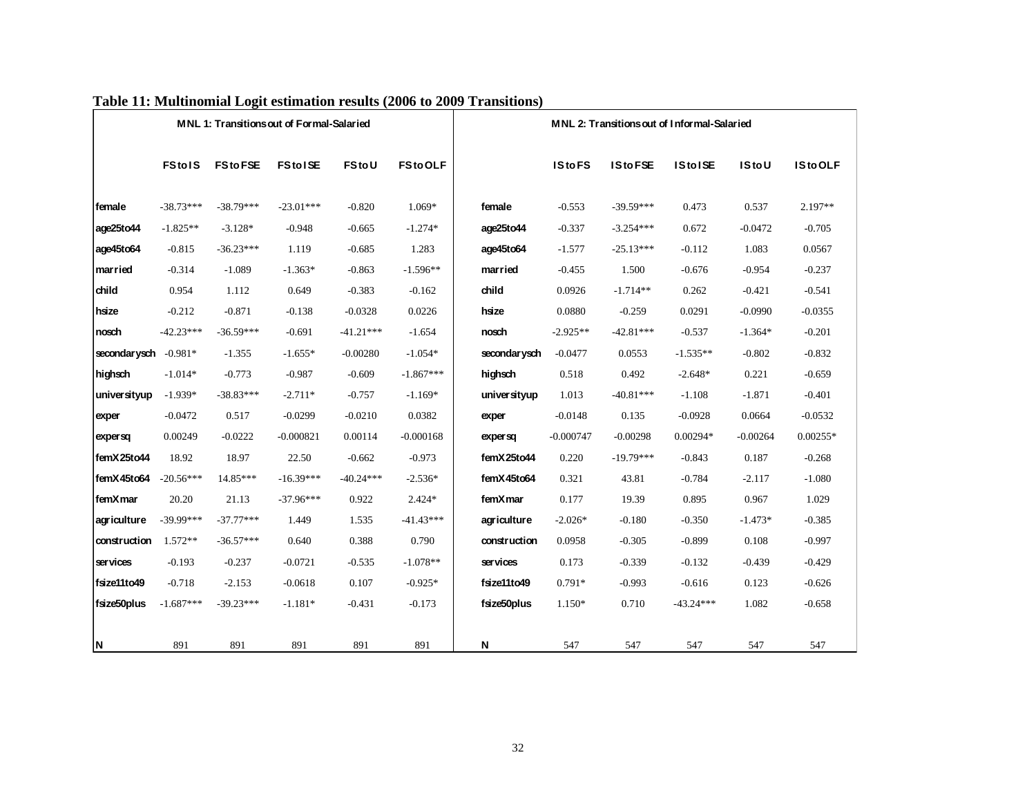|              |               |                  | MNL 1: Transitions out of Formal-Salaried |             |                |              |               | MNL 2: Transitions out of Informal-Salaried |                |              |            |
|--------------|---------------|------------------|-------------------------------------------|-------------|----------------|--------------|---------------|---------------------------------------------|----------------|--------------|------------|
|              |               |                  |                                           |             |                |              |               |                                             |                |              |            |
|              | <b>FStolS</b> | <b>FS</b> to FSE | <b>FStoISE</b>                            | FStoU       | <b>FStoOLF</b> |              | <b>IStoFS</b> | <b>IStoFSE</b>                              | <b>IStoISE</b> | <b>IStoU</b> | IStoOLF    |
| female       | $-38.73***$   | $-38.79***$      | $-23.01***$                               | $-0.820$    | 1.069*         | female       | $-0.553$      | $-39.59***$                                 | 0.473          | 0.537        | $2.197**$  |
| age25to44    | $-1.825**$    | $-3.128*$        | $-0.948$                                  | $-0.665$    | $-1.274*$      | age25to44    | $-0.337$      | $-3.254***$                                 | 0.672          | $-0.0472$    | $-0.705$   |
| age45to64    | $-0.815$      | $-36.23***$      | 1.119                                     | $-0.685$    | 1.283          | age45to64    | $-1.577$      | $-25.13***$                                 | $-0.112$       | 1.083        | 0.0567     |
| married      | $-0.314$      | $-1.089$         | $-1.363*$                                 | $-0.863$    | $-1.596**$     | married      | $-0.455$      | 1.500                                       | $-0.676$       | $-0.954$     | $-0.237$   |
| child        | 0.954         | 1.112            | 0.649                                     | $-0.383$    | $-0.162$       | child        | 0.0926        | $-1.714**$                                  | 0.262          | $-0.421$     | $-0.541$   |
| hsize        | $-0.212$      | $-0.871$         | $-0.138$                                  | $-0.0328$   | 0.0226         | hsize        | 0.0880        | $-0.259$                                    | 0.0291         | $-0.0990$    | $-0.0355$  |
| nosch        | $-42.23***$   | $-36.59***$      | $-0.691$                                  | $-41.21***$ | $-1.654$       | nosch        | $-2.925**$    | $-42.81***$                                 | $-0.537$       | $-1.364*$    | $-0.201$   |
| secondarysch | $-0.981*$     | $-1.355$         | $-1.655*$                                 | $-0.00280$  | $-1.054*$      | secondarysch | $-0.0477$     | 0.0553                                      | $-1.535**$     | $-0.802$     | $-0.832$   |
| highsch      | $-1.014*$     | $-0.773$         | $-0.987$                                  | $-0.609$    | $-1.867***$    | highsch      | 0.518         | 0.492                                       | $-2.648*$      | 0.221        | $-0.659$   |
| universityup | $-1.939*$     | $-38.83***$      | $-2.711*$                                 | $-0.757$    | $-1.169*$      | universityup | 1.013         | $-40.81***$                                 | $-1.108$       | $-1.871$     | $-0.401$   |
| exper        | $-0.0472$     | 0.517            | $-0.0299$                                 | $-0.0210$   | 0.0382         | exper        | $-0.0148$     | 0.135                                       | $-0.0928$      | 0.0664       | $-0.0532$  |
| expersq      | 0.00249       | $-0.0222$        | $-0.000821$                               | 0.00114     | $-0.000168$    | expersq      | $-0.000747$   | $-0.00298$                                  | $0.00294*$     | $-0.00264$   | $0.00255*$ |
| femX25to44   | 18.92         | 18.97            | 22.50                                     | $-0.662$    | $-0.973$       | femX25to44   | 0.220         | $-19.79***$                                 | $-0.843$       | 0.187        | $-0.268$   |
| femX45to64   | $-20.56***$   | 14.85***         | $-16.39***$                               | $-40.24***$ | $-2.536*$      | femX45to64   | 0.321         | 43.81                                       | $-0.784$       | $-2.117$     | $-1.080$   |
| femXmar      | 20.20         | 21.13            | $-37.96***$                               | 0.922       | 2.424*         | femXmar      | 0.177         | 19.39                                       | 0.895          | 0.967        | 1.029      |
| agriculture  | $-39.99***$   | $-37.77***$      | 1.449                                     | 1.535       | $-41.43***$    | agriculture  | $-2.026*$     | $-0.180$                                    | $-0.350$       | $-1.473*$    | $-0.385$   |
| construction | $1.572**$     | $-36.57***$      | 0.640                                     | 0.388       | 0.790          | construction | 0.0958        | $-0.305$                                    | $-0.899$       | 0.108        | $-0.997$   |
| ser vices    | $-0.193$      | $-0.237$         | $-0.0721$                                 | $-0.535$    | $-1.078**$     | ser vices    | 0.173         | $-0.339$                                    | $-0.132$       | $-0.439$     | $-0.429$   |
| fsize11to49  | $-0.718$      | $-2.153$         | $-0.0618$                                 | 0.107       | $-0.925*$      | fsize11to49  | $0.791*$      | $-0.993$                                    | $-0.616$       | 0.123        | $-0.626$   |
| fsize50plus  | $-1.687***$   | $-39.23***$      | $-1.181*$                                 | $-0.431$    | $-0.173$       | fsize50plus  | 1.150*        | 0.710                                       | $-43.24***$    | 1.082        | $-0.658$   |
|              |               |                  |                                           |             |                |              |               |                                             |                |              |            |
| N.           | 891           | 891              | 891                                       | 891         | 891            | N            | 547           | 547                                         | 547            | 547          | 547        |

# **Table 11: Multinomial Logit estimation results (2006 to 2009 Transitions)**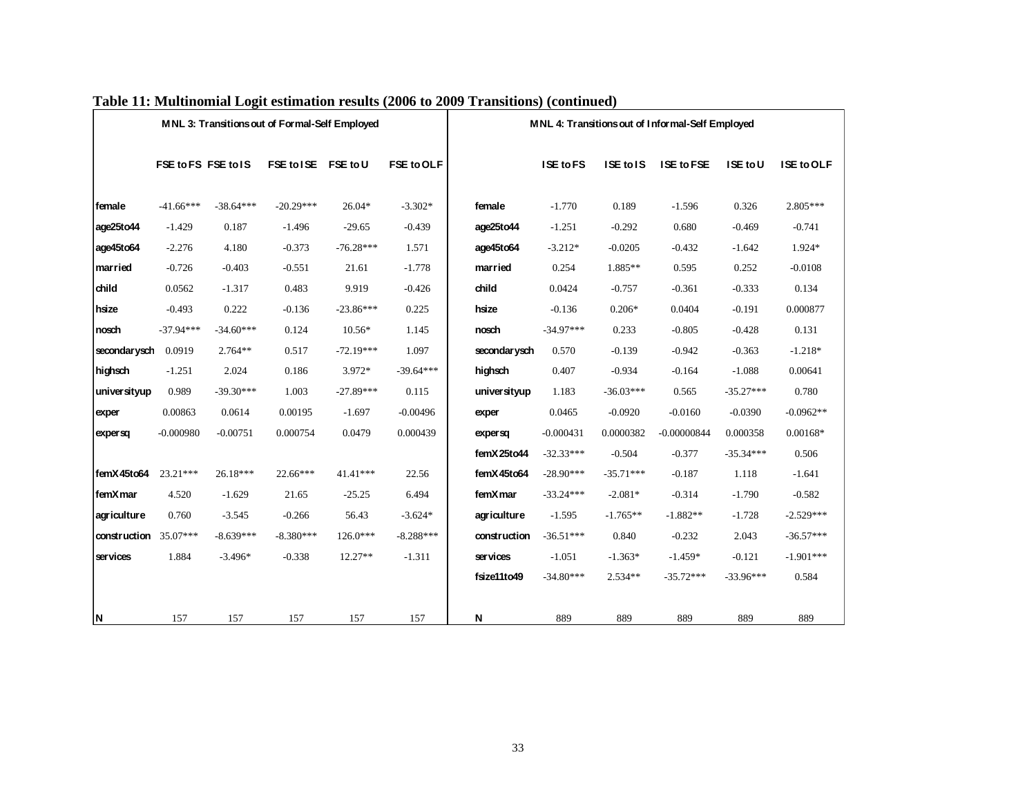|                         |                     |             | MNL 3: Transitions out of Formal-Self Employed |             |                   |               |             |             | MNL 4: Transitions out of Informal-Self Employed |             |                   |
|-------------------------|---------------------|-------------|------------------------------------------------|-------------|-------------------|---------------|-------------|-------------|--------------------------------------------------|-------------|-------------------|
|                         | FSE to FS FSE to IS |             | FSE to ISE FSE to U                            |             | <b>FSE to OLF</b> |               | ISE to FS   | ISE to IS   | ISE to FSE                                       | ISE to U    | <b>ISE to OLF</b> |
| female                  | $-41.66***$         | $-38.64***$ | $-20.29***$                                    | $26.04*$    | $-3.302*$         | female        | $-1.770$    | 0.189       | $-1.596$                                         | 0.326       | $2.805***$        |
| age25to44               | $-1.429$            | 0.187       | $-1.496$                                       | $-29.65$    | $-0.439$          | age25to44     | $-1.251$    | $-0.292$    | 0.680                                            | $-0.469$    | $-0.741$          |
| age45to64               | $-2.276$            | 4.180       | $-0.373$                                       | $-76.28***$ | 1.571             | age45to64     | $-3.212*$   | $-0.0205$   | $-0.432$                                         | $-1.642$    | 1.924*            |
| married                 | $-0.726$            | $-0.403$    | $-0.551$                                       | 21.61       | $-1.778$          | married       | 0.254       | 1.885**     | 0.595                                            | 0.252       | $-0.0108$         |
| child                   | 0.0562              | $-1.317$    | 0.483                                          | 9.919       | $-0.426$          | child         | 0.0424      | $-0.757$    | $-0.361$                                         | $-0.333$    | 0.134             |
| hsize                   | $-0.493$            | 0.222       | $-0.136$                                       | $-23.86***$ | 0.225             | hsize         | $-0.136$    | $0.206*$    | 0.0404                                           | $-0.191$    | 0.000877          |
| nosch                   | $-37.94***$         | $-34.60***$ | 0.124                                          | 10.56*      | 1.145             | nosch         | $-34.97***$ | 0.233       | $-0.805$                                         | $-0.428$    | 0.131             |
| secondarysch            | 0.0919              | $2.764**$   | 0.517                                          | $-72.19***$ | 1.097             | secondar ysch | 0.570       | $-0.139$    | $-0.942$                                         | $-0.363$    | $-1.218*$         |
| highsch                 | $-1.251$            | 2.024       | 0.186                                          | 3.972*      | $-39.64***$       | highsch       | 0.407       | $-0.934$    | $-0.164$                                         | $-1.088$    | 0.00641           |
| universityup            | 0.989               | $-39.30***$ | 1.003                                          | $-27.89***$ | 0.115             | univer sityup | 1.183       | $-36.03***$ | 0.565                                            | $-35.27***$ | 0.780             |
| exper                   | 0.00863             | 0.0614      | 0.00195                                        | $-1.697$    | $-0.00496$        | exper         | 0.0465      | $-0.0920$   | $-0.0160$                                        | $-0.0390$   | $-0.0962**$       |
| expersq                 | $-0.000980$         | $-0.00751$  | 0.000754                                       | 0.0479      | 0.000439          | expersq       | $-0.000431$ | 0.0000382   | $-0.00000844$                                    | 0.000358    | $0.00168*$        |
|                         |                     |             |                                                |             |                   | femX25to44    | $-32.33***$ | $-0.504$    | $-0.377$                                         | $-35.34***$ | 0.506             |
| femX45to64              | $23.21***$          | 26.18***    | 22.66***                                       | 41.41***    | 22.56             | femX45to64    | $-28.90***$ | $-35.71***$ | $-0.187$                                         | 1.118       | $-1.641$          |
| femXmar                 | 4.520               | $-1.629$    | 21.65                                          | $-25.25$    | 6.494             | femXmar       | $-33.24***$ | $-2.081*$   | $-0.314$                                         | $-1.790$    | $-0.582$          |
| agriculture             | 0.760               | $-3.545$    | $-0.266$                                       | 56.43       | $-3.624*$         | agriculture   | $-1.595$    | $-1.765**$  | $-1.882**$                                       | $-1.728$    | $-2.529***$       |
| construction $35.07***$ |                     | $-8.639***$ | $-8.380***$                                    | $126.0***$  | $-8.288***$       | construction  | $-36.51***$ | 0.840       | $-0.232$                                         | 2.043       | $-36.57***$       |
| services                | 1.884               | $-3.496*$   | $-0.338$                                       | $12.27**$   | $-1.311$          | services      | $-1.051$    | $-1.363*$   | $-1.459*$                                        | $-0.121$    | $-1.901***$       |
|                         |                     |             |                                                |             |                   | fsize11to49   | $-34.80***$ | 2.534**     | $-35.72***$                                      | $-33.96***$ | 0.584             |
| N                       | 157                 | 157         | 157                                            | 157         | 157               | N             | 889         | 889         | 889                                              | 889         | 889               |

#### **Table 11: Multinomial Logit estimation results (2006 to 2009 Transitions) (continued)**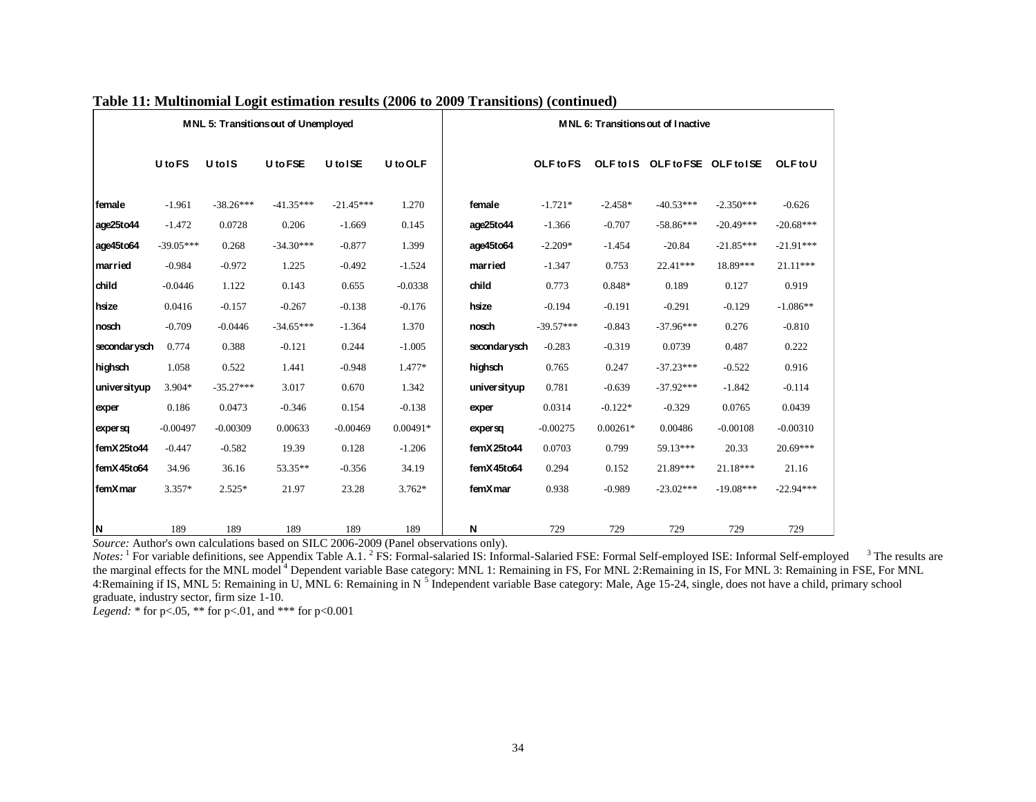|              |             |                               | MNL 5: Transitions out of Unemployed |             |            | MNL 6: Transitions out of Inactive |             |            |                                 |             |             |
|--------------|-------------|-------------------------------|--------------------------------------|-------------|------------|------------------------------------|-------------|------------|---------------------------------|-------------|-------------|
|              | U to FS     | U <sub>tol</sub> <sub>S</sub> | U to FSE                             | U to ISE    | U to OLF   |                                    | OLF to FS   |            | OLF to IS OLF to FSE OLF to ISE |             | OLF to U    |
| female       | $-1.961$    | $-38.26***$                   | $-41.35***$                          | $-21.45***$ | 1.270      | female                             | $-1.721*$   | $-2.458*$  | $-40.53***$                     | $-2.350***$ | $-0.626$    |
| age25to44    | $-1.472$    | 0.0728                        | 0.206                                | $-1.669$    | 0.145      | age25to44                          | $-1.366$    | $-0.707$   | $-58.86***$                     | $-20.49***$ | $-20.68***$ |
| age45to64    | $-39.05***$ | 0.268                         | $-34.30***$                          | $-0.877$    | 1.399      | age45to64                          | $-2.209*$   | $-1.454$   | $-20.84$                        | $-21.85***$ | $-21.91***$ |
| married      | $-0.984$    | $-0.972$                      | 1.225                                | $-0.492$    | $-1.524$   | married                            | $-1.347$    | 0.753      | $22.41***$                      | 18.89***    | $21.11***$  |
| child        | $-0.0446$   | 1.122                         | 0.143                                | 0.655       | $-0.0338$  | child                              | 0.773       | $0.848*$   | 0.189                           | 0.127       | 0.919       |
| hsize        | 0.0416      | $-0.157$                      | $-0.267$                             | $-0.138$    | $-0.176$   | hsize                              | $-0.194$    | $-0.191$   | $-0.291$                        | $-0.129$    | $-1.086**$  |
| nosch        | $-0.709$    | $-0.0446$                     | $-34.65***$                          | $-1.364$    | 1.370      | nosch                              | $-39.57***$ | $-0.843$   | $-37.96***$                     | 0.276       | $-0.810$    |
| secondarysch | 0.774       | 0.388                         | $-0.121$                             | 0.244       | $-1.005$   | secondar ysch                      | $-0.283$    | $-0.319$   | 0.0739                          | 0.487       | 0.222       |
| highsch      | 1.058       | 0.522                         | 1.441                                | $-0.948$    | $1.477*$   | highsch                            | 0.765       | 0.247      | $-37.23***$                     | $-0.522$    | 0.916       |
| universityup | 3.904*      | $-35.27***$                   | 3.017                                | 0.670       | 1.342      | universityup                       | 0.781       | $-0.639$   | $-37.92***$                     | $-1.842$    | $-0.114$    |
| exper        | 0.186       | 0.0473                        | $-0.346$                             | 0.154       | $-0.138$   | exper                              | 0.0314      | $-0.122*$  | $-0.329$                        | 0.0765      | 0.0439      |
| expersq      | $-0.00497$  | $-0.00309$                    | 0.00633                              | $-0.00469$  | $0.00491*$ | expersa                            | $-0.00275$  | $0.00261*$ | 0.00486                         | $-0.00108$  | $-0.00310$  |
| femX25to44   | $-0.447$    | $-0.582$                      | 19.39                                | 0.128       | $-1.206$   | femX25to44                         | 0.0703      | 0.799      | 59.13***                        | 20.33       | $20.69***$  |
| femX45to64   | 34.96       | 36.16                         | 53.35**                              | $-0.356$    | 34.19      | femX45to64                         | 0.294       | 0.152      | 21.89***                        | $21.18***$  | 21.16       |
| femXmar      | $3.357*$    | $2.525*$                      | 21.97                                | 23.28       | $3.762*$   | femXmar                            | 0.938       | $-0.989$   | $-23.02***$                     | $-19.08***$ | $-22.94***$ |
|              |             |                               |                                      |             |            |                                    |             |            |                                 |             |             |
| N            | 189         | 189                           | 189                                  | 189         | 189        | N                                  | 729         | 729        | 729                             | 729         | 729         |

## **Table 11: Multinomial Logit estimation results (2006 to 2009 Transitions) (continued)**

*Source:* Author's own calculations based on SILC 2006-2009 (Panel observations only).

Notes: <sup>1</sup> For variable definitions, see Appendix Table A.1. <sup>2</sup> FS: Formal-salaried IS: Informal-Salaried FSE: Formal Self-employed ISE: Informal Self-employed <sup>3</sup> The results are the marginal effects for the MNL model<sup>4</sup> Dependent variable Base category: MNL 1: Remaining in FS, For MNL 2: Remaining in IS, For MNL 3: Remaining in FSE, For MNL 4:Remaining if IS, MNL 5: Remaining in U, MNL 6: Remaining in N<sup>5</sup> Independent variable Base category: Male, Age 15-24, single, does not have a child, primary school graduate, industry sector, firm size 1-10.

*Legend:* \* for p<.05, \*\* for p<.01, and \*\*\* for p<0.001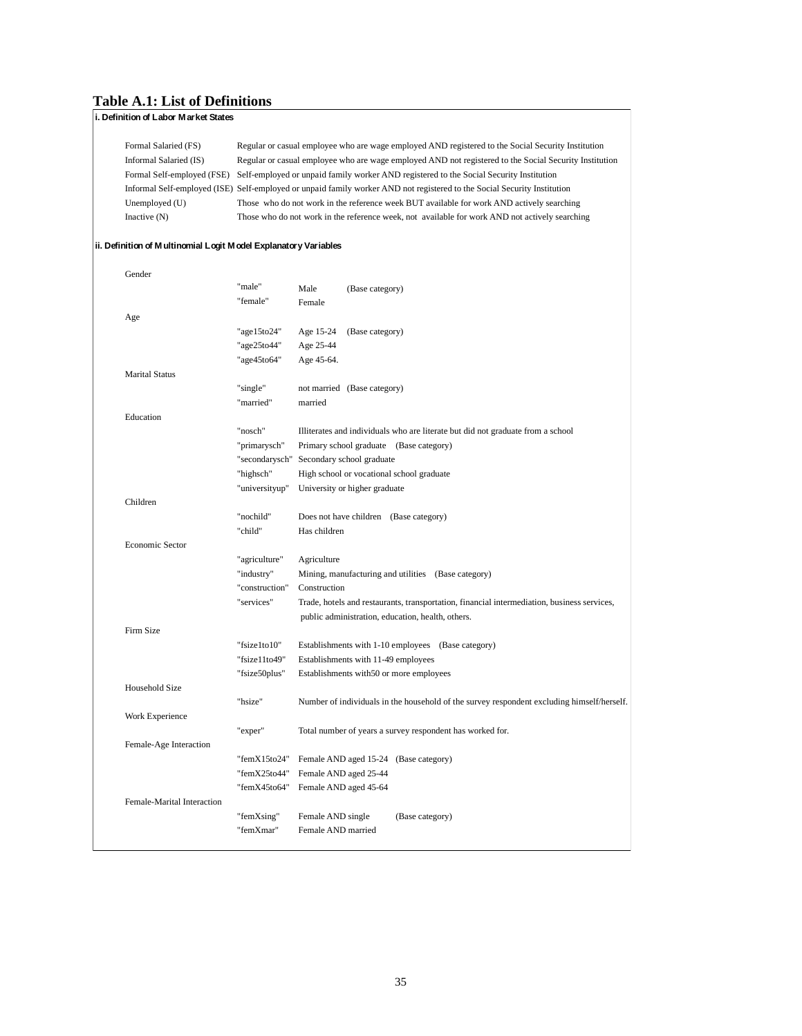#### **Table A.1: List of Definitions**

| Formal Salaried (FS)                                            |                |                       | Regular or casual employee who are wage employed AND registered to the Social Security Institution                       |
|-----------------------------------------------------------------|----------------|-----------------------|--------------------------------------------------------------------------------------------------------------------------|
| Informal Salaried (IS)                                          |                |                       | Regular or casual employee who are wage employed AND not registered to the Social Security Institution                   |
|                                                                 |                |                       | Formal Self-employed (FSE) Self-employed or unpaid family worker AND registered to the Social Security Institution       |
|                                                                 |                |                       | Informal Self-employed (ISE) Self-employed or unpaid family worker AND not registered to the Social Security Institution |
| Unemployed (U)                                                  |                |                       | Those who do not work in the reference week BUT available for work AND actively searching                                |
| Inactive $(N)$                                                  |                |                       | Those who do not work in the reference week, not available for work AND not actively searching                           |
| ii. Definition of Multinomial Logit Model Explanatory Variables |                |                       |                                                                                                                          |
| Gender                                                          |                |                       |                                                                                                                          |
|                                                                 | "male"         | Male                  | (Base category)                                                                                                          |
|                                                                 | "female"       | Female                |                                                                                                                          |
| Age                                                             |                |                       |                                                                                                                          |
|                                                                 | "age15to24"    | Age 15-24             | (Base category)                                                                                                          |
|                                                                 | "age25to44"    | Age 25-44             |                                                                                                                          |
|                                                                 | "age45to64"    | Age 45-64.            |                                                                                                                          |
| <b>Marital Status</b>                                           |                |                       |                                                                                                                          |
|                                                                 | "single"       |                       | not married (Base category)                                                                                              |
|                                                                 | "married"      | married               |                                                                                                                          |
| Education                                                       |                |                       |                                                                                                                          |
|                                                                 | "nosch"        |                       | Illiterates and individuals who are literate but did not graduate from a school                                          |
|                                                                 | "primarysch"   |                       | Primary school graduate (Base category)                                                                                  |
|                                                                 |                |                       |                                                                                                                          |
|                                                                 | "secondarysch" |                       | Secondary school graduate                                                                                                |
|                                                                 | "highsch"      |                       | High school or vocational school graduate                                                                                |
|                                                                 | "universityup" |                       | University or higher graduate                                                                                            |
| Children                                                        |                |                       |                                                                                                                          |
|                                                                 | "nochild"      |                       | Does not have children (Base category)                                                                                   |
|                                                                 | "child"        | Has children          |                                                                                                                          |
| Economic Sector                                                 |                |                       |                                                                                                                          |
|                                                                 | "agriculture"  | Agriculture           |                                                                                                                          |
|                                                                 | "industry"     |                       | Mining, manufacturing and utilities (Base category)                                                                      |
|                                                                 | "construction" | Construction          |                                                                                                                          |
|                                                                 | "services"     |                       | Trade, hotels and restaurants, transportation, financial intermediation, business services,                              |
|                                                                 |                |                       | public administration, education, health, others.                                                                        |
| Firm Size                                                       |                |                       |                                                                                                                          |
|                                                                 | "fsize1to10"   |                       | Establishments with 1-10 employees (Base category)                                                                       |
|                                                                 | "fsize11to49"  |                       | Establishments with 11-49 employees                                                                                      |
|                                                                 | "fsize50plus"  |                       | Establishments with 50 or more employees                                                                                 |
| Household Size                                                  |                |                       |                                                                                                                          |
|                                                                 | "hsize"        |                       | Number of individuals in the household of the survey respondent excluding himself/herself.                               |
| Work Experience                                                 |                |                       |                                                                                                                          |
|                                                                 | "exper"        |                       | Total number of years a survey respondent has worked for.                                                                |
| Female-Age Interaction                                          |                |                       |                                                                                                                          |
|                                                                 | "femX15to24"   |                       | Female AND aged 15-24 (Base category)                                                                                    |
|                                                                 | "femX25to44"   | Female AND aged 25-44 |                                                                                                                          |
|                                                                 |                |                       |                                                                                                                          |
|                                                                 | "femX45to64"   | Female AND aged 45-64 |                                                                                                                          |
| Female-Marital Interaction                                      | "femXsing"     | Female AND single     | (Base category)                                                                                                          |
|                                                                 |                |                       |                                                                                                                          |

 $\overline{\phantom{a}}$